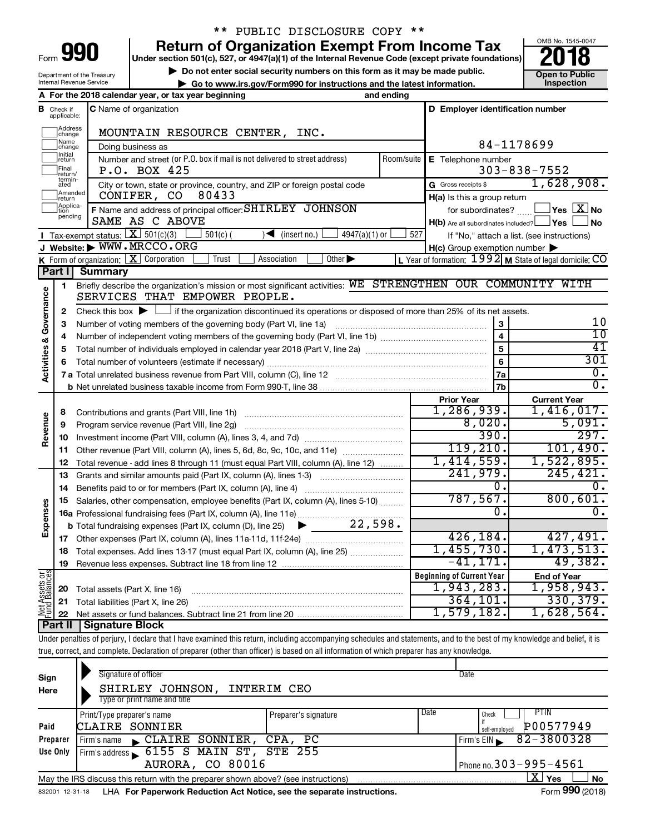| ⊦orm<br>ı |  |  |
|-----------|--|--|

## \*\* PUBLIC DISCLOSURE COPY \*\*

**990** Return of Organization Exempt From Income Tax **Punce 1845-004 Puncer section 501(c), 527, or 4947(a)(1)** of the Internal Revenue Code (except private foundations) **2018** 

▶ Do not enter social security numbers on this form as it may be made public. <br>**● Go to www.irs.gov/Form990 for instructions and the latest information.** Inspection **| Go to www.irs.gov/Form990 for instructions and the latest information. Inspection**



Department of the Treasury Internal Revenue Service

|                                |                               | A For the 2018 calendar year, or tax year beginning                                                                                                                        | and ending                      |                                                     |                                                                    |
|--------------------------------|-------------------------------|----------------------------------------------------------------------------------------------------------------------------------------------------------------------------|---------------------------------|-----------------------------------------------------|--------------------------------------------------------------------|
|                                | <b>B</b> Check if applicable: | <b>C</b> Name of organization                                                                                                                                              |                                 | D Employer identification number                    |                                                                    |
|                                | Address<br> change            | MOUNTAIN RESOURCE CENTER, INC.                                                                                                                                             |                                 |                                                     |                                                                    |
|                                | ]Name<br>]change              | Doing business as                                                                                                                                                          |                                 | 84-1178699                                          |                                                                    |
|                                | Initial<br>return             | Number and street (or P.O. box if mail is not delivered to street address)                                                                                                 | Room/suite   E Telephone number |                                                     |                                                                    |
|                                | Final<br> return/             | P.O. BOX 425                                                                                                                                                               |                                 |                                                     | $303 - 838 - 7552$                                                 |
|                                | termin-<br>ated               | City or town, state or province, country, and ZIP or foreign postal code                                                                                                   |                                 | G Gross receipts \$                                 | 1,628,908.                                                         |
|                                | Amended<br>Ireturn            | CONIFER, CO<br>80433                                                                                                                                                       |                                 | H(a) Is this a group return                         |                                                                    |
|                                | Applica-<br>Ition             | F Name and address of principal officer: SHIRLEY JOHNSON                                                                                                                   |                                 | for subordinates?                                   | $\sqrt{\mathsf{Yes}\mathord{\;\mathbb{X}}\mathord{\;\mathsf{No}}}$ |
|                                | pending                       | SAME AS C ABOVE                                                                                                                                                            |                                 | $H(b)$ Are all subordinates included? $\Box$ Yes    | l No                                                               |
|                                |                               | Tax-exempt status: $X \ 501(c)(3)$<br>4947(a)(1) or<br>$501(c)$ (<br>(insert no.)<br>) ◀                                                                                   | 527                             |                                                     | If "No," attach a list. (see instructions)                         |
|                                |                               | J Website: WWW.MRCCO.ORG                                                                                                                                                   |                                 | $H(c)$ Group exemption number $\blacktriangleright$ |                                                                    |
|                                |                               | K Form of organization: X Corporation<br>Association<br>Other $\blacktriangleright$<br>Trust                                                                               |                                 |                                                     | L Year of formation: 1992 M State of legal domicile: CO            |
|                                | Part I                        | <b>Summary</b>                                                                                                                                                             |                                 |                                                     |                                                                    |
|                                | 1                             | Briefly describe the organization's mission or most significant activities: WE STRENGTHEN OUR COMMUNITY WITH                                                               |                                 |                                                     |                                                                    |
| Governance                     |                               | SERVICES THAT EMPOWER PEOPLE.                                                                                                                                              |                                 |                                                     |                                                                    |
|                                | 2                             | Check this box $\blacktriangleright$ $\Box$ if the organization discontinued its operations or disposed of more than 25% of its net assets.                                |                                 |                                                     |                                                                    |
|                                | 3                             |                                                                                                                                                                            |                                 | 3                                                   | 10                                                                 |
|                                | 4                             |                                                                                                                                                                            |                                 | 4                                                   | 10                                                                 |
|                                | 5                             |                                                                                                                                                                            |                                 | 5                                                   | 41                                                                 |
| <b>Activities &amp;</b>        | 6                             |                                                                                                                                                                            |                                 | $6\phantom{1}6$                                     | 301                                                                |
|                                |                               |                                                                                                                                                                            |                                 | 7a                                                  | $\overline{\mathfrak{0}}$ .                                        |
|                                |                               |                                                                                                                                                                            |                                 | 7b                                                  | $\overline{0}$ .                                                   |
|                                |                               |                                                                                                                                                                            |                                 | <b>Prior Year</b><br>1,286,939.                     | <b>Current Year</b><br>1,416,017.                                  |
|                                | 8                             |                                                                                                                                                                            |                                 | 8,020.                                              | 5,091.                                                             |
| Revenue                        | 9                             |                                                                                                                                                                            |                                 | 390.                                                | 297.                                                               |
|                                | 10                            |                                                                                                                                                                            |                                 | 119,210.                                            | 101,490.                                                           |
|                                | 11                            | Other revenue (Part VIII, column (A), lines 5, 6d, 8c, 9c, 10c, and 11e)                                                                                                   |                                 | 1,414,559.                                          | 1,522,895.                                                         |
|                                | 12                            | Total revenue - add lines 8 through 11 (must equal Part VIII, column (A), line 12)                                                                                         |                                 | 241,979.                                            | 245, 421.                                                          |
|                                | 13                            | Grants and similar amounts paid (Part IX, column (A), lines 1-3)                                                                                                           |                                 | 0.                                                  | 0.                                                                 |
|                                | 14                            | Salaries, other compensation, employee benefits (Part IX, column (A), lines 5-10)                                                                                          |                                 | 787,567.                                            | 800, 601.                                                          |
| Expenses                       | 15                            | 16a Professional fundraising fees (Part IX, column (A), line 11e)                                                                                                          |                                 | 0.                                                  | 0.                                                                 |
|                                |                               | 22,598.<br><b>b</b> Total fundraising expenses (Part IX, column (D), line 25) $\blacktriangleright$                                                                        |                                 |                                                     |                                                                    |
|                                | 17                            |                                                                                                                                                                            |                                 | 426, 184.                                           | 427,491.                                                           |
|                                | 18                            | Total expenses. Add lines 13-17 (must equal Part IX, column (A), line 25)                                                                                                  |                                 | 1,455,730.                                          | 1,473,513.                                                         |
|                                |                               | 19 Revenue less expenses. Subtract line 18 from line 12                                                                                                                    |                                 | $-41, 171.$                                         | 49,382.                                                            |
|                                |                               |                                                                                                                                                                            |                                 | <b>Beginning of Current Year</b>                    | <b>End of Year</b>                                                 |
| Net Assets or<br>Fund Balances | 20                            | Total assets (Part X, line 16)                                                                                                                                             |                                 | 1,943,283.                                          | 1,958,943.                                                         |
|                                | 21                            | Total liabilities (Part X, line 26)                                                                                                                                        |                                 | 364, 101.                                           | 330, 379.                                                          |
|                                | 22                            |                                                                                                                                                                            |                                 | 1,579,182.                                          | 1,628,564.                                                         |
|                                | <b>Part II</b>                | <b>Signature Block</b>                                                                                                                                                     |                                 |                                                     |                                                                    |
|                                |                               | Under penalties of perjury, I declare that I have examined this return, including accompanying schedules and statements, and to the best of my knowledge and belief, it is |                                 |                                                     |                                                                    |
|                                |                               | true, correct, and complete. Declaration of preparer (other than officer) is based on all information of which preparer has any knowledge.                                 |                                 |                                                     |                                                                    |

| Signature of officer<br>SHIRLEY JOHNSON,<br>Type or print name and title |                              | Date                                                                                                                                                                             |
|--------------------------------------------------------------------------|------------------------------|----------------------------------------------------------------------------------------------------------------------------------------------------------------------------------|
| Print/Type preparer's name<br>CLAIRE SONNIER                             | Date<br>Preparer's signature | PTIN<br>Check<br>P00577949<br>self-emploved                                                                                                                                      |
| $\mathsf{CLAIRE}$ SONNIER,<br>Firm's name                                |                              | 82-3800328<br>Firm's EIN                                                                                                                                                         |
|                                                                          |                              |                                                                                                                                                                                  |
|                                                                          |                              | Phone no. $303 - 995 - 4561$                                                                                                                                                     |
|                                                                          |                              | $X \mid$<br>No<br>Yes<br>$- - -$                                                                                                                                                 |
|                                                                          |                              | INTERIM CEO<br>CPA, PC<br>Firm's address 6155 S MAIN ST, STE 255<br><b>AURORA, CO 80016</b><br>May the IRS discuss this return with the preparer shown above? (see instructions) |

832001 12-31-18 **For Paperwork Reduction Act Notice, see the separate instructions.** LHA Form (2018)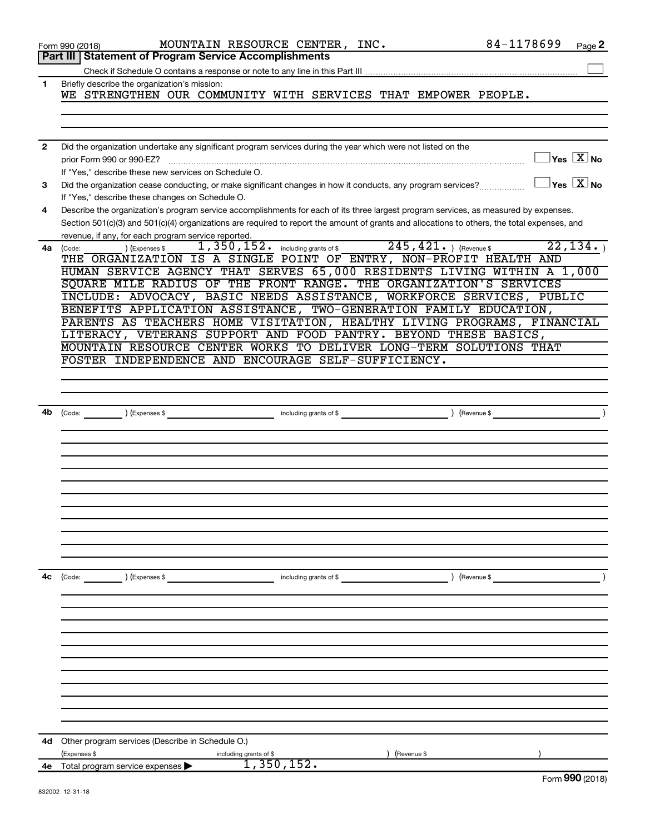|    | Form 990 (2018)                                                                                                                                                                                                                                                                                                                             | MOUNTAIN RESOURCE CENTER, INC. |                        | 84-1178699                                                 | Page 2                                  |
|----|---------------------------------------------------------------------------------------------------------------------------------------------------------------------------------------------------------------------------------------------------------------------------------------------------------------------------------------------|--------------------------------|------------------------|------------------------------------------------------------|-----------------------------------------|
|    | Part III   Statement of Program Service Accomplishments                                                                                                                                                                                                                                                                                     |                                |                        |                                                            |                                         |
|    |                                                                                                                                                                                                                                                                                                                                             |                                |                        |                                                            |                                         |
| 1  | Briefly describe the organization's mission:<br>WE STRENGTHEN OUR COMMUNITY WITH SERVICES THAT EMPOWER PEOPLE.                                                                                                                                                                                                                              |                                |                        |                                                            |                                         |
|    |                                                                                                                                                                                                                                                                                                                                             |                                |                        |                                                            |                                         |
| 2  | Did the organization undertake any significant program services during the year which were not listed on the<br>prior Form 990 or 990-EZ?<br>If "Yes," describe these new services on Schedule O.                                                                                                                                           |                                |                        |                                                            | $\Box$ Yes $[\overline{\mathrm{X}}]$ No |
| з  | Did the organization cease conducting, or make significant changes in how it conducts, any program services?<br>If "Yes," describe these changes on Schedule O.                                                                                                                                                                             |                                |                        |                                                            | $\Box$ Yes $[\overline{\mathrm{X}}]$ No |
| 4  | Describe the organization's program service accomplishments for each of its three largest program services, as measured by expenses.<br>Section 501(c)(3) and 501(c)(4) organizations are required to report the amount of grants and allocations to others, the total expenses, and<br>revenue, if any, for each program service reported. |                                |                        |                                                            |                                         |
| 4a | ) (Expenses \$<br>(Code:<br>THE ORGANIZATION IS A SINGLE POINT OF ENTRY, NON-PROFIT HEALTH AND<br>HUMAN SERVICE AGENCY THAT SERVES 65,000 RESIDENTS LIVING WITHIN A 1,000<br>SQUARE MILE RADIUS OF THE FRONT RANGE. THE ORGANIZATION'S SERVICES                                                                                             |                                |                        | 1, 350, 152. including grants of \$245, 421. ) (Revenue \$ | 22, 134.                                |
|    | INCLUDE: ADVOCACY, BASIC NEEDS ASSISTANCE, WORKFORCE SERVICES, PUBLIC<br>BENEFITS APPLICATION ASSISTANCE, TWO-GENERATION FAMILY EDUCATION,<br>PARENTS AS TEACHERS HOME VISITATION, HEALTHY LIVING PROGRAMS, FINANCIAL                                                                                                                       |                                |                        |                                                            |                                         |
|    | LITERACY, VETERANS SUPPORT AND FOOD PANTRY. BEYOND THESE BASICS,<br>MOUNTAIN RESOURCE CENTER WORKS TO DELIVER LONG-TERM SOLUTIONS THAT                                                                                                                                                                                                      |                                |                        |                                                            |                                         |
|    | FOSTER INDEPENDENCE AND ENCOURAGE SELF-SUFFICIENCY.                                                                                                                                                                                                                                                                                         |                                |                        |                                                            |                                         |
|    |                                                                                                                                                                                                                                                                                                                                             |                                |                        |                                                            |                                         |
| 4b |                                                                                                                                                                                                                                                                                                                                             |                                |                        |                                                            |                                         |
|    |                                                                                                                                                                                                                                                                                                                                             |                                |                        |                                                            |                                         |
|    |                                                                                                                                                                                                                                                                                                                                             |                                |                        |                                                            |                                         |
|    |                                                                                                                                                                                                                                                                                                                                             |                                |                        |                                                            |                                         |
|    |                                                                                                                                                                                                                                                                                                                                             |                                |                        |                                                            |                                         |
|    |                                                                                                                                                                                                                                                                                                                                             |                                |                        |                                                            |                                         |
| 4c | (Code: ) (Expenses \$                                                                                                                                                                                                                                                                                                                       |                                | including grants of \$ | ) (Revenue \$                                              |                                         |
|    |                                                                                                                                                                                                                                                                                                                                             |                                |                        |                                                            |                                         |
|    |                                                                                                                                                                                                                                                                                                                                             |                                |                        |                                                            |                                         |
|    |                                                                                                                                                                                                                                                                                                                                             |                                |                        |                                                            |                                         |
|    |                                                                                                                                                                                                                                                                                                                                             |                                |                        |                                                            |                                         |
|    |                                                                                                                                                                                                                                                                                                                                             |                                |                        |                                                            |                                         |
| 4d | Other program services (Describe in Schedule O.)                                                                                                                                                                                                                                                                                            |                                |                        |                                                            |                                         |
|    | (Expenses \$                                                                                                                                                                                                                                                                                                                                | including grants of \$         | (Revenue \$            |                                                            |                                         |
| 4е | Total program service expenses >                                                                                                                                                                                                                                                                                                            | 1,350,152.                     |                        |                                                            |                                         |
|    |                                                                                                                                                                                                                                                                                                                                             |                                |                        |                                                            | $\sim$                                  |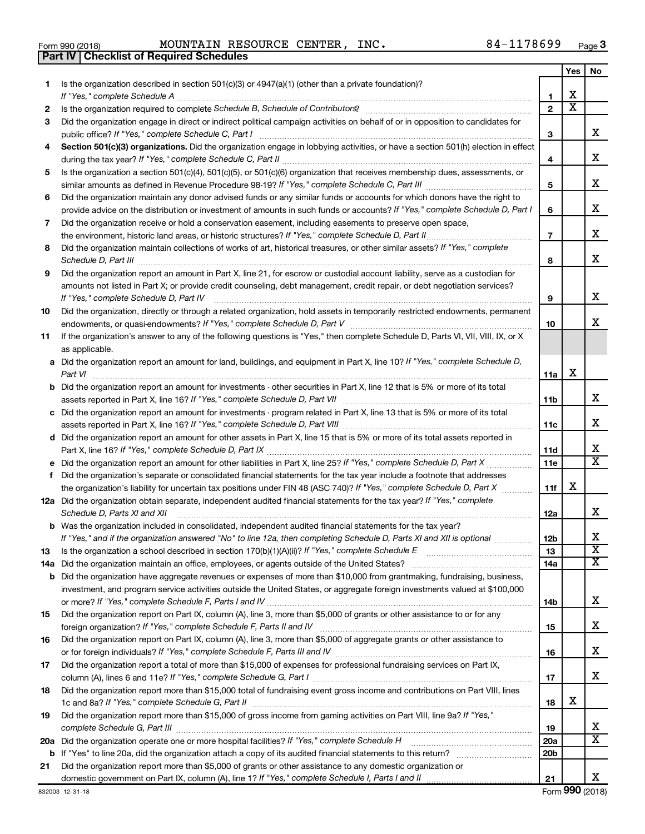| Form 990 (2018) | <b>MOUNTAIN RES</b>                            |  |
|-----------------|------------------------------------------------|--|
|                 | <b>Part IV Checklist of Required Schedules</b> |  |

Form 990 (2018) Page MOUNTAIN RESOURCE CENTER, INC. 84-1178699

|     |                                                                                                                                                                                                                                                                |                 | Yes                     | No                           |
|-----|----------------------------------------------------------------------------------------------------------------------------------------------------------------------------------------------------------------------------------------------------------------|-----------------|-------------------------|------------------------------|
| 1.  | Is the organization described in section $501(c)(3)$ or $4947(a)(1)$ (other than a private foundation)?                                                                                                                                                        |                 |                         |                              |
|     | If "Yes," complete Schedule A                                                                                                                                                                                                                                  | 1               | х                       |                              |
| 2   | Is the organization required to complete Schedule B, Schedule of Contributors? [1111] [12] the organization required to complete Schedule B, Schedule of Contributors?                                                                                         | $\overline{2}$  | $\overline{\textbf{x}}$ |                              |
| 3   | Did the organization engage in direct or indirect political campaign activities on behalf of or in opposition to candidates for                                                                                                                                |                 |                         |                              |
|     | public office? If "Yes," complete Schedule C, Part I                                                                                                                                                                                                           | 3               |                         | х                            |
| 4   | Section 501(c)(3) organizations. Did the organization engage in lobbying activities, or have a section 501(h) election in effect                                                                                                                               | 4               |                         | х                            |
| 5   | Is the organization a section 501(c)(4), 501(c)(5), or 501(c)(6) organization that receives membership dues, assessments, or                                                                                                                                   |                 |                         |                              |
|     |                                                                                                                                                                                                                                                                | 5               |                         | х                            |
| 6   | Did the organization maintain any donor advised funds or any similar funds or accounts for which donors have the right to                                                                                                                                      |                 |                         |                              |
|     | provide advice on the distribution or investment of amounts in such funds or accounts? If "Yes," complete Schedule D, Part I                                                                                                                                   | 6               |                         | х                            |
| 7   | Did the organization receive or hold a conservation easement, including easements to preserve open space,                                                                                                                                                      |                 |                         |                              |
|     | the environment, historic land areas, or historic structures? If "Yes," complete Schedule D, Part II<br>.                                                                                                                                                      | $\overline{7}$  |                         | х                            |
| 8   | Did the organization maintain collections of works of art, historical treasures, or other similar assets? If "Yes," complete<br>Schedule D, Part III                                                                                                           | 8               |                         | х                            |
| 9   | Did the organization report an amount in Part X, line 21, for escrow or custodial account liability, serve as a custodian for                                                                                                                                  |                 |                         |                              |
|     | amounts not listed in Part X; or provide credit counseling, debt management, credit repair, or debt negotiation services?                                                                                                                                      |                 |                         |                              |
|     | If "Yes," complete Schedule D, Part IV                                                                                                                                                                                                                         | 9               |                         | х                            |
| 10  | Did the organization, directly or through a related organization, hold assets in temporarily restricted endowments, permanent                                                                                                                                  |                 |                         |                              |
|     |                                                                                                                                                                                                                                                                | 10              |                         | x.                           |
| 11  | If the organization's answer to any of the following questions is "Yes," then complete Schedule D, Parts VI, VII, VIII, IX, or X                                                                                                                               |                 |                         |                              |
|     | as applicable.                                                                                                                                                                                                                                                 |                 |                         |                              |
|     | a Did the organization report an amount for land, buildings, and equipment in Part X, line 10? If "Yes," complete Schedule D,                                                                                                                                  |                 | х                       |                              |
|     | Part VI                                                                                                                                                                                                                                                        | 11a             |                         |                              |
|     | <b>b</b> Did the organization report an amount for investments - other securities in Part X, line 12 that is 5% or more of its total                                                                                                                           | 11 <sub>b</sub> |                         | х                            |
|     | c Did the organization report an amount for investments - program related in Part X, line 13 that is 5% or more of its total                                                                                                                                   |                 |                         |                              |
|     |                                                                                                                                                                                                                                                                | 11c             |                         | х                            |
|     | d Did the organization report an amount for other assets in Part X, line 15 that is 5% or more of its total assets reported in                                                                                                                                 |                 |                         |                              |
|     |                                                                                                                                                                                                                                                                | 11d             |                         | х                            |
|     |                                                                                                                                                                                                                                                                | 11e             |                         | X                            |
| f   | Did the organization's separate or consolidated financial statements for the tax year include a footnote that addresses                                                                                                                                        |                 |                         |                              |
|     | the organization's liability for uncertain tax positions under FIN 48 (ASC 740)? If "Yes," complete Schedule D, Part X                                                                                                                                         | 11f             | х                       |                              |
|     | 12a Did the organization obtain separate, independent audited financial statements for the tax year? If "Yes," complete                                                                                                                                        |                 |                         |                              |
|     | Schedule D, Parts XI and XII                                                                                                                                                                                                                                   | 12a             |                         | x                            |
|     | <b>b</b> Was the organization included in consolidated, independent audited financial statements for the tax year?                                                                                                                                             |                 |                         |                              |
|     | If "Yes," and if the organization answered "No" to line 12a, then completing Schedule D, Parts XI and XII is optional www.                                                                                                                                     | 12 <sub>b</sub> |                         | Χ                            |
| 13  |                                                                                                                                                                                                                                                                | 13              |                         | $\overline{\textbf{x}}$      |
| 14a |                                                                                                                                                                                                                                                                | 14a             |                         | x                            |
|     | <b>b</b> Did the organization have aggregate revenues or expenses of more than \$10,000 from grantmaking, fundraising, business,<br>investment, and program service activities outside the United States, or aggregate foreign investments valued at \$100,000 |                 |                         |                              |
|     |                                                                                                                                                                                                                                                                | 14b             |                         | x                            |
| 15  | Did the organization report on Part IX, column (A), line 3, more than \$5,000 of grants or other assistance to or for any                                                                                                                                      |                 |                         |                              |
|     |                                                                                                                                                                                                                                                                | 15              |                         | x                            |
| 16  | Did the organization report on Part IX, column (A), line 3, more than \$5,000 of aggregate grants or other assistance to                                                                                                                                       |                 |                         |                              |
|     |                                                                                                                                                                                                                                                                | 16              |                         | x                            |
| 17  | Did the organization report a total of more than \$15,000 of expenses for professional fundraising services on Part IX,                                                                                                                                        |                 |                         |                              |
|     |                                                                                                                                                                                                                                                                | 17              |                         | х                            |
| 18  | Did the organization report more than \$15,000 total of fundraising event gross income and contributions on Part VIII, lines                                                                                                                                   |                 |                         |                              |
|     |                                                                                                                                                                                                                                                                | 18              | х                       |                              |
| 19  | Did the organization report more than \$15,000 of gross income from gaming activities on Part VIII, line 9a? If "Yes,"                                                                                                                                         |                 |                         |                              |
|     |                                                                                                                                                                                                                                                                | 19              |                         | x<br>$\overline{\mathbf{x}}$ |
|     | 20a Did the organization operate one or more hospital facilities? If "Yes," complete Schedule H                                                                                                                                                                | 20a             |                         |                              |
|     |                                                                                                                                                                                                                                                                | 20 <sub>b</sub> |                         |                              |
| 21  | Did the organization report more than \$5,000 of grants or other assistance to any domestic organization or                                                                                                                                                    | 21              |                         | x                            |
|     |                                                                                                                                                                                                                                                                |                 |                         |                              |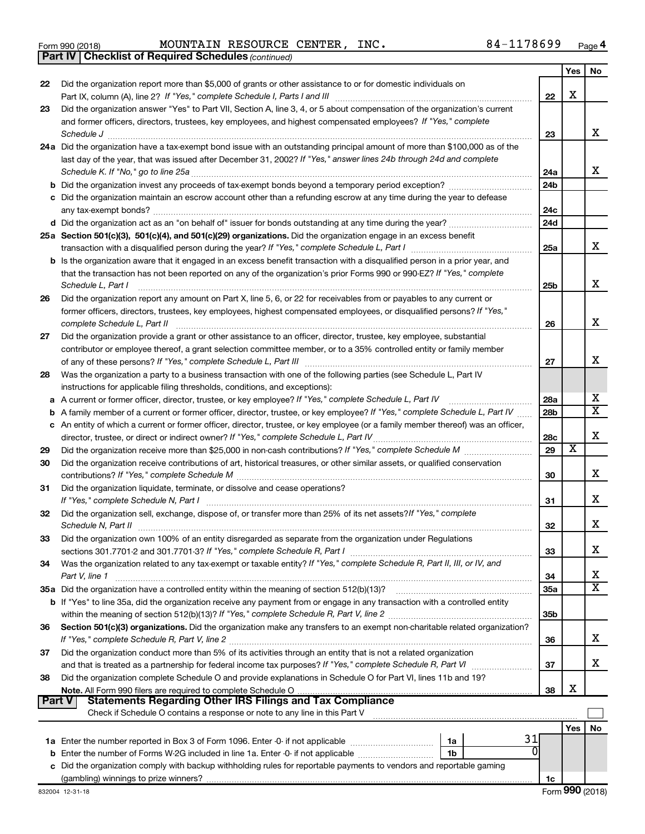|  | Form 990 (2018) |
|--|-----------------|
|  |                 |

Form 990 (2018) Page MOUNTAIN RESOURCE CENTER, INC. 84-1178699

*(continued)* **Part IV Checklist of Required Schedules**

|          |                                                                                                                                                                                                                                                 |                 | Yes | No                    |
|----------|-------------------------------------------------------------------------------------------------------------------------------------------------------------------------------------------------------------------------------------------------|-----------------|-----|-----------------------|
| 22       | Did the organization report more than \$5,000 of grants or other assistance to or for domestic individuals on                                                                                                                                   |                 |     |                       |
|          |                                                                                                                                                                                                                                                 | 22              | X   |                       |
| 23       | Did the organization answer "Yes" to Part VII, Section A, line 3, 4, or 5 about compensation of the organization's current                                                                                                                      |                 |     |                       |
|          | and former officers, directors, trustees, key employees, and highest compensated employees? If "Yes," complete                                                                                                                                  |                 |     |                       |
|          |                                                                                                                                                                                                                                                 | 23              |     | х                     |
|          | 24a Did the organization have a tax-exempt bond issue with an outstanding principal amount of more than \$100,000 as of the                                                                                                                     |                 |     |                       |
|          | last day of the year, that was issued after December 31, 2002? If "Yes," answer lines 24b through 24d and complete                                                                                                                              |                 |     |                       |
|          |                                                                                                                                                                                                                                                 | 24a             |     | х                     |
|          |                                                                                                                                                                                                                                                 | 24 <sub>b</sub> |     |                       |
|          | c Did the organization maintain an escrow account other than a refunding escrow at any time during the year to defease                                                                                                                          |                 |     |                       |
|          |                                                                                                                                                                                                                                                 | 24c             |     |                       |
|          |                                                                                                                                                                                                                                                 | 24d             |     |                       |
|          | 25a Section 501(c)(3), 501(c)(4), and 501(c)(29) organizations. Did the organization engage in an excess benefit                                                                                                                                |                 |     | x                     |
|          |                                                                                                                                                                                                                                                 | 25a             |     |                       |
|          | b Is the organization aware that it engaged in an excess benefit transaction with a disqualified person in a prior year, and                                                                                                                    |                 |     |                       |
|          | that the transaction has not been reported on any of the organization's prior Forms 990 or 990-EZ? If "Yes," complete                                                                                                                           |                 |     | х                     |
|          | Schedule L, Part I                                                                                                                                                                                                                              | 25 <sub>b</sub> |     |                       |
| 26       | Did the organization report any amount on Part X, line 5, 6, or 22 for receivables from or payables to any current or<br>former officers, directors, trustees, key employees, highest compensated employees, or disqualified persons? If "Yes," |                 |     |                       |
|          | complete Schedule L, Part II                                                                                                                                                                                                                    | 26              |     | х                     |
| 27       | Did the organization provide a grant or other assistance to an officer, director, trustee, key employee, substantial                                                                                                                            |                 |     |                       |
|          | contributor or employee thereof, a grant selection committee member, or to a 35% controlled entity or family member                                                                                                                             |                 |     |                       |
|          |                                                                                                                                                                                                                                                 | 27              |     | х                     |
| 28       | Was the organization a party to a business transaction with one of the following parties (see Schedule L, Part IV                                                                                                                               |                 |     |                       |
|          | instructions for applicable filing thresholds, conditions, and exceptions):                                                                                                                                                                     |                 |     |                       |
|          | a A current or former officer, director, trustee, or key employee? If "Yes," complete Schedule L, Part IV                                                                                                                                       | 28a             |     | х                     |
| b        | A family member of a current or former officer, director, trustee, or key employee? If "Yes," complete Schedule L, Part IV                                                                                                                      | 28 <sub>b</sub> |     | $\overline{\text{x}}$ |
|          | c An entity of which a current or former officer, director, trustee, or key employee (or a family member thereof) was an officer,                                                                                                               |                 |     |                       |
|          |                                                                                                                                                                                                                                                 | 28c             |     | х                     |
| 29       |                                                                                                                                                                                                                                                 | 29              | х   |                       |
| 30       | Did the organization receive contributions of art, historical treasures, or other similar assets, or qualified conservation                                                                                                                     |                 |     |                       |
|          |                                                                                                                                                                                                                                                 | 30              |     | х                     |
| 31       | Did the organization liquidate, terminate, or dissolve and cease operations?                                                                                                                                                                    |                 |     |                       |
|          | If "Yes," complete Schedule N, Part I manufactured and a series of the state of the state of the state of the                                                                                                                                   | 31              |     | х                     |
| 32       | Did the organization sell, exchange, dispose of, or transfer more than 25% of its net assets? If "Yes," complete                                                                                                                                |                 |     |                       |
|          |                                                                                                                                                                                                                                                 | 32              |     | х                     |
| 33       | Did the organization own 100% of an entity disregarded as separate from the organization under Regulations                                                                                                                                      |                 |     |                       |
|          |                                                                                                                                                                                                                                                 | 33              |     | х                     |
| 34       | Was the organization related to any tax-exempt or taxable entity? If "Yes," complete Schedule R, Part II, III, or IV, and                                                                                                                       |                 |     |                       |
|          | Part V, line 1                                                                                                                                                                                                                                  | 34              |     | х                     |
|          |                                                                                                                                                                                                                                                 | 35a             |     | х                     |
|          | <b>b</b> If "Yes" to line 35a, did the organization receive any payment from or engage in any transaction with a controlled entity                                                                                                              |                 |     |                       |
|          |                                                                                                                                                                                                                                                 | 35 <sub>b</sub> |     |                       |
| 36       | Section 501(c)(3) organizations. Did the organization make any transfers to an exempt non-charitable related organization?                                                                                                                      |                 |     |                       |
|          |                                                                                                                                                                                                                                                 | 36              |     | х                     |
| 37       | Did the organization conduct more than 5% of its activities through an entity that is not a related organization                                                                                                                                |                 |     |                       |
|          |                                                                                                                                                                                                                                                 | 37              |     | x                     |
| 38       | Did the organization complete Schedule O and provide explanations in Schedule O for Part VI, lines 11b and 19?                                                                                                                                  |                 |     |                       |
| ∣ Part V | Note. All Form 990 filers are required to complete Schedule O.<br><b>Statements Regarding Other IRS Filings and Tax Compliance</b>                                                                                                              | 38              | х   |                       |
|          | Check if Schedule O contains a response or note to any line in this Part V                                                                                                                                                                      |                 |     |                       |
|          |                                                                                                                                                                                                                                                 |                 |     |                       |
|          | 31                                                                                                                                                                                                                                              |                 | Yes | No                    |
|          | 1a                                                                                                                                                                                                                                              |                 |     |                       |
|          | <b>b</b> Enter the number of Forms W-2G included in line 1a. Enter -0- if not applicable<br>1b<br>c Did the organization comply with backup withholding rules for reportable payments to vendors and reportable gaming                          |                 |     |                       |
|          |                                                                                                                                                                                                                                                 | 1c              |     |                       |
|          |                                                                                                                                                                                                                                                 |                 |     |                       |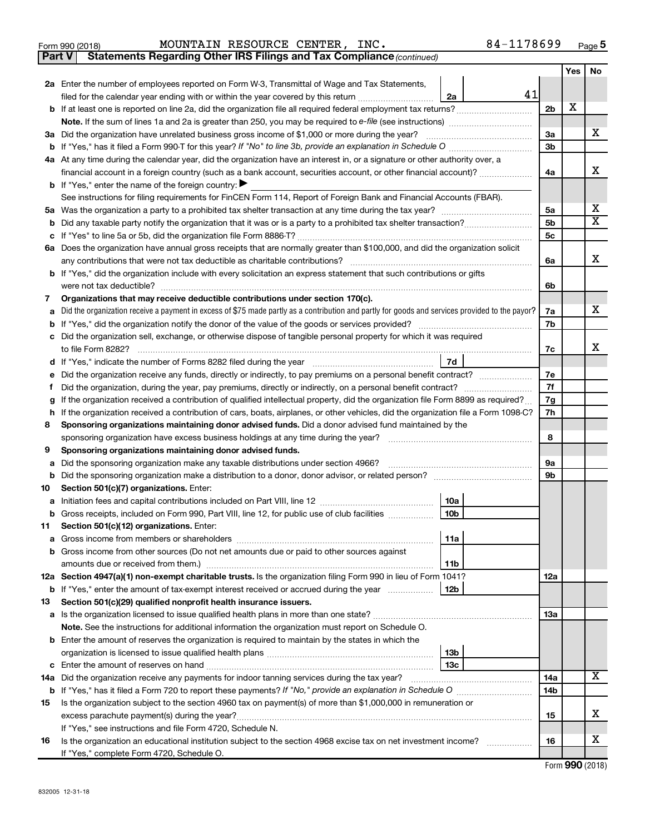|  | Form 990 (2018) |  |
|--|-----------------|--|
|  |                 |  |

**Part V Statements Regarding Other IRS Filings and Tax Compliance**

*(continued)*

|    |                                                                                                                                                 |          | Yes | No                      |  |
|----|-------------------------------------------------------------------------------------------------------------------------------------------------|----------|-----|-------------------------|--|
|    | 2a Enter the number of employees reported on Form W-3, Transmittal of Wage and Tax Statements,                                                  |          |     |                         |  |
|    | 41<br>filed for the calendar year ending with or within the year covered by this return<br>2a                                                   |          |     |                         |  |
|    | b If at least one is reported on line 2a, did the organization file all required federal employment tax returns?                                | 2b       | X   |                         |  |
|    |                                                                                                                                                 |          |     |                         |  |
|    | 3a Did the organization have unrelated business gross income of \$1,000 or more during the year?                                                | За       |     | х                       |  |
|    |                                                                                                                                                 | 3b       |     |                         |  |
|    | 4a At any time during the calendar year, did the organization have an interest in, or a signature or other authority over, a                    |          |     |                         |  |
|    | financial account in a foreign country (such as a bank account, securities account, or other financial account)?                                | 4a       |     | х                       |  |
|    | <b>b</b> If "Yes," enter the name of the foreign country: $\blacktriangleright$                                                                 |          |     |                         |  |
|    | See instructions for filing requirements for FinCEN Form 114, Report of Foreign Bank and Financial Accounts (FBAR).                             |          |     |                         |  |
| 5а |                                                                                                                                                 | 5а       |     | х                       |  |
| b  |                                                                                                                                                 | 5b       |     | $\overline{\textbf{X}}$ |  |
|    |                                                                                                                                                 | 5с       |     |                         |  |
|    | 6a Does the organization have annual gross receipts that are normally greater than \$100,000, and did the organization solicit                  |          |     |                         |  |
|    | any contributions that were not tax deductible as charitable contributions?                                                                     | 6a       |     | x                       |  |
|    | b If "Yes," did the organization include with every solicitation an express statement that such contributions or gifts                          |          |     |                         |  |
|    | were not tax deductible?                                                                                                                        | 6b       |     |                         |  |
| 7  | Organizations that may receive deductible contributions under section 170(c).                                                                   |          |     |                         |  |
|    | Did the organization receive a payment in excess of \$75 made partly as a contribution and partly for goods and services provided to the payor? | 7a       |     | x                       |  |
|    |                                                                                                                                                 | 7b       |     |                         |  |
|    | Did the organization sell, exchange, or otherwise dispose of tangible personal property for which it was required                               |          |     |                         |  |
|    |                                                                                                                                                 | 7c       |     | x                       |  |
|    | 7d                                                                                                                                              |          |     |                         |  |
|    | Did the organization receive any funds, directly or indirectly, to pay premiums on a personal benefit contract?                                 | 7е<br>7f |     |                         |  |
|    | Did the organization, during the year, pay premiums, directly or indirectly, on a personal benefit contract?<br>t                               |          |     |                         |  |
|    | If the organization received a contribution of qualified intellectual property, did the organization file Form 8899 as required?                |          |     |                         |  |
|    | If the organization received a contribution of cars, boats, airplanes, or other vehicles, did the organization file a Form 1098-C?<br>h         |          |     |                         |  |
| 8  | Sponsoring organizations maintaining donor advised funds. Did a donor advised fund maintained by the                                            | 8        |     |                         |  |
| 9  | Sponsoring organizations maintaining donor advised funds.                                                                                       |          |     |                         |  |
| а  | Did the sponsoring organization make any taxable distributions under section 4966?                                                              | 9а       |     |                         |  |
| b  |                                                                                                                                                 | 9b       |     |                         |  |
| 10 | Section 501(c)(7) organizations. Enter:                                                                                                         |          |     |                         |  |
| а  | 10a                                                                                                                                             |          |     |                         |  |
| b  | 10 <sub>b</sub><br>Gross receipts, included on Form 990, Part VIII, line 12, for public use of club facilities                                  |          |     |                         |  |
| 11 | Section 501(c)(12) organizations. Enter:                                                                                                        |          |     |                         |  |
|    | 11a                                                                                                                                             |          |     |                         |  |
|    | b Gross income from other sources (Do not net amounts due or paid to other sources against                                                      |          |     |                         |  |
|    | 11b                                                                                                                                             |          |     |                         |  |
|    | 12a Section 4947(a)(1) non-exempt charitable trusts. Is the organization filing Form 990 in lieu of Form 1041?                                  | 12a      |     |                         |  |
|    | 12b<br><b>b</b> If "Yes," enter the amount of tax-exempt interest received or accrued during the year                                           |          |     |                         |  |
| 13 | Section 501(c)(29) qualified nonprofit health insurance issuers.                                                                                |          |     |                         |  |
|    | <b>a</b> Is the organization licensed to issue qualified health plans in more than one state?                                                   | 13a      |     |                         |  |
|    | Note. See the instructions for additional information the organization must report on Schedule O.                                               |          |     |                         |  |
|    | <b>b</b> Enter the amount of reserves the organization is required to maintain by the states in which the                                       |          |     |                         |  |
|    | 13 <sub>b</sub>                                                                                                                                 |          |     |                         |  |
|    | 13 <sub>c</sub>                                                                                                                                 |          |     |                         |  |
|    | 14a Did the organization receive any payments for indoor tanning services during the tax year?                                                  | 14a      |     | x                       |  |
|    |                                                                                                                                                 | 14b      |     |                         |  |
| 15 | Is the organization subject to the section 4960 tax on payment(s) of more than \$1,000,000 in remuneration or                                   |          |     |                         |  |
|    | excess parachute payment(s) during the year?                                                                                                    | 15       |     | х                       |  |
|    | If "Yes," see instructions and file Form 4720, Schedule N.                                                                                      |          |     |                         |  |
| 16 | Is the organization an educational institution subject to the section 4968 excise tax on net investment income?                                 | 16       |     | х                       |  |
|    | If "Yes," complete Form 4720, Schedule O.                                                                                                       |          |     |                         |  |

Form (2018) **990**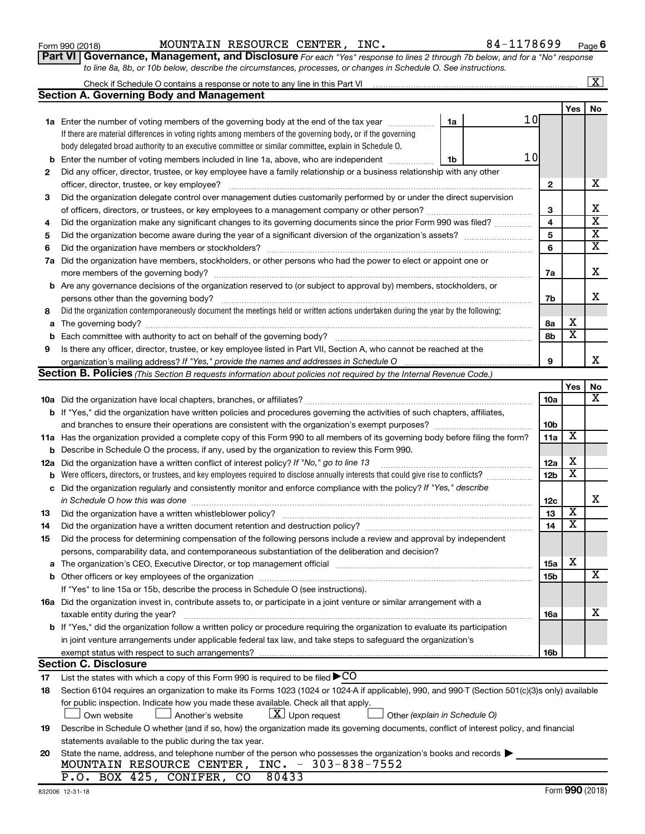**2**

|          | officer, director, trustee, or key employee?                                                                                                                                                                                                            | 2                       |                         | x                       |
|----------|---------------------------------------------------------------------------------------------------------------------------------------------------------------------------------------------------------------------------------------------------------|-------------------------|-------------------------|-------------------------|
| З        | Did the organization delegate control over management duties customarily performed by or under the direct supervision                                                                                                                                   |                         |                         |                         |
|          |                                                                                                                                                                                                                                                         | 3                       |                         | X                       |
| 4        | Did the organization make any significant changes to its governing documents since the prior Form 990 was filed?                                                                                                                                        | $\overline{\mathbf{4}}$ |                         | $\overline{\textbf{x}}$ |
| 5        |                                                                                                                                                                                                                                                         | 5                       |                         | $\overline{\mathbf{X}}$ |
| 6        |                                                                                                                                                                                                                                                         | 6                       |                         | $\overline{\mathbf{x}}$ |
|          | 7a Did the organization have members, stockholders, or other persons who had the power to elect or appoint one or                                                                                                                                       | 7a                      |                         | х                       |
|          | <b>b</b> Are any governance decisions of the organization reserved to (or subject to approval by) members, stockholders, or                                                                                                                             | 7b                      |                         | x                       |
| 8        | Did the organization contemporaneously document the meetings held or written actions undertaken during the year by the following:                                                                                                                       |                         |                         |                         |
|          |                                                                                                                                                                                                                                                         | 8а                      | х                       |                         |
| а<br>b   |                                                                                                                                                                                                                                                         | 8b                      | $\overline{\textbf{x}}$ |                         |
| 9        | Is there any officer, director, trustee, or key employee listed in Part VII, Section A, who cannot be reached at the                                                                                                                                    |                         |                         |                         |
|          |                                                                                                                                                                                                                                                         | 9                       |                         | X.                      |
|          | <b>Section B. Policies</b> (This Section B requests information about policies not required by the Internal Revenue Code.)                                                                                                                              |                         |                         |                         |
|          |                                                                                                                                                                                                                                                         |                         | Yes                     | No                      |
|          |                                                                                                                                                                                                                                                         | 10a                     |                         | х                       |
|          | <b>b</b> If "Yes," did the organization have written policies and procedures governing the activities of such chapters, affiliates,                                                                                                                     |                         |                         |                         |
|          |                                                                                                                                                                                                                                                         | 10 <sub>b</sub>         |                         |                         |
|          |                                                                                                                                                                                                                                                         | 11a                     | $\overline{\mathbf{X}}$ |                         |
|          | 11a Has the organization provided a complete copy of this Form 990 to all members of its governing body before filing the form?<br>Describe in Schedule O the process, if any, used by the organization to review this Form 990.                        |                         |                         |                         |
| b<br>12a | Did the organization have a written conflict of interest policy? If "No," go to line 13                                                                                                                                                                 | 12a                     | Χ                       |                         |
| b        | Were officers, directors, or trustees, and key employees required to disclose annually interests that could give rise to conflicts?                                                                                                                     | 12 <sub>b</sub>         | $\overline{\texttt{x}}$ |                         |
|          | Did the organization regularly and consistently monitor and enforce compliance with the policy? If "Yes," describe                                                                                                                                      |                         |                         |                         |
| с        |                                                                                                                                                                                                                                                         | 12c                     |                         | x                       |
| 13       |                                                                                                                                                                                                                                                         | 13                      | $\overline{\mathbf{X}}$ |                         |
| 14       |                                                                                                                                                                                                                                                         | 14                      | $\overline{\textbf{X}}$ |                         |
| 15       | Did the process for determining compensation of the following persons include a review and approval by independent                                                                                                                                      |                         |                         |                         |
|          | persons, comparability data, and contemporaneous substantiation of the deliberation and decision?                                                                                                                                                       |                         |                         |                         |
|          | The organization's CEO, Executive Director, or top management official manufactured content of the organization's CEO, Executive Director, or top management official manufactured content of the organization's                                        | 15a                     | X                       |                         |
| a        |                                                                                                                                                                                                                                                         | 15 <sub>b</sub>         |                         | x                       |
| b        | If "Yes" to line 15a or 15b, describe the process in Schedule O (see instructions).                                                                                                                                                                     |                         |                         |                         |
|          |                                                                                                                                                                                                                                                         |                         |                         |                         |
|          | 16a Did the organization invest in, contribute assets to, or participate in a joint venture or similar arrangement with a                                                                                                                               |                         |                         | x                       |
|          | taxable entity during the year?                                                                                                                                                                                                                         | 16a                     |                         |                         |
|          | <b>b</b> If "Yes," did the organization follow a written policy or procedure requiring the organization to evaluate its participation<br>in joint venture arrangements under applicable federal tax law, and take steps to safequard the organization's |                         |                         |                         |
|          | exempt status with respect to such arrangements?                                                                                                                                                                                                        |                         |                         |                         |
|          | <b>Section C. Disclosure</b>                                                                                                                                                                                                                            | 10D                     |                         |                         |
| 17       | List the states with which a copy of this Form 990 is required to be filed $\blacktriangleright$ CO                                                                                                                                                     |                         |                         |                         |
| 18       | Section 6104 requires an organization to make its Forms 1023 (1024 or 1024 A if applicable), 990, and 990-T (Section 501(c)(3)s only) available                                                                                                         |                         |                         |                         |
|          | for public inspection. Indicate how you made these available. Check all that apply.<br>$\lfloor x \rfloor$ Upon request<br>Own website<br>Another's website<br>Other (explain in Schedule O)                                                            |                         |                         |                         |
| 19       | Describe in Schedule O whether (and if so, how) the organization made its governing documents, conflict of interest policy, and financial                                                                                                               |                         |                         |                         |
|          | statements available to the public during the tax year.                                                                                                                                                                                                 |                         |                         |                         |
| 20       | State the name, address, and telephone number of the person who possesses the organization's books and records                                                                                                                                          |                         |                         |                         |
|          | MOUNTAIN RESOURCE CENTER, INC. - 303-838-7552                                                                                                                                                                                                           |                         |                         |                         |
|          | 80433<br>P.O. BOX 425, CONIFER,<br>CO                                                                                                                                                                                                                   |                         |                         |                         |
|          | 832006 12-31-18                                                                                                                                                                                                                                         |                         |                         | Form 990 (2018)         |

### *For each "Yes" response to lines 2 through 7b below, and for a "No" response to line 8a, 8b, or 10b below, describe the circumstances, processes, or changes in Schedule O. See instructions.* **6 Part VI | Governance, Management, and Disclosure** For each "Yes" re

**Yes No**

10

10

 $\boxed{\text{X}}$ 

| Form 990 (2018) |  | MOUNTAIN RESOURCE CENTER, |  | INC. | 84-1178699 |
|-----------------|--|---------------------------|--|------|------------|
|-----------------|--|---------------------------|--|------|------------|

**1a** Enter the number of voting members of the governing body at the end of the tax year *www.www.* 

Check if Schedule O contains a response or note to any line in this Part VI

**Section A. Governing Body and Management**

If there are material differences in voting rights among members of the governing body, or if the governing body delegated broad authority to an executive committee or similar committee, explain in Schedule O.

**b** Enter the number of voting members included in line 1a, above, who are independent  $\ldots$ 

Did any officer, director, trustee, or key employee have a family relationship or a business relationship with any other

| INC. |                                                           | 04-11/0099 |  |
|------|-----------------------------------------------------------|------------|--|
|      | response to lines 2 through 7h helow and for a "No" respu |            |  |

**1a**

**1b**

|  | 3D, or TUD Delow, describe the circumstances, processes, or changes in Schedule O. See instru |  |  |
|--|-----------------------------------------------------------------------------------------------|--|--|
|  |                                                                                               |  |  |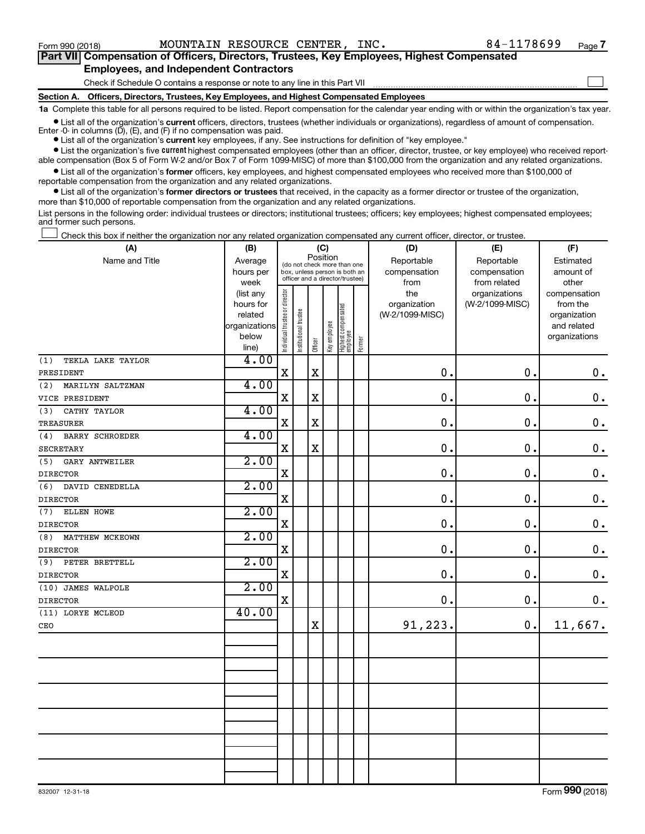$\Box$ 

| Part VII Compensation of Officers, Directors, Trustees, Key Employees, Highest Compensated |
|--------------------------------------------------------------------------------------------|
| <b>Employees, and Independent Contractors</b>                                              |

Check if Schedule O contains a response or note to any line in this Part VII

**Section A. Officers, Directors, Trustees, Key Employees, and Highest Compensated Employees**

**1a**  Complete this table for all persons required to be listed. Report compensation for the calendar year ending with or within the organization's tax year.

 $\bullet$  List all of the organization's current officers, directors, trustees (whether individuals or organizations), regardless of amount of compensation. Enter -0- in columns  $(D)$ ,  $(E)$ , and  $(F)$  if no compensation was paid.

**•** List all of the organization's **current** key employees, if any. See instructions for definition of "key employee."

**•** List the organization's five current highest compensated employees (other than an officer, director, trustee, or key employee) who received reportable compensation (Box 5 of Form W-2 and/or Box 7 of Form 1099-MISC) of more than \$100,000 from the organization and any related organizations.

**•** List all of the organization's former officers, key employees, and highest compensated employees who received more than \$100,000 of reportable compensation from the organization and any related organizations.

**•** List all of the organization's former directors or trustees that received, in the capacity as a former director or trustee of the organization, more than \$10,000 of reportable compensation from the organization and any related organizations.

List persons in the following order: individual trustees or directors; institutional trustees; officers; key employees; highest compensated employees; and former such persons.

Check this box if neither the organization nor any related organization compensated any current officer, director, or trustee.  $\Box$ 

| Position<br>Name and Title<br>Reportable<br>Reportable<br>Average<br>Estimated<br>(do not check more than one<br>compensation<br>compensation<br>hours per<br>box, unless person is both an<br>amount of<br>officer and a director/trustee)<br>week<br>from related<br>other<br>from<br>Individual trustee or director<br>the<br>organizations<br>(list any<br>compensation<br>(W-2/1099-MISC)<br>hours for<br>organization<br>from the<br>Highest compensated<br>employee<br>Institutional trustee<br>related<br>(W-2/1099-MISC)<br>organization<br>Key employee<br>organizations<br>and related<br>below<br>organizations<br>Former<br>Officer<br>line)<br>4.00<br>TEKLA LAKE TAYLOR |               |
|----------------------------------------------------------------------------------------------------------------------------------------------------------------------------------------------------------------------------------------------------------------------------------------------------------------------------------------------------------------------------------------------------------------------------------------------------------------------------------------------------------------------------------------------------------------------------------------------------------------------------------------------------------------------------------------|---------------|
|                                                                                                                                                                                                                                                                                                                                                                                                                                                                                                                                                                                                                                                                                        |               |
|                                                                                                                                                                                                                                                                                                                                                                                                                                                                                                                                                                                                                                                                                        |               |
|                                                                                                                                                                                                                                                                                                                                                                                                                                                                                                                                                                                                                                                                                        |               |
|                                                                                                                                                                                                                                                                                                                                                                                                                                                                                                                                                                                                                                                                                        |               |
|                                                                                                                                                                                                                                                                                                                                                                                                                                                                                                                                                                                                                                                                                        |               |
|                                                                                                                                                                                                                                                                                                                                                                                                                                                                                                                                                                                                                                                                                        |               |
|                                                                                                                                                                                                                                                                                                                                                                                                                                                                                                                                                                                                                                                                                        |               |
|                                                                                                                                                                                                                                                                                                                                                                                                                                                                                                                                                                                                                                                                                        |               |
|                                                                                                                                                                                                                                                                                                                                                                                                                                                                                                                                                                                                                                                                                        |               |
| (1)<br>$\rm X$<br>0.<br>X<br>$\mathbf 0$ .<br>PRESIDENT                                                                                                                                                                                                                                                                                                                                                                                                                                                                                                                                                                                                                                | $\mathbf 0$ . |
| 4.00<br>(2)<br>MARILYN SALTZMAN                                                                                                                                                                                                                                                                                                                                                                                                                                                                                                                                                                                                                                                        |               |
| $\mathbf X$<br>$\rm X$<br>0.<br>0.                                                                                                                                                                                                                                                                                                                                                                                                                                                                                                                                                                                                                                                     |               |
| VICE PRESIDENT                                                                                                                                                                                                                                                                                                                                                                                                                                                                                                                                                                                                                                                                         | $\mathbf 0$ . |
| 4.00<br>CATHY TAYLOR<br>(3)                                                                                                                                                                                                                                                                                                                                                                                                                                                                                                                                                                                                                                                            |               |
| 0.<br>$\mathbf 0$ .<br>$\mathbf X$<br>$\mathbf X$<br><b>TREASURER</b>                                                                                                                                                                                                                                                                                                                                                                                                                                                                                                                                                                                                                  | $\mathbf 0$ . |
| 4.00<br><b>BARRY SCHROEDER</b><br>(4)                                                                                                                                                                                                                                                                                                                                                                                                                                                                                                                                                                                                                                                  |               |
| $\mathbf X$<br>$\mathbf X$<br>0.<br>0.<br>SECRETARY                                                                                                                                                                                                                                                                                                                                                                                                                                                                                                                                                                                                                                    | $\mathbf 0$ . |
| 2.00<br>GARY ANTWEILER<br>(5)                                                                                                                                                                                                                                                                                                                                                                                                                                                                                                                                                                                                                                                          |               |
| $\mathbf X$<br>0.<br>0.<br><b>DIRECTOR</b>                                                                                                                                                                                                                                                                                                                                                                                                                                                                                                                                                                                                                                             | $\mathbf 0$ . |
| 2.00<br>(6)<br>DAVID CENEDELLA                                                                                                                                                                                                                                                                                                                                                                                                                                                                                                                                                                                                                                                         |               |
| X<br>0.<br>0.<br><b>DIRECTOR</b>                                                                                                                                                                                                                                                                                                                                                                                                                                                                                                                                                                                                                                                       | $\mathbf 0$ . |
| 2.00<br>ELLEN HOWE<br>(7)                                                                                                                                                                                                                                                                                                                                                                                                                                                                                                                                                                                                                                                              |               |
| 0.<br>$\mathbf 0$ .<br>$\mathbf X$<br><b>DIRECTOR</b>                                                                                                                                                                                                                                                                                                                                                                                                                                                                                                                                                                                                                                  | $\mathbf 0$ . |
| 2.00<br>MATTHEW MCKEOWN<br>(8)                                                                                                                                                                                                                                                                                                                                                                                                                                                                                                                                                                                                                                                         |               |
| $\mathbf X$<br>0.<br>0.<br><b>DIRECTOR</b>                                                                                                                                                                                                                                                                                                                                                                                                                                                                                                                                                                                                                                             | $\mathbf 0$ . |
| 2.00<br>(9)<br>PETER BRETTELL                                                                                                                                                                                                                                                                                                                                                                                                                                                                                                                                                                                                                                                          |               |
| 0.<br>$\mathbf X$<br>$\mathbf 0$ .<br><b>DIRECTOR</b>                                                                                                                                                                                                                                                                                                                                                                                                                                                                                                                                                                                                                                  | $\mathbf 0$ . |
| 2.00<br>(10) JAMES WALPOLE                                                                                                                                                                                                                                                                                                                                                                                                                                                                                                                                                                                                                                                             |               |
| 0.<br>0.<br>X<br><b>DIRECTOR</b>                                                                                                                                                                                                                                                                                                                                                                                                                                                                                                                                                                                                                                                       | 0.            |
| 40.00<br>(11) LORYE MCLEOD                                                                                                                                                                                                                                                                                                                                                                                                                                                                                                                                                                                                                                                             |               |
| 91,223.<br>11,667.<br>0.<br>$\mathbf X$<br>CEO                                                                                                                                                                                                                                                                                                                                                                                                                                                                                                                                                                                                                                         |               |
|                                                                                                                                                                                                                                                                                                                                                                                                                                                                                                                                                                                                                                                                                        |               |
|                                                                                                                                                                                                                                                                                                                                                                                                                                                                                                                                                                                                                                                                                        |               |
|                                                                                                                                                                                                                                                                                                                                                                                                                                                                                                                                                                                                                                                                                        |               |
|                                                                                                                                                                                                                                                                                                                                                                                                                                                                                                                                                                                                                                                                                        |               |
|                                                                                                                                                                                                                                                                                                                                                                                                                                                                                                                                                                                                                                                                                        |               |
|                                                                                                                                                                                                                                                                                                                                                                                                                                                                                                                                                                                                                                                                                        |               |
|                                                                                                                                                                                                                                                                                                                                                                                                                                                                                                                                                                                                                                                                                        |               |
|                                                                                                                                                                                                                                                                                                                                                                                                                                                                                                                                                                                                                                                                                        |               |
|                                                                                                                                                                                                                                                                                                                                                                                                                                                                                                                                                                                                                                                                                        |               |
|                                                                                                                                                                                                                                                                                                                                                                                                                                                                                                                                                                                                                                                                                        |               |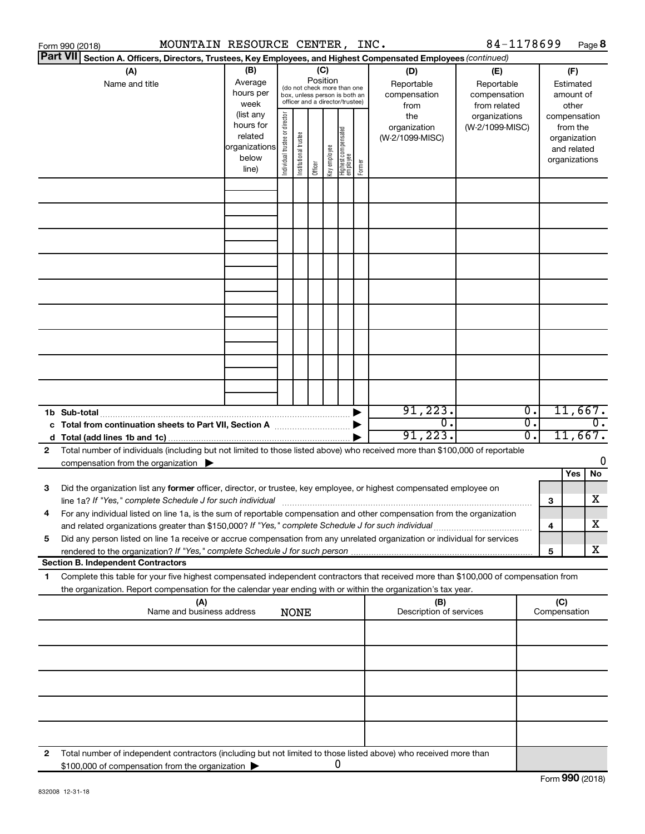|                 | MOUNTAIN RESOURCE CENTER, INC.<br>Form 990 (2018)                                                                                                                                                                                      |                                                         |                                                                                                                                                                                                                                   |                       |         |              |                                   |        |                                        | 84-1178699                             |                  |   | Page 8                                                                   |
|-----------------|----------------------------------------------------------------------------------------------------------------------------------------------------------------------------------------------------------------------------------------|---------------------------------------------------------|-----------------------------------------------------------------------------------------------------------------------------------------------------------------------------------------------------------------------------------|-----------------------|---------|--------------|-----------------------------------|--------|----------------------------------------|----------------------------------------|------------------|---|--------------------------------------------------------------------------|
| <b>Part VII</b> | Section A. Officers, Directors, Trustees, Key Employees, and Highest Compensated Employees (continued)                                                                                                                                 |                                                         |                                                                                                                                                                                                                                   |                       |         |              |                                   |        |                                        |                                        |                  |   |                                                                          |
|                 | (A)<br>Name and title                                                                                                                                                                                                                  | (B)<br>Average<br>hours per<br>week                     | (C)<br>(D)<br>(E)<br>Position<br>Reportable<br>Reportable<br>(do not check more than one<br>compensation<br>compensation<br>box, unless person is both an<br>officer and a director/trustee)<br>from related<br>from<br>(list any |                       |         |              |                                   |        |                                        | (F)<br>Estimated<br>amount of<br>other |                  |   |                                                                          |
|                 |                                                                                                                                                                                                                                        | hours for<br>related<br>organizations<br>below<br>line) | Individual trustee or director                                                                                                                                                                                                    | Institutional trustee | Officer | Key employee | Highest compensated<br>  employee | Former | the<br>organization<br>(W-2/1099-MISC) | organizations<br>(W-2/1099-MISC)       |                  |   | compensation<br>from the<br>organization<br>and related<br>organizations |
|                 |                                                                                                                                                                                                                                        |                                                         |                                                                                                                                                                                                                                   |                       |         |              |                                   |        |                                        |                                        |                  |   |                                                                          |
|                 |                                                                                                                                                                                                                                        |                                                         |                                                                                                                                                                                                                                   |                       |         |              |                                   |        |                                        |                                        |                  |   |                                                                          |
|                 |                                                                                                                                                                                                                                        |                                                         |                                                                                                                                                                                                                                   |                       |         |              |                                   |        |                                        |                                        |                  |   |                                                                          |
|                 |                                                                                                                                                                                                                                        |                                                         |                                                                                                                                                                                                                                   |                       |         |              |                                   |        |                                        |                                        |                  |   |                                                                          |
|                 |                                                                                                                                                                                                                                        |                                                         |                                                                                                                                                                                                                                   |                       |         |              |                                   |        |                                        |                                        |                  |   |                                                                          |
|                 |                                                                                                                                                                                                                                        |                                                         |                                                                                                                                                                                                                                   |                       |         |              |                                   |        |                                        |                                        |                  |   |                                                                          |
|                 |                                                                                                                                                                                                                                        |                                                         |                                                                                                                                                                                                                                   |                       |         |              |                                   |        |                                        |                                        |                  |   |                                                                          |
|                 |                                                                                                                                                                                                                                        |                                                         |                                                                                                                                                                                                                                   |                       |         |              |                                   |        |                                        |                                        |                  |   |                                                                          |
|                 |                                                                                                                                                                                                                                        |                                                         |                                                                                                                                                                                                                                   |                       |         |              |                                   |        | 91, 223.                               |                                        | $\overline{0}$ . |   | 11,667.                                                                  |
|                 | 1b Sub-total<br>c Total from continuation sheets to Part VII, Section A manufactured by                                                                                                                                                |                                                         |                                                                                                                                                                                                                                   |                       |         |              |                                   |        | $\overline{0}$ .<br>91, 223.           |                                        | σ.<br>0.         |   | $\overline{0}$ .<br>11,667.                                              |
| 2               | Total number of individuals (including but not limited to those listed above) who received more than \$100,000 of reportable<br>compensation from the organization $\blacktriangleright$                                               |                                                         |                                                                                                                                                                                                                                   |                       |         |              |                                   |        |                                        |                                        |                  |   | 0                                                                        |
|                 |                                                                                                                                                                                                                                        |                                                         |                                                                                                                                                                                                                                   |                       |         |              |                                   |        |                                        |                                        |                  |   | Yes<br>No                                                                |
| 3               | Did the organization list any former officer, director, or trustee, key employee, or highest compensated employee on<br>line 1a? If "Yes," complete Schedule J for such individual manufactured content to the set of the set of the s |                                                         |                                                                                                                                                                                                                                   |                       |         |              |                                   |        |                                        |                                        |                  | 3 | х                                                                        |
|                 | For any individual listed on line 1a, is the sum of reportable compensation and other compensation from the organization<br>and related organizations greater than \$150,000? If "Yes," complete Schedule J for such individual        |                                                         |                                                                                                                                                                                                                                   |                       |         |              |                                   |        |                                        |                                        |                  | 4 | х                                                                        |
| 5               | Did any person listed on line 1a receive or accrue compensation from any unrelated organization or individual for services                                                                                                             |                                                         |                                                                                                                                                                                                                                   |                       |         |              |                                   |        |                                        |                                        |                  | 5 | х                                                                        |
| 1.              | <b>Section B. Independent Contractors</b><br>Complete this table for your five highest compensated independent contractors that received more than \$100,000 of compensation from                                                      |                                                         |                                                                                                                                                                                                                                   |                       |         |              |                                   |        |                                        |                                        |                  |   |                                                                          |
|                 | the organization. Report compensation for the calendar year ending with or within the organization's tax year.                                                                                                                         |                                                         |                                                                                                                                                                                                                                   |                       |         |              |                                   |        |                                        |                                        |                  |   |                                                                          |
|                 | (A)<br>(B)<br>Name and business address<br>Description of services<br><b>NONE</b>                                                                                                                                                      |                                                         |                                                                                                                                                                                                                                   |                       |         |              |                                   |        | (C)<br>Compensation                    |                                        |                  |   |                                                                          |
|                 |                                                                                                                                                                                                                                        |                                                         |                                                                                                                                                                                                                                   |                       |         |              |                                   |        |                                        |                                        |                  |   |                                                                          |
|                 |                                                                                                                                                                                                                                        |                                                         |                                                                                                                                                                                                                                   |                       |         |              |                                   |        |                                        |                                        |                  |   |                                                                          |
|                 |                                                                                                                                                                                                                                        |                                                         |                                                                                                                                                                                                                                   |                       |         |              |                                   |        |                                        |                                        |                  |   |                                                                          |
|                 |                                                                                                                                                                                                                                        |                                                         |                                                                                                                                                                                                                                   |                       |         |              |                                   |        |                                        |                                        |                  |   |                                                                          |
| 2               | Total number of independent contractors (including but not limited to those listed above) who received more than                                                                                                                       |                                                         |                                                                                                                                                                                                                                   |                       |         |              |                                   |        |                                        |                                        |                  |   |                                                                          |
|                 | \$100,000 of compensation from the organization                                                                                                                                                                                        |                                                         |                                                                                                                                                                                                                                   |                       |         |              | 0                                 |        |                                        |                                        |                  |   |                                                                          |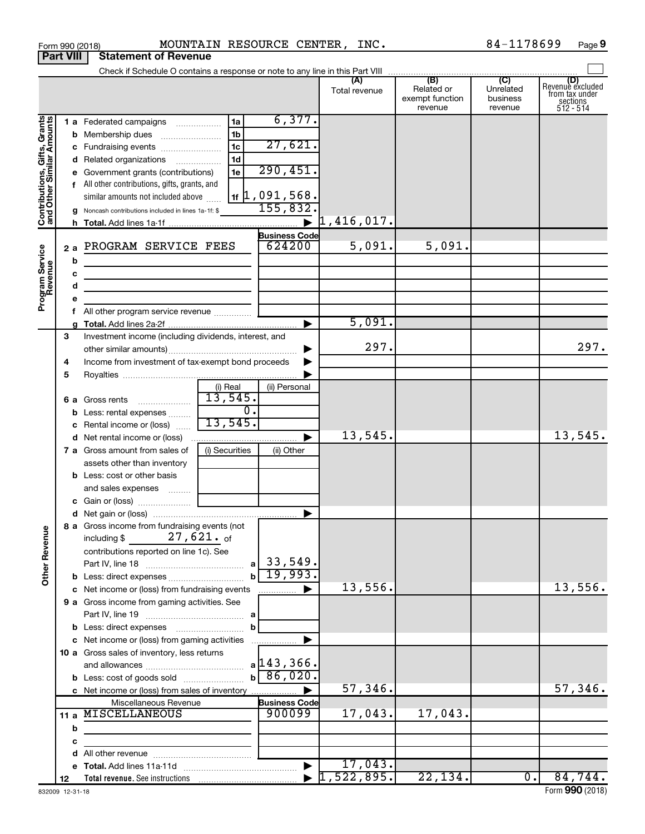|                                                                                         | <b>Part VIII</b>            | <b>Statement of Revenue</b>                                                                                                                                                                                                                                                                                                                                                                                                                                                                                                                                                                                          |                                                                |                                                                                                        |                                |                                          |                                  |                                                                    |
|-----------------------------------------------------------------------------------------|-----------------------------|----------------------------------------------------------------------------------------------------------------------------------------------------------------------------------------------------------------------------------------------------------------------------------------------------------------------------------------------------------------------------------------------------------------------------------------------------------------------------------------------------------------------------------------------------------------------------------------------------------------------|----------------------------------------------------------------|--------------------------------------------------------------------------------------------------------|--------------------------------|------------------------------------------|----------------------------------|--------------------------------------------------------------------|
|                                                                                         |                             |                                                                                                                                                                                                                                                                                                                                                                                                                                                                                                                                                                                                                      |                                                                |                                                                                                        |                                |                                          |                                  |                                                                    |
|                                                                                         |                             |                                                                                                                                                                                                                                                                                                                                                                                                                                                                                                                                                                                                                      |                                                                |                                                                                                        | Total revenue                  | Related or<br>exempt function<br>revenue | Unrelated<br>business<br>revenue | (D)<br>Revenue excluded<br>trom tax under<br>sections<br>512 - 514 |
| Contributions, Gifts, Grants<br>and Other Similar Amounts<br>Program Service<br>Revenue | 2a<br>b<br>с<br>d<br>е<br>f | 1 a Federated campaigns<br><b>b</b> Membership dues<br>c Fundraising events<br>d Related organizations<br>e Government grants (contributions)<br>f All other contributions, gifts, grants, and<br>similar amounts not included above<br>g Noncash contributions included in lines 1a-1f: \$<br>PROGRAM SERVICE FEES<br><u> 1980 - Johann Barn, amerikansk politiker (</u><br>the control of the control of the control of the control of the control of<br><u> 1989 - Johann Barbara, martin amerikan basal dan berasal dan berasal dalam basal dalam basal dalam basal dan</u><br>All other program service revenue | 1a<br>1 <sub>b</sub><br>1 <sub>c</sub><br>1 <sub>d</sub><br>1e | 6,377.<br>27,621.<br>290,451.<br>$1$ $\sharp$ 1,091,568.<br>155,832.<br><b>Business Code</b><br>624200 | 1,416,017.<br>5,091.<br>5,091. | 5,091.                                   |                                  |                                                                    |
|                                                                                         | 3                           | Investment income (including dividends, interest, and                                                                                                                                                                                                                                                                                                                                                                                                                                                                                                                                                                |                                                                |                                                                                                        |                                |                                          |                                  |                                                                    |
|                                                                                         | 4<br>5                      | Income from investment of tax-exempt bond proceeds                                                                                                                                                                                                                                                                                                                                                                                                                                                                                                                                                                   |                                                                |                                                                                                        | 297.                           |                                          |                                  | 297.                                                               |
|                                                                                         |                             | 6 a Gross rents<br><b>b</b> Less: rental expenses<br>c Rental income or (loss)                                                                                                                                                                                                                                                                                                                                                                                                                                                                                                                                       | (i) Real<br>13,545.<br>$\overline{0}$ .<br>13,545.             | (ii) Personal                                                                                          |                                |                                          |                                  |                                                                    |
|                                                                                         |                             |                                                                                                                                                                                                                                                                                                                                                                                                                                                                                                                                                                                                                      |                                                                |                                                                                                        | 13,545.                        |                                          |                                  | 13,545.                                                            |
|                                                                                         |                             | <b>7 a</b> Gross amount from sales of<br>assets other than inventory<br><b>b</b> Less: cost or other basis<br>and sales expenses                                                                                                                                                                                                                                                                                                                                                                                                                                                                                     | (i) Securities                                                 | (ii) Other                                                                                             |                                |                                          |                                  |                                                                    |
|                                                                                         |                             |                                                                                                                                                                                                                                                                                                                                                                                                                                                                                                                                                                                                                      |                                                                |                                                                                                        |                                |                                          |                                  |                                                                    |
| <b>Other Revenue</b>                                                                    |                             | 8 a Gross income from fundraising events (not<br>including \$<br>contributions reported on line 1c). See                                                                                                                                                                                                                                                                                                                                                                                                                                                                                                             | $27,621.$ of<br>$\mathbf{b}$                                   | $a$   33,549.<br>19,993.                                                                               |                                |                                          |                                  |                                                                    |
|                                                                                         |                             | c Net income or (loss) from fundraising events                                                                                                                                                                                                                                                                                                                                                                                                                                                                                                                                                                       |                                                                | .                                                                                                      | 13,556.                        |                                          |                                  | 13,556.                                                            |
|                                                                                         |                             | 9 a Gross income from gaming activities. See                                                                                                                                                                                                                                                                                                                                                                                                                                                                                                                                                                         | b                                                              |                                                                                                        |                                |                                          |                                  |                                                                    |
|                                                                                         |                             | c Net income or (loss) from gaming activities<br>10 a Gross sales of inventory, less returns<br><b>b</b> Less: cost of goods sold                                                                                                                                                                                                                                                                                                                                                                                                                                                                                    |                                                                | .<br>$a$ 143, 366.<br>$b \ 86,020.$                                                                    |                                |                                          |                                  |                                                                    |
|                                                                                         |                             |                                                                                                                                                                                                                                                                                                                                                                                                                                                                                                                                                                                                                      |                                                                |                                                                                                        | 57,346.                        |                                          |                                  | 57,346.                                                            |
|                                                                                         | b                           | Miscellaneous Revenue<br>11 a MISCELLANEOUS                                                                                                                                                                                                                                                                                                                                                                                                                                                                                                                                                                          |                                                                | <b>Business Code</b><br>900099                                                                         | 17,043.                        | 17,043.                                  |                                  |                                                                    |
|                                                                                         | с                           |                                                                                                                                                                                                                                                                                                                                                                                                                                                                                                                                                                                                                      |                                                                |                                                                                                        |                                |                                          |                                  |                                                                    |
|                                                                                         | d                           |                                                                                                                                                                                                                                                                                                                                                                                                                                                                                                                                                                                                                      |                                                                |                                                                                                        | 17,043.                        |                                          |                                  |                                                                    |
|                                                                                         | 12                          |                                                                                                                                                                                                                                                                                                                                                                                                                                                                                                                                                                                                                      |                                                                |                                                                                                        | 522,895.                       | 22, 134.                                 | $\overline{\phantom{0}}$         | 84,744.                                                            |

Form 990 (2018) MOUNTAIN RESOURCE CENTER, INC.  $84-1178699$  Page

84-1178699 Page 9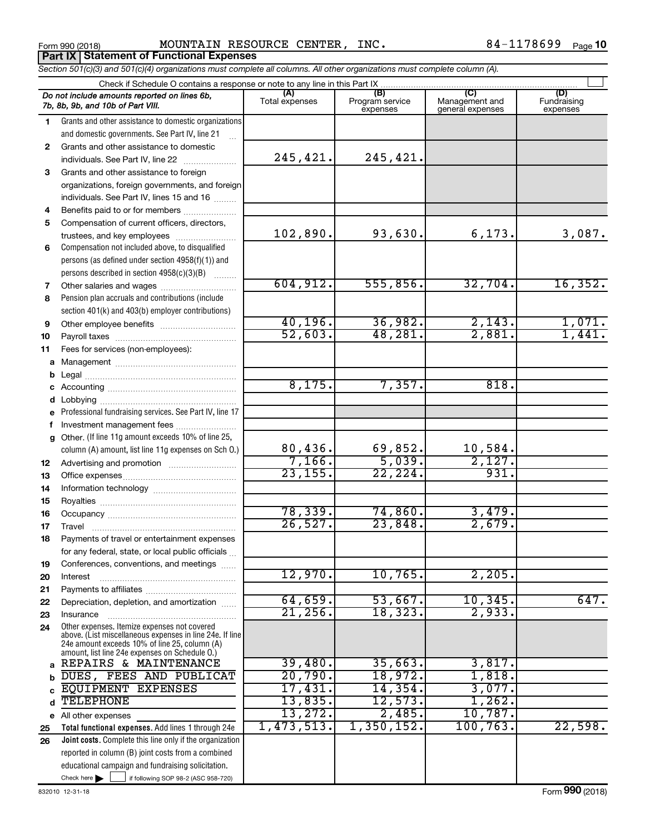Form 990 (2018) Page MOUNTAIN RESOURCE CENTER, INC. 84-1178699 **Part IX Statement of Functional Expenses**

84-1178699 Page 10

|    | Section 501(c)(3) and 501(c)(4) organizations must complete all columns. All other organizations must complete column (A).                                                                                  |                |                             |                                    |                         |
|----|-------------------------------------------------------------------------------------------------------------------------------------------------------------------------------------------------------------|----------------|-----------------------------|------------------------------------|-------------------------|
|    | Check if Schedule O contains a response or note to any line in this Part IX                                                                                                                                 | (A)            | (B)                         | (C)                                | (D)                     |
|    | Do not include amounts reported on lines 6b,<br>7b, 8b, 9b, and 10b of Part VIII.                                                                                                                           | Total expenses | Program service<br>expenses | Management and<br>general expenses | Fundraising<br>expenses |
| 1  | Grants and other assistance to domestic organizations                                                                                                                                                       |                |                             |                                    |                         |
|    | and domestic governments. See Part IV, line 21                                                                                                                                                              |                |                             |                                    |                         |
| 2  | Grants and other assistance to domestic                                                                                                                                                                     |                |                             |                                    |                         |
|    | individuals. See Part IV, line 22<br>.                                                                                                                                                                      | 245,421.       | 245,421.                    |                                    |                         |
| 3  | Grants and other assistance to foreign                                                                                                                                                                      |                |                             |                                    |                         |
|    | organizations, foreign governments, and foreign                                                                                                                                                             |                |                             |                                    |                         |
|    | individuals. See Part IV, lines 15 and 16                                                                                                                                                                   |                |                             |                                    |                         |
| 4  | Benefits paid to or for members                                                                                                                                                                             |                |                             |                                    |                         |
| 5  | Compensation of current officers, directors,                                                                                                                                                                |                |                             |                                    |                         |
|    | trustees, and key employees                                                                                                                                                                                 | 102,890.       | 93,630.                     | 6,173.                             | 3,087.                  |
| 6  | Compensation not included above, to disqualified                                                                                                                                                            |                |                             |                                    |                         |
|    | persons (as defined under section 4958(f)(1)) and                                                                                                                                                           |                |                             |                                    |                         |
|    | persons described in section 4958(c)(3)(B)<br><b>Bassiness</b>                                                                                                                                              |                |                             |                                    |                         |
| 7  |                                                                                                                                                                                                             | 604, 912.      | 555,856.                    | 32,704.                            | 16,352.                 |
| 8  | Pension plan accruals and contributions (include                                                                                                                                                            |                |                             |                                    |                         |
|    | section 401(k) and 403(b) employer contributions)                                                                                                                                                           |                |                             |                                    |                         |
| 9  |                                                                                                                                                                                                             | 40, 196.       | 36,982.                     | 2,143.                             | $\frac{1,071.}{1,441.}$ |
| 10 |                                                                                                                                                                                                             | 52,603.        | 48,281.                     | 2,881.                             |                         |
| 11 | Fees for services (non-employees):                                                                                                                                                                          |                |                             |                                    |                         |
| а  |                                                                                                                                                                                                             |                |                             |                                    |                         |
| b  |                                                                                                                                                                                                             |                |                             |                                    |                         |
| с  |                                                                                                                                                                                                             | 8,175.         | 7,357.                      | 818.                               |                         |
| d  |                                                                                                                                                                                                             |                |                             |                                    |                         |
| e  | Professional fundraising services. See Part IV, line 17                                                                                                                                                     |                |                             |                                    |                         |
| f  | Investment management fees                                                                                                                                                                                  |                |                             |                                    |                         |
| g  | Other. (If line 11g amount exceeds 10% of line 25,                                                                                                                                                          |                |                             |                                    |                         |
|    | column (A) amount, list line 11g expenses on Sch 0.)                                                                                                                                                        | 80,436.        | 69,852.                     | 10,584.                            |                         |
| 12 |                                                                                                                                                                                                             | 7,166.         | 5,039.                      | 2,127.                             |                         |
| 13 |                                                                                                                                                                                                             | 23, 155.       | 22, 224.                    | 931.                               |                         |
| 14 |                                                                                                                                                                                                             |                |                             |                                    |                         |
| 15 |                                                                                                                                                                                                             |                |                             |                                    |                         |
| 16 |                                                                                                                                                                                                             | 78, 339.       | 74,860.                     | 3,479.                             |                         |
| 17 |                                                                                                                                                                                                             | 26,527.        | 23,848.                     | 2,679.                             |                         |
| 18 | Payments of travel or entertainment expenses                                                                                                                                                                |                |                             |                                    |                         |
|    | for any federal, state, or local public officials                                                                                                                                                           |                |                             |                                    |                         |
| 19 | Conferences, conventions, and meetings                                                                                                                                                                      |                |                             |                                    |                         |
| 20 | Interest                                                                                                                                                                                                    | 12,970.        | 10,765.                     | 2,205.                             |                         |
| 21 |                                                                                                                                                                                                             |                |                             |                                    |                         |
| 22 | Depreciation, depletion, and amortization                                                                                                                                                                   | 64,659.        | 53,667.                     | 10, 345.                           | 647.                    |
| 23 | Insurance                                                                                                                                                                                                   | 21,256         | 18,323.                     | 2,933.                             |                         |
| 24 | Other expenses. Itemize expenses not covered<br>above. (List miscellaneous expenses in line 24e. If line<br>24e amount exceeds 10% of line 25, column (A)<br>amount, list line 24e expenses on Schedule O.) |                |                             |                                    |                         |
| a  | REPAIRS & MAINTENANCE                                                                                                                                                                                       | 39,480.        | 35,663.                     | 3,817.                             |                         |
| b  | DUES, FEES AND PUBLICAT                                                                                                                                                                                     | 20,790.        | 18,972.                     | 1,818.                             |                         |
|    | EQUIPMENT EXPENSES                                                                                                                                                                                          | 17,431.        | 14,354.                     | 3,077.                             |                         |
| d  | <b>TELEPHONE</b>                                                                                                                                                                                            | 13,835.        | 12,573.                     | 1,262.                             |                         |
|    | e All other expenses                                                                                                                                                                                        | 13,272.        | 2,485.                      | 10,787.                            |                         |
| 25 | Total functional expenses. Add lines 1 through 24e                                                                                                                                                          | 1,473,513.     | 1,350,152.                  | 100, 763.                          | 22,598.                 |
| 26 | <b>Joint costs.</b> Complete this line only if the organization                                                                                                                                             |                |                             |                                    |                         |
|    | reported in column (B) joint costs from a combined                                                                                                                                                          |                |                             |                                    |                         |
|    | educational campaign and fundraising solicitation.                                                                                                                                                          |                |                             |                                    |                         |
|    | Check here $\blacktriangleright$<br>if following SOP 98-2 (ASC 958-720)                                                                                                                                     |                |                             |                                    |                         |
|    |                                                                                                                                                                                                             |                |                             |                                    |                         |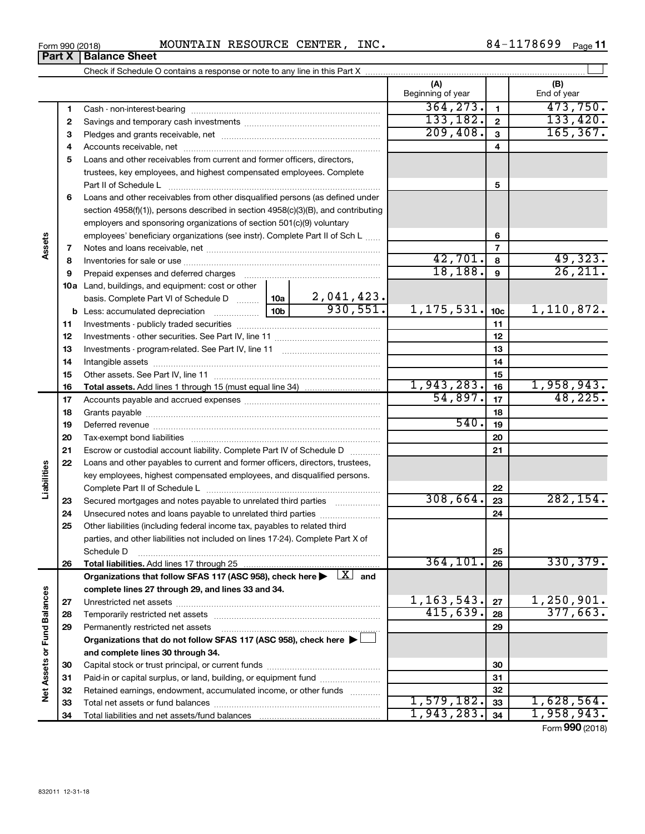|  | Form 990 (2018) | MOUNTAIN | RESOURCE | <b>CENTER</b> | INC | 178699<br>84. | Page |
|--|-----------------|----------|----------|---------------|-----|---------------|------|
|--|-----------------|----------|----------|---------------|-----|---------------|------|

|                             |    | Check if Schedule O contains a response or note to any line in this Part X [11] content the content to contain the content of the content of the content of the content of the content of the content of the content of the co |                 |                               |                          |                 |                             |
|-----------------------------|----|--------------------------------------------------------------------------------------------------------------------------------------------------------------------------------------------------------------------------------|-----------------|-------------------------------|--------------------------|-----------------|-----------------------------|
|                             |    |                                                                                                                                                                                                                                |                 |                               | (A)<br>Beginning of year |                 | (B)<br>End of year          |
|                             | 1  |                                                                                                                                                                                                                                |                 |                               | 364, 273.                | $\mathbf{1}$    | 473,750.                    |
|                             | 2  |                                                                                                                                                                                                                                |                 |                               | 133, 182.                | $\mathbf{2}$    | 133,420.                    |
|                             | 3  |                                                                                                                                                                                                                                |                 |                               | 209,408.                 | $\mathbf{3}$    | 165, 367.                   |
|                             | 4  |                                                                                                                                                                                                                                |                 |                               |                          | 4               |                             |
|                             | 5  | Loans and other receivables from current and former officers, directors,                                                                                                                                                       |                 |                               |                          |                 |                             |
|                             |    | trustees, key employees, and highest compensated employees. Complete                                                                                                                                                           |                 |                               |                          |                 |                             |
|                             |    |                                                                                                                                                                                                                                |                 |                               |                          | 5               |                             |
|                             | 6  | Loans and other receivables from other disqualified persons (as defined under                                                                                                                                                  |                 |                               |                          |                 |                             |
|                             |    | section 4958(f)(1)), persons described in section 4958(c)(3)(B), and contributing                                                                                                                                              |                 |                               |                          |                 |                             |
|                             |    | employers and sponsoring organizations of section 501(c)(9) voluntary                                                                                                                                                          |                 |                               |                          |                 |                             |
|                             |    | employees' beneficiary organizations (see instr). Complete Part II of Sch L                                                                                                                                                    |                 |                               |                          | 6               |                             |
| Assets                      | 7  |                                                                                                                                                                                                                                |                 |                               |                          | $\overline{7}$  |                             |
|                             | 8  |                                                                                                                                                                                                                                |                 |                               | 42,701.                  | 8               | $\frac{49,323}{26,211}$     |
|                             | 9  | Prepaid expenses and deferred charges [11] [11] prepaid expenses and deferred charges [11] [11] minimum and the Prepaid expenses and deferred charges [11] minimum and the Prepaid experiment of Prepaid experiment and the Pr |                 |                               | 18, 188.                 | 9               |                             |
|                             |    | 10a Land, buildings, and equipment: cost or other                                                                                                                                                                              |                 |                               |                          |                 |                             |
|                             |    | basis. Complete Part VI of Schedule D  10a                                                                                                                                                                                     |                 | $\frac{2,041,423.}{930,551.}$ |                          |                 |                             |
|                             |    |                                                                                                                                                                                                                                | 10 <sub>b</sub> |                               | 1, 175, 531.             | 10 <sub>c</sub> | 1,110,872.                  |
|                             | 11 |                                                                                                                                                                                                                                |                 |                               |                          | 11              |                             |
|                             | 12 |                                                                                                                                                                                                                                |                 |                               |                          | 12              |                             |
|                             | 13 |                                                                                                                                                                                                                                |                 | 13                            |                          |                 |                             |
|                             | 14 |                                                                                                                                                                                                                                |                 | 14                            |                          |                 |                             |
|                             | 15 |                                                                                                                                                                                                                                |                 |                               | 15                       |                 |                             |
|                             | 16 |                                                                                                                                                                                                                                |                 |                               | 1,943,283.               | 16              | 1,958,943.                  |
|                             | 17 |                                                                                                                                                                                                                                | 54,897.         | 17                            | 48, 225.                 |                 |                             |
|                             | 18 |                                                                                                                                                                                                                                |                 |                               |                          | 18              |                             |
|                             | 19 |                                                                                                                                                                                                                                |                 |                               | 540.                     | 19              |                             |
|                             | 20 |                                                                                                                                                                                                                                |                 |                               |                          | 20              |                             |
|                             | 21 | Escrow or custodial account liability. Complete Part IV of Schedule D                                                                                                                                                          |                 |                               |                          | 21              |                             |
|                             | 22 | Loans and other payables to current and former officers, directors, trustees,                                                                                                                                                  |                 |                               |                          |                 |                             |
| Liabilities                 |    | key employees, highest compensated employees, and disqualified persons.                                                                                                                                                        |                 |                               |                          |                 |                             |
|                             |    |                                                                                                                                                                                                                                |                 |                               | 308,664.                 | 22              |                             |
|                             | 23 | Secured mortgages and notes payable to unrelated third parties <i>manumum</i>                                                                                                                                                  |                 |                               |                          | 23              | 282, 154.                   |
|                             | 24 | Unsecured notes and loans payable to unrelated third parties                                                                                                                                                                   |                 |                               |                          | 24              |                             |
|                             | 25 | Other liabilities (including federal income tax, payables to related third                                                                                                                                                     |                 |                               |                          |                 |                             |
|                             |    | parties, and other liabilities not included on lines 17-24). Complete Part X of                                                                                                                                                |                 |                               |                          |                 |                             |
|                             |    | Schedule D<br>Total liabilities. Add lines 17 through 25                                                                                                                                                                       |                 |                               | 364, 101.                | 25<br>26        | 330, 379.                   |
|                             | 26 | Organizations that follow SFAS 117 (ASC 958), check here $\blacktriangleright \begin{array}{c} \perp X \end{array}$ and                                                                                                        |                 |                               |                          |                 |                             |
|                             |    | complete lines 27 through 29, and lines 33 and 34.                                                                                                                                                                             |                 |                               |                          |                 |                             |
|                             | 27 |                                                                                                                                                                                                                                |                 |                               | 1, 163, 543.             | 27              | 1,250,901.                  |
|                             | 28 | Temporarily restricted net assets                                                                                                                                                                                              |                 |                               | 415,639.                 | 28              | 377,663.                    |
|                             | 29 | Permanently restricted net assets                                                                                                                                                                                              |                 |                               |                          | 29              |                             |
|                             |    | Organizations that do not follow SFAS 117 (ASC 958), check here $\blacktriangleright$                                                                                                                                          |                 |                               |                          |                 |                             |
|                             |    | and complete lines 30 through 34.                                                                                                                                                                                              |                 |                               |                          |                 |                             |
| Net Assets or Fund Balances | 30 |                                                                                                                                                                                                                                |                 |                               |                          | 30              |                             |
|                             | 31 | Paid-in or capital surplus, or land, building, or equipment fund                                                                                                                                                               |                 |                               |                          | 31              |                             |
|                             | 32 | Retained earnings, endowment, accumulated income, or other funds                                                                                                                                                               |                 |                               |                          | 32              |                             |
|                             | 33 |                                                                                                                                                                                                                                |                 |                               | 1,579,182.               | 33              | 1,628,564.                  |
|                             | 34 |                                                                                                                                                                                                                                |                 |                               | 1,943,283.               | 34              | 1,958,943.                  |
|                             |    |                                                                                                                                                                                                                                |                 |                               |                          |                 | $F_{\text{sum}}$ 000 (2018) |

**Part X** | Balance Sheet

 $\overline{\phantom{0}}$ 

Form (2018) **990**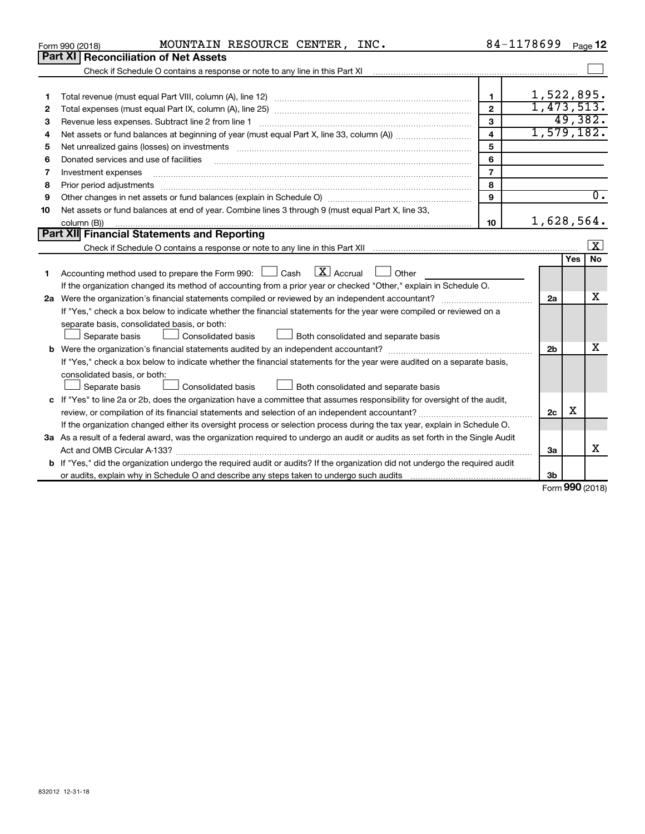|    | MOUNTAIN RESOURCE CENTER, INC.<br>Form 990 (2018)                                                                                    | 84-1178699              |            | Page 12                     |                     |
|----|--------------------------------------------------------------------------------------------------------------------------------------|-------------------------|------------|-----------------------------|---------------------|
|    | Part XI<br><b>Reconciliation of Net Assets</b>                                                                                       |                         |            |                             |                     |
|    |                                                                                                                                      |                         |            |                             |                     |
|    |                                                                                                                                      |                         |            |                             |                     |
| 1  |                                                                                                                                      | $\mathbf{1}$            | 1,522,895. |                             |                     |
| 2  |                                                                                                                                      | $\mathbf{2}$            | 1,473,513. |                             |                     |
| З  |                                                                                                                                      | 3                       |            | 49,382.                     |                     |
| 4  |                                                                                                                                      | $\overline{\mathbf{4}}$ | 1,579,182. |                             |                     |
| 5  |                                                                                                                                      | 5                       |            |                             |                     |
| 6  | Donated services and use of facilities                                                                                               | 6                       |            |                             |                     |
| 7  | Investment expenses                                                                                                                  | $\overline{7}$          |            |                             |                     |
| 8  | Prior period adjustments                                                                                                             | 8                       |            |                             |                     |
| 9  |                                                                                                                                      | 9                       |            |                             | $\overline{0}$ .    |
| 10 | Net assets or fund balances at end of year. Combine lines 3 through 9 (must equal Part X, line 33,                                   |                         |            |                             |                     |
|    | column (B))                                                                                                                          | 10                      | 1,628,564. |                             |                     |
|    | Part XII Financial Statements and Reporting                                                                                          |                         |            |                             |                     |
|    |                                                                                                                                      |                         |            |                             | $\lfloor x \rfloor$ |
|    |                                                                                                                                      |                         |            | Yes                         | <b>No</b>           |
| 1. | Accounting method used to prepare the Form 990: $\Box$ Cash $\Box$ Accrual $\Box$ Other                                              |                         |            |                             |                     |
|    | If the organization changed its method of accounting from a prior year or checked "Other," explain in Schedule O.                    |                         |            |                             |                     |
|    |                                                                                                                                      |                         | 2a         |                             | x                   |
|    | If "Yes," check a box below to indicate whether the financial statements for the year were compiled or reviewed on a                 |                         |            |                             |                     |
|    | separate basis, consolidated basis, or both:                                                                                         |                         |            |                             |                     |
|    | Separate basis<br>Consolidated basis<br>Both consolidated and separate basis                                                         |                         |            |                             |                     |
|    |                                                                                                                                      |                         | 2b         |                             | x                   |
|    | If "Yes," check a box below to indicate whether the financial statements for the year were audited on a separate basis,              |                         |            |                             |                     |
|    | consolidated basis, or both:                                                                                                         |                         |            |                             |                     |
|    | Consolidated basis<br>Both consolidated and separate basis<br>Separate basis                                                         |                         |            |                             |                     |
|    | c If "Yes" to line 2a or 2b, does the organization have a committee that assumes responsibility for oversight of the audit,          |                         |            |                             |                     |
|    |                                                                                                                                      |                         | 2c         | X                           |                     |
|    | If the organization changed either its oversight process or selection process during the tax year, explain in Schedule O.            |                         |            |                             |                     |
|    | 3a As a result of a federal award, was the organization required to undergo an audit or audits as set forth in the Single Audit      |                         |            |                             |                     |
|    |                                                                                                                                      |                         | За         |                             | х                   |
|    | <b>b</b> If "Yes," did the organization undergo the required audit or audits? If the organization did not undergo the required audit |                         |            |                             |                     |
|    |                                                                                                                                      |                         | 3b         |                             |                     |
|    |                                                                                                                                      |                         |            | $F_{\text{orm}}$ 990 (2018) |                     |

Form (2018) **990**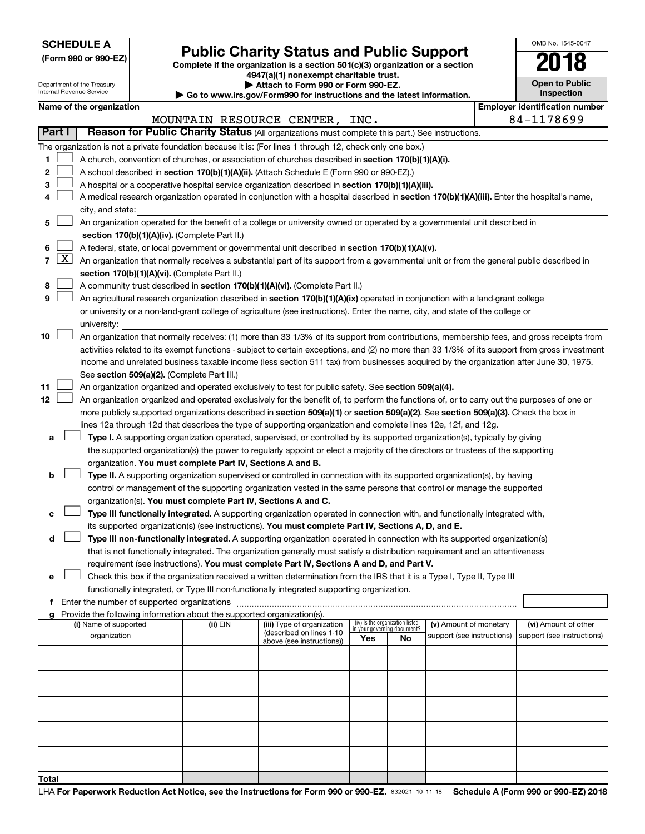**SCHEDULE A**

# Form 990 or 990-EZ)<br>
Complete if the organization is a section 501(c)(3) organization or a section<br> **Public Charity Status and Public Support**

**4947(a)(1) nonexempt charitable trust.**

| <b>Open to Public</b><br>Inspection |
|-------------------------------------|
|                                     |

OMB No. 1545-0047

|                |                                                                                                           | Department of the Treasury<br>Internal Revenue Service                                                                                        |  |                                                                                    | Attach to Form 990 or Form 990-EZ.<br>Go to www.irs.gov/Form990 for instructions and the latest information.                                  |                                 |                                   |                            |  | <b>Open to Public</b><br>Inspection   |  |
|----------------|-----------------------------------------------------------------------------------------------------------|-----------------------------------------------------------------------------------------------------------------------------------------------|--|------------------------------------------------------------------------------------|-----------------------------------------------------------------------------------------------------------------------------------------------|---------------------------------|-----------------------------------|----------------------------|--|---------------------------------------|--|
|                |                                                                                                           | Name of the organization                                                                                                                      |  |                                                                                    |                                                                                                                                               |                                 |                                   |                            |  | <b>Employer identification number</b> |  |
|                |                                                                                                           |                                                                                                                                               |  |                                                                                    | MOUNTAIN RESOURCE CENTER, INC.                                                                                                                |                                 |                                   |                            |  | 84-1178699                            |  |
| Part I         |                                                                                                           |                                                                                                                                               |  |                                                                                    | Reason for Public Charity Status (All organizations must complete this part.) See instructions.                                               |                                 |                                   |                            |  |                                       |  |
|                | The organization is not a private foundation because it is: (For lines 1 through 12, check only one box.) |                                                                                                                                               |  |                                                                                    |                                                                                                                                               |                                 |                                   |                            |  |                                       |  |
| 1              |                                                                                                           |                                                                                                                                               |  |                                                                                    | A church, convention of churches, or association of churches described in section 170(b)(1)(A)(i).                                            |                                 |                                   |                            |  |                                       |  |
| 2              |                                                                                                           |                                                                                                                                               |  |                                                                                    | A school described in section 170(b)(1)(A)(ii). (Attach Schedule E (Form 990 or 990-EZ).)                                                     |                                 |                                   |                            |  |                                       |  |
| 3              |                                                                                                           | A hospital or a cooperative hospital service organization described in section 170(b)(1)(A)(iii).                                             |  |                                                                                    |                                                                                                                                               |                                 |                                   |                            |  |                                       |  |
| 4              |                                                                                                           | A medical research organization operated in conjunction with a hospital described in section 170(b)(1)(A)(iii). Enter the hospital's name,    |  |                                                                                    |                                                                                                                                               |                                 |                                   |                            |  |                                       |  |
|                |                                                                                                           | city, and state:<br>An organization operated for the benefit of a college or university owned or operated by a governmental unit described in |  |                                                                                    |                                                                                                                                               |                                 |                                   |                            |  |                                       |  |
| 5              |                                                                                                           |                                                                                                                                               |  |                                                                                    |                                                                                                                                               |                                 |                                   |                            |  |                                       |  |
|                |                                                                                                           |                                                                                                                                               |  | section 170(b)(1)(A)(iv). (Complete Part II.)                                      |                                                                                                                                               |                                 |                                   |                            |  |                                       |  |
| 6              |                                                                                                           |                                                                                                                                               |  |                                                                                    | A federal, state, or local government or governmental unit described in section 170(b)(1)(A)(v).                                              |                                 |                                   |                            |  |                                       |  |
| $\overline{7}$ | <u>x</u>                                                                                                  |                                                                                                                                               |  |                                                                                    | An organization that normally receives a substantial part of its support from a governmental unit or from the general public described in     |                                 |                                   |                            |  |                                       |  |
|                |                                                                                                           |                                                                                                                                               |  | section 170(b)(1)(A)(vi). (Complete Part II.)                                      |                                                                                                                                               |                                 |                                   |                            |  |                                       |  |
| 8              |                                                                                                           |                                                                                                                                               |  |                                                                                    | A community trust described in section 170(b)(1)(A)(vi). (Complete Part II.)                                                                  |                                 |                                   |                            |  |                                       |  |
| 9              |                                                                                                           |                                                                                                                                               |  |                                                                                    | An agricultural research organization described in section 170(b)(1)(A)(ix) operated in conjunction with a land-grant college                 |                                 |                                   |                            |  |                                       |  |
|                |                                                                                                           |                                                                                                                                               |  |                                                                                    | or university or a non-land-grant college of agriculture (see instructions). Enter the name, city, and state of the college or                |                                 |                                   |                            |  |                                       |  |
| 10             |                                                                                                           | university:                                                                                                                                   |  |                                                                                    | An organization that normally receives: (1) more than 33 1/3% of its support from contributions, membership fees, and gross receipts from     |                                 |                                   |                            |  |                                       |  |
|                |                                                                                                           |                                                                                                                                               |  |                                                                                    | activities related to its exempt functions - subject to certain exceptions, and (2) no more than 33 1/3% of its support from gross investment |                                 |                                   |                            |  |                                       |  |
|                |                                                                                                           |                                                                                                                                               |  |                                                                                    | income and unrelated business taxable income (less section 511 tax) from businesses acquired by the organization after June 30, 1975.         |                                 |                                   |                            |  |                                       |  |
|                |                                                                                                           |                                                                                                                                               |  | See section 509(a)(2). (Complete Part III.)                                        |                                                                                                                                               |                                 |                                   |                            |  |                                       |  |
| 11             |                                                                                                           |                                                                                                                                               |  |                                                                                    | An organization organized and operated exclusively to test for public safety. See section 509(a)(4).                                          |                                 |                                   |                            |  |                                       |  |
| 12             |                                                                                                           |                                                                                                                                               |  |                                                                                    | An organization organized and operated exclusively for the benefit of, to perform the functions of, or to carry out the purposes of one or    |                                 |                                   |                            |  |                                       |  |
|                |                                                                                                           |                                                                                                                                               |  |                                                                                    | more publicly supported organizations described in section 509(a)(1) or section 509(a)(2). See section 509(a)(3). Check the box in            |                                 |                                   |                            |  |                                       |  |
|                |                                                                                                           |                                                                                                                                               |  |                                                                                    | lines 12a through 12d that describes the type of supporting organization and complete lines 12e, 12f, and 12g.                                |                                 |                                   |                            |  |                                       |  |
| а              |                                                                                                           |                                                                                                                                               |  |                                                                                    | Type I. A supporting organization operated, supervised, or controlled by its supported organization(s), typically by giving                   |                                 |                                   |                            |  |                                       |  |
|                |                                                                                                           |                                                                                                                                               |  |                                                                                    | the supported organization(s) the power to regularly appoint or elect a majority of the directors or trustees of the supporting               |                                 |                                   |                            |  |                                       |  |
|                |                                                                                                           |                                                                                                                                               |  | organization. You must complete Part IV, Sections A and B.                         |                                                                                                                                               |                                 |                                   |                            |  |                                       |  |
| b              |                                                                                                           |                                                                                                                                               |  |                                                                                    | Type II. A supporting organization supervised or controlled in connection with its supported organization(s), by having                       |                                 |                                   |                            |  |                                       |  |
|                |                                                                                                           |                                                                                                                                               |  |                                                                                    | control or management of the supporting organization vested in the same persons that control or manage the supported                          |                                 |                                   |                            |  |                                       |  |
|                |                                                                                                           |                                                                                                                                               |  | organization(s). You must complete Part IV, Sections A and C.                      |                                                                                                                                               |                                 |                                   |                            |  |                                       |  |
| с              |                                                                                                           |                                                                                                                                               |  |                                                                                    | Type III functionally integrated. A supporting organization operated in connection with, and functionally integrated with,                    |                                 |                                   |                            |  |                                       |  |
|                |                                                                                                           |                                                                                                                                               |  |                                                                                    | its supported organization(s) (see instructions). You must complete Part IV, Sections A, D, and E.                                            |                                 |                                   |                            |  |                                       |  |
| d              |                                                                                                           |                                                                                                                                               |  |                                                                                    | Type III non-functionally integrated. A supporting organization operated in connection with its supported organization(s)                     |                                 |                                   |                            |  |                                       |  |
|                |                                                                                                           |                                                                                                                                               |  |                                                                                    | that is not functionally integrated. The organization generally must satisfy a distribution requirement and an attentiveness                  |                                 |                                   |                            |  |                                       |  |
|                |                                                                                                           |                                                                                                                                               |  |                                                                                    | requirement (see instructions). You must complete Part IV, Sections A and D, and Part V.                                                      |                                 |                                   |                            |  |                                       |  |
| е              |                                                                                                           |                                                                                                                                               |  |                                                                                    | Check this box if the organization received a written determination from the IRS that it is a Type I, Type II, Type III                       |                                 |                                   |                            |  |                                       |  |
|                |                                                                                                           |                                                                                                                                               |  |                                                                                    | functionally integrated, or Type III non-functionally integrated supporting organization.                                                     |                                 |                                   |                            |  |                                       |  |
|                |                                                                                                           |                                                                                                                                               |  |                                                                                    |                                                                                                                                               |                                 |                                   |                            |  |                                       |  |
| g              |                                                                                                           | (i) Name of supported                                                                                                                         |  | Provide the following information about the supported organization(s).<br>(ii) EIN | (iii) Type of organization                                                                                                                    | (iv) Is the organization listed |                                   | (v) Amount of monetary     |  | (vi) Amount of other                  |  |
|                |                                                                                                           | organization                                                                                                                                  |  |                                                                                    | (described on lines 1-10                                                                                                                      | Yes                             | in your governing document?<br>No | support (see instructions) |  | support (see instructions)            |  |
|                |                                                                                                           |                                                                                                                                               |  |                                                                                    | above (see instructions))                                                                                                                     |                                 |                                   |                            |  |                                       |  |
|                |                                                                                                           |                                                                                                                                               |  |                                                                                    |                                                                                                                                               |                                 |                                   |                            |  |                                       |  |
|                |                                                                                                           |                                                                                                                                               |  |                                                                                    |                                                                                                                                               |                                 |                                   |                            |  |                                       |  |
|                |                                                                                                           |                                                                                                                                               |  |                                                                                    |                                                                                                                                               |                                 |                                   |                            |  |                                       |  |
|                |                                                                                                           |                                                                                                                                               |  |                                                                                    |                                                                                                                                               |                                 |                                   |                            |  |                                       |  |
|                |                                                                                                           |                                                                                                                                               |  |                                                                                    |                                                                                                                                               |                                 |                                   |                            |  |                                       |  |
|                |                                                                                                           |                                                                                                                                               |  |                                                                                    |                                                                                                                                               |                                 |                                   |                            |  |                                       |  |
|                |                                                                                                           |                                                                                                                                               |  |                                                                                    |                                                                                                                                               |                                 |                                   |                            |  |                                       |  |
|                |                                                                                                           |                                                                                                                                               |  |                                                                                    |                                                                                                                                               |                                 |                                   |                            |  |                                       |  |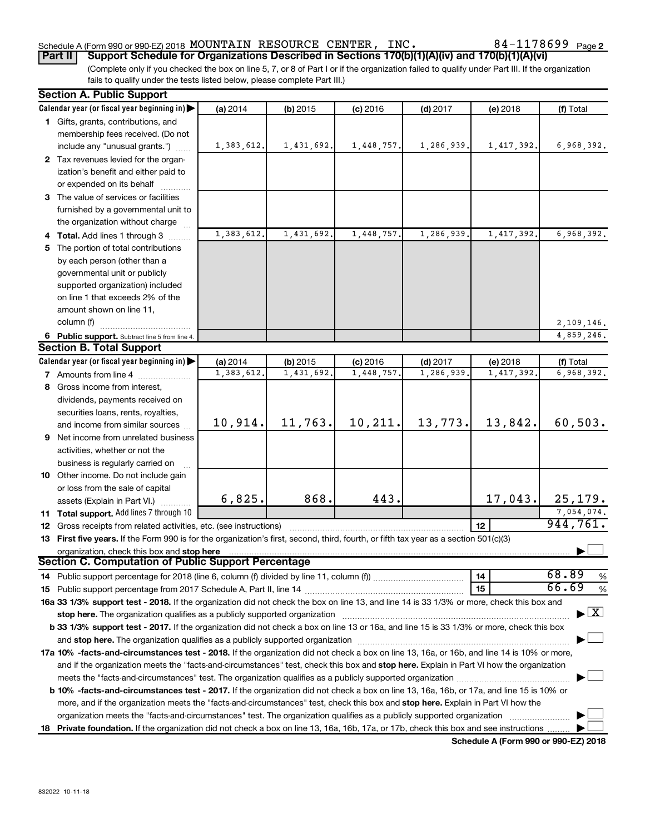### Schedule A (Form 990 or 990-EZ) 2018 MOUNTAIN RESOURCE CENTER, INC.  $84-1178699$   $_{\sf Page}$

(Complete only if you checked the box on line 5, 7, or 8 of Part I or if the organization failed to qualify under Part III. If the organization **Part II Support Schedule for Organizations Described in Sections 170(b)(1)(A)(iv) and 170(b)(1)(A)(vi)**

fails to qualify under the tests listed below, please complete Part III.)

| <b>Section A. Public Support</b>                                                                                                                                                                                                                             |            |            |            |            |            |                        |
|--------------------------------------------------------------------------------------------------------------------------------------------------------------------------------------------------------------------------------------------------------------|------------|------------|------------|------------|------------|------------------------|
| Calendar year (or fiscal year beginning in)                                                                                                                                                                                                                  | (a) 2014   | $(b)$ 2015 | $(c)$ 2016 | $(d)$ 2017 | (e) 2018   | (f) Total              |
| 1 Gifts, grants, contributions, and                                                                                                                                                                                                                          |            |            |            |            |            |                        |
| membership fees received. (Do not                                                                                                                                                                                                                            |            |            |            |            |            |                        |
| include any "unusual grants.")                                                                                                                                                                                                                               | 1,383,612. | 1,431,692. | 1,448,757. | 1,286,939. | 1,417,392. | 6,968,392.             |
| 2 Tax revenues levied for the organ-                                                                                                                                                                                                                         |            |            |            |            |            |                        |
| ization's benefit and either paid to                                                                                                                                                                                                                         |            |            |            |            |            |                        |
| or expended on its behalf                                                                                                                                                                                                                                    |            |            |            |            |            |                        |
| 3 The value of services or facilities                                                                                                                                                                                                                        |            |            |            |            |            |                        |
| furnished by a governmental unit to                                                                                                                                                                                                                          |            |            |            |            |            |                        |
| the organization without charge                                                                                                                                                                                                                              |            |            |            |            |            |                        |
| 4 Total. Add lines 1 through 3                                                                                                                                                                                                                               | 1,383,612. | 1,431,692. | 1,448,757  | 1,286,939  | 1,417,392. | 6,968,392.             |
| 5 The portion of total contributions                                                                                                                                                                                                                         |            |            |            |            |            |                        |
| by each person (other than a                                                                                                                                                                                                                                 |            |            |            |            |            |                        |
| governmental unit or publicly                                                                                                                                                                                                                                |            |            |            |            |            |                        |
| supported organization) included                                                                                                                                                                                                                             |            |            |            |            |            |                        |
| on line 1 that exceeds 2% of the                                                                                                                                                                                                                             |            |            |            |            |            |                        |
| amount shown on line 11,                                                                                                                                                                                                                                     |            |            |            |            |            |                        |
| column (f)                                                                                                                                                                                                                                                   |            |            |            |            |            | 2,109,146.             |
| 6 Public support. Subtract line 5 from line 4.                                                                                                                                                                                                               |            |            |            |            |            | 4,859,246.             |
| <b>Section B. Total Support</b>                                                                                                                                                                                                                              |            |            |            |            |            |                        |
| Calendar year (or fiscal year beginning in)                                                                                                                                                                                                                  | (a) 2014   | $(b)$ 2015 | $(c)$ 2016 | $(d)$ 2017 | (e) 2018   | (f) Total              |
| <b>7</b> Amounts from line 4                                                                                                                                                                                                                                 | 1,383,612. | 1,431,692  | 1,448,757  | 1,286,939  | 1,417,392. | 6,968,392.             |
| 8 Gross income from interest,                                                                                                                                                                                                                                |            |            |            |            |            |                        |
|                                                                                                                                                                                                                                                              |            |            |            |            |            |                        |
| dividends, payments received on                                                                                                                                                                                                                              |            |            |            |            |            |                        |
| securities loans, rents, royalties,                                                                                                                                                                                                                          | 10,914.    | 11,763.    | 10,211.    | 13,773.    | 13,842.    | 60, 503.               |
| and income from similar sources                                                                                                                                                                                                                              |            |            |            |            |            |                        |
| 9 Net income from unrelated business                                                                                                                                                                                                                         |            |            |            |            |            |                        |
| activities, whether or not the                                                                                                                                                                                                                               |            |            |            |            |            |                        |
| business is regularly carried on                                                                                                                                                                                                                             |            |            |            |            |            |                        |
| 10 Other income. Do not include gain                                                                                                                                                                                                                         |            |            |            |            |            |                        |
| or loss from the sale of capital                                                                                                                                                                                                                             | 6,825.     | 868.       | 443.       |            | 17,043.    | 25, 179.               |
| assets (Explain in Part VI.)                                                                                                                                                                                                                                 |            |            |            |            |            |                        |
| 11 Total support. Add lines 7 through 10                                                                                                                                                                                                                     |            |            |            |            |            | 7,054,074.<br>944,761. |
| 12 Gross receipts from related activities, etc. (see instructions)                                                                                                                                                                                           |            |            |            |            | 12         |                        |
| 13 First five years. If the Form 990 is for the organization's first, second, third, fourth, or fifth tax year as a section 501(c)(3)                                                                                                                        |            |            |            |            |            |                        |
| organization, check this box and stop here<br>Section C. Computation of Public Support Percentage                                                                                                                                                            |            |            |            |            |            |                        |
|                                                                                                                                                                                                                                                              |            |            |            |            |            | 68.89                  |
|                                                                                                                                                                                                                                                              |            |            |            |            | 14         | %<br>66.69             |
|                                                                                                                                                                                                                                                              |            |            |            |            | 15         | $\%$                   |
| 16a 33 1/3% support test - 2018. If the organization did not check the box on line 13, and line 14 is 33 1/3% or more, check this box and                                                                                                                    |            |            |            |            |            |                        |
| $\blacktriangleright$ $\mathbf{X}$<br>stop here. The organization qualifies as a publicly supported organization<br>b 33 1/3% support test - 2017. If the organization did not check a box on line 13 or 16a, and line 15 is 33 1/3% or more, check this box |            |            |            |            |            |                        |
|                                                                                                                                                                                                                                                              |            |            |            |            |            |                        |
|                                                                                                                                                                                                                                                              |            |            |            |            |            |                        |
| 17a 10% -facts-and-circumstances test - 2018. If the organization did not check a box on line 13, 16a, or 16b, and line 14 is 10% or more,                                                                                                                   |            |            |            |            |            |                        |
| and if the organization meets the "facts-and-circumstances" test, check this box and stop here. Explain in Part VI how the organization                                                                                                                      |            |            |            |            |            |                        |
|                                                                                                                                                                                                                                                              |            |            |            |            |            |                        |
| <b>b 10%</b> -facts-and-circumstances test - 2017. If the organization did not check a box on line 13, 16a, 16b, or 17a, and line 15 is 10% or                                                                                                               |            |            |            |            |            |                        |
| more, and if the organization meets the "facts-and-circumstances" test, check this box and stop here. Explain in Part VI how the                                                                                                                             |            |            |            |            |            |                        |
| organization meets the "facts-and-circumstances" test. The organization qualifies as a publicly supported organization                                                                                                                                       |            |            |            |            |            |                        |
| 18 Private foundation. If the organization did not check a box on line 13, 16a, 16b, 17a, or 17b, check this box and see instructions                                                                                                                        |            |            |            |            |            |                        |

**Schedule A (Form 990 or 990-EZ) 2018**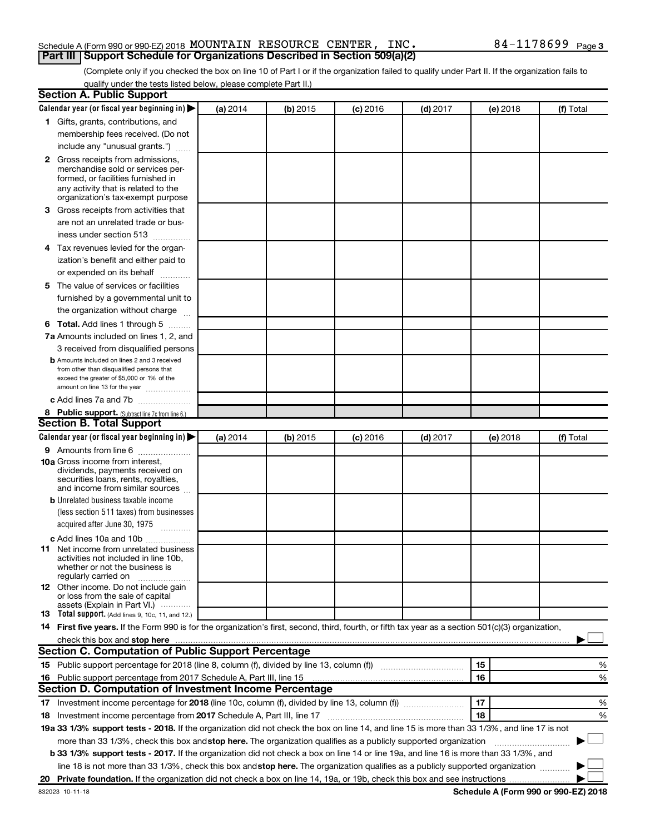### Schedule A (Form 990 or 990-EZ) 2018 MOUNTAIN RESOURCE CENTER, INC.  $84-1178699$   $_{\sf Page}$ **Part III Support Schedule for Organizations Described in Section 509(a)(2)**

(Complete only if you checked the box on line 10 of Part I or if the organization failed to qualify under Part II. If the organization fails to qualify under the tests listed below, please complete Part II.)

| <b>Section A. Public Support</b>                                                                                                                                                                                                                                                                                                     |          |          |                 |            |          |           |
|--------------------------------------------------------------------------------------------------------------------------------------------------------------------------------------------------------------------------------------------------------------------------------------------------------------------------------------|----------|----------|-----------------|------------|----------|-----------|
| Calendar year (or fiscal year beginning in)                                                                                                                                                                                                                                                                                          | (a) 2014 | (b) 2015 | <b>(c)</b> 2016 | $(d)$ 2017 | (e) 2018 | (f) Total |
| 1 Gifts, grants, contributions, and                                                                                                                                                                                                                                                                                                  |          |          |                 |            |          |           |
| membership fees received. (Do not                                                                                                                                                                                                                                                                                                    |          |          |                 |            |          |           |
| include any "unusual grants.")                                                                                                                                                                                                                                                                                                       |          |          |                 |            |          |           |
| <b>2</b> Gross receipts from admissions,                                                                                                                                                                                                                                                                                             |          |          |                 |            |          |           |
| merchandise sold or services per-                                                                                                                                                                                                                                                                                                    |          |          |                 |            |          |           |
| formed, or facilities furnished in                                                                                                                                                                                                                                                                                                   |          |          |                 |            |          |           |
| any activity that is related to the<br>organization's tax-exempt purpose                                                                                                                                                                                                                                                             |          |          |                 |            |          |           |
| 3 Gross receipts from activities that                                                                                                                                                                                                                                                                                                |          |          |                 |            |          |           |
| are not an unrelated trade or bus-                                                                                                                                                                                                                                                                                                   |          |          |                 |            |          |           |
| iness under section 513                                                                                                                                                                                                                                                                                                              |          |          |                 |            |          |           |
|                                                                                                                                                                                                                                                                                                                                      |          |          |                 |            |          |           |
| 4 Tax revenues levied for the organ-                                                                                                                                                                                                                                                                                                 |          |          |                 |            |          |           |
| ization's benefit and either paid to                                                                                                                                                                                                                                                                                                 |          |          |                 |            |          |           |
| or expended on its behalf<br>.                                                                                                                                                                                                                                                                                                       |          |          |                 |            |          |           |
| 5 The value of services or facilities                                                                                                                                                                                                                                                                                                |          |          |                 |            |          |           |
| furnished by a governmental unit to                                                                                                                                                                                                                                                                                                  |          |          |                 |            |          |           |
| the organization without charge                                                                                                                                                                                                                                                                                                      |          |          |                 |            |          |           |
| <b>6 Total.</b> Add lines 1 through 5                                                                                                                                                                                                                                                                                                |          |          |                 |            |          |           |
| 7a Amounts included on lines 1, 2, and                                                                                                                                                                                                                                                                                               |          |          |                 |            |          |           |
| 3 received from disqualified persons                                                                                                                                                                                                                                                                                                 |          |          |                 |            |          |           |
| <b>b</b> Amounts included on lines 2 and 3 received                                                                                                                                                                                                                                                                                  |          |          |                 |            |          |           |
| from other than disqualified persons that<br>exceed the greater of \$5,000 or 1% of the                                                                                                                                                                                                                                              |          |          |                 |            |          |           |
| amount on line 13 for the year                                                                                                                                                                                                                                                                                                       |          |          |                 |            |          |           |
| c Add lines 7a and 7b                                                                                                                                                                                                                                                                                                                |          |          |                 |            |          |           |
| 8 Public support. (Subtract line 7c from line 6.)                                                                                                                                                                                                                                                                                    |          |          |                 |            |          |           |
| <b>Section B. Total Support</b>                                                                                                                                                                                                                                                                                                      |          |          |                 |            |          |           |
| Calendar year (or fiscal year beginning in)                                                                                                                                                                                                                                                                                          | (a) 2014 | (b) 2015 | <b>(c)</b> 2016 | $(d)$ 2017 | (e) 2018 | (f) Total |
| <b>9</b> Amounts from line 6                                                                                                                                                                                                                                                                                                         |          |          |                 |            |          |           |
| <b>10a</b> Gross income from interest,                                                                                                                                                                                                                                                                                               |          |          |                 |            |          |           |
| dividends, payments received on<br>securities loans, rents, royalties,                                                                                                                                                                                                                                                               |          |          |                 |            |          |           |
| and income from similar sources                                                                                                                                                                                                                                                                                                      |          |          |                 |            |          |           |
| <b>b</b> Unrelated business taxable income                                                                                                                                                                                                                                                                                           |          |          |                 |            |          |           |
| (less section 511 taxes) from businesses                                                                                                                                                                                                                                                                                             |          |          |                 |            |          |           |
| acquired after June 30, 1975                                                                                                                                                                                                                                                                                                         |          |          |                 |            |          |           |
| c Add lines 10a and 10b                                                                                                                                                                                                                                                                                                              |          |          |                 |            |          |           |
| <b>11</b> Net income from unrelated business                                                                                                                                                                                                                                                                                         |          |          |                 |            |          |           |
| activities not included in line 10b.                                                                                                                                                                                                                                                                                                 |          |          |                 |            |          |           |
| whether or not the business is<br>regularly carried on                                                                                                                                                                                                                                                                               |          |          |                 |            |          |           |
| 12 Other income. Do not include gain                                                                                                                                                                                                                                                                                                 |          |          |                 |            |          |           |
| or loss from the sale of capital                                                                                                                                                                                                                                                                                                     |          |          |                 |            |          |           |
| assets (Explain in Part VI.)                                                                                                                                                                                                                                                                                                         |          |          |                 |            |          |           |
| <b>13</b> Total support. (Add lines 9, 10c, 11, and 12.)                                                                                                                                                                                                                                                                             |          |          |                 |            |          |           |
| 14 First five years. If the Form 990 is for the organization's first, second, third, fourth, or fifth tax year as a section 501(c)(3) organization,                                                                                                                                                                                  |          |          |                 |            |          |           |
| check this box and stop here <b>construction and construction</b> and stop here <b>constructed</b> and stop here <b>constructed</b> and stop here <b>constructed</b> and <b>construction</b> and <b>construction</b> and <b>construction</b> and <b>construction</b> a<br><b>Section C. Computation of Public Support Percentage</b> |          |          |                 |            |          |           |
| 15 Public support percentage for 2018 (line 8, column (f), divided by line 13, column (f) <i>manumeronominium</i>                                                                                                                                                                                                                    |          |          |                 |            | 15       |           |
|                                                                                                                                                                                                                                                                                                                                      |          |          |                 |            | 16       | %         |
| 16 Public support percentage from 2017 Schedule A, Part III, line 15<br>Section D. Computation of Investment Income Percentage                                                                                                                                                                                                       |          |          |                 |            |          | %         |
|                                                                                                                                                                                                                                                                                                                                      |          |          |                 |            | 17       |           |
| 17 Investment income percentage for 2018 (line 10c, column (f), divided by line 13, column (f))                                                                                                                                                                                                                                      |          |          |                 |            |          | %         |
| 18 Investment income percentage from 2017 Schedule A, Part III, line 17                                                                                                                                                                                                                                                              |          |          |                 |            | 18       | %         |
| 19a 33 1/3% support tests - 2018. If the organization did not check the box on line 14, and line 15 is more than 33 1/3%, and line 17 is not                                                                                                                                                                                         |          |          |                 |            |          |           |
| more than 33 1/3%, check this box and stop here. The organization qualifies as a publicly supported organization                                                                                                                                                                                                                     |          |          |                 |            |          |           |
| b 33 1/3% support tests - 2017. If the organization did not check a box on line 14 or line 19a, and line 16 is more than 33 1/3%, and                                                                                                                                                                                                |          |          |                 |            |          |           |
| line 18 is not more than 33 1/3%, check this box and stop here. The organization qualifies as a publicly supported organization                                                                                                                                                                                                      |          |          |                 |            |          |           |
|                                                                                                                                                                                                                                                                                                                                      |          |          |                 |            |          |           |

**Schedule A (Form 990 or 990-EZ) 2018**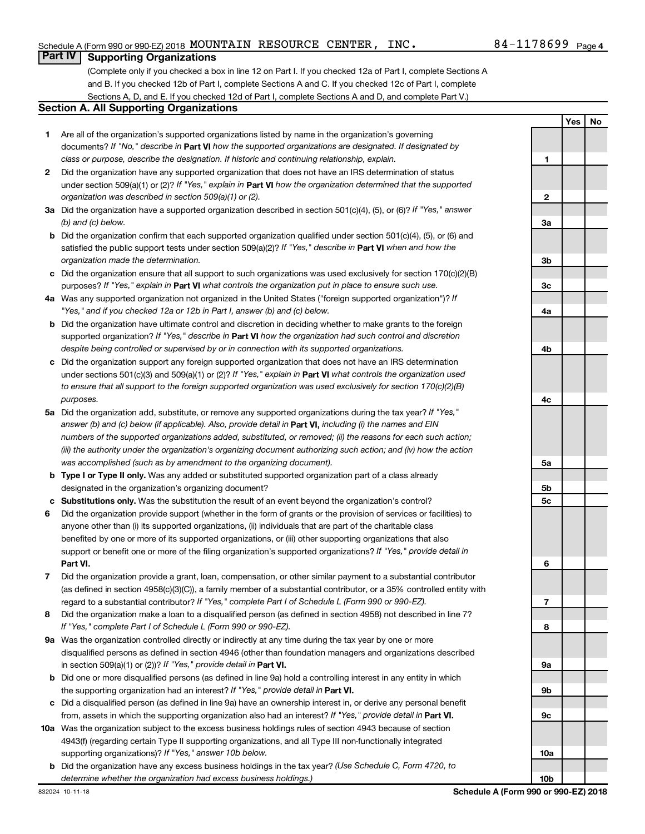### **Part IV Supporting Organizations**

(Complete only if you checked a box in line 12 on Part I. If you checked 12a of Part I, complete Sections A and B. If you checked 12b of Part I, complete Sections A and C. If you checked 12c of Part I, complete Sections A, D, and E. If you checked 12d of Part I, complete Sections A and D, and complete Part V.)

### **Section A. All Supporting Organizations**

- **1** Are all of the organization's supported organizations listed by name in the organization's governing documents? If "No," describe in Part VI how the supported organizations are designated. If designated by *class or purpose, describe the designation. If historic and continuing relationship, explain.*
- **2** Did the organization have any supported organization that does not have an IRS determination of status under section 509(a)(1) or (2)? If "Yes," explain in Part **VI** how the organization determined that the supported *organization was described in section 509(a)(1) or (2).*
- **3a** Did the organization have a supported organization described in section 501(c)(4), (5), or (6)? If "Yes," answer *(b) and (c) below.*
- **b** Did the organization confirm that each supported organization qualified under section 501(c)(4), (5), or (6) and satisfied the public support tests under section 509(a)(2)? If "Yes," describe in Part VI when and how the *organization made the determination.*
- **c** Did the organization ensure that all support to such organizations was used exclusively for section 170(c)(2)(B) purposes? If "Yes," explain in Part VI what controls the organization put in place to ensure such use.
- **4 a** *If* Was any supported organization not organized in the United States ("foreign supported organization")? *"Yes," and if you checked 12a or 12b in Part I, answer (b) and (c) below.*
- **b** Did the organization have ultimate control and discretion in deciding whether to make grants to the foreign supported organization? If "Yes," describe in Part VI how the organization had such control and discretion *despite being controlled or supervised by or in connection with its supported organizations.*
- **c** Did the organization support any foreign supported organization that does not have an IRS determination under sections 501(c)(3) and 509(a)(1) or (2)? If "Yes," explain in Part VI what controls the organization used *to ensure that all support to the foreign supported organization was used exclusively for section 170(c)(2)(B) purposes.*
- **5a** Did the organization add, substitute, or remove any supported organizations during the tax year? If "Yes," answer (b) and (c) below (if applicable). Also, provide detail in **Part VI,** including (i) the names and EIN *numbers of the supported organizations added, substituted, or removed; (ii) the reasons for each such action; (iii) the authority under the organization's organizing document authorizing such action; and (iv) how the action was accomplished (such as by amendment to the organizing document).*
- **b Type I or Type II only.** Was any added or substituted supported organization part of a class already designated in the organization's organizing document?
- **c Substitutions only.**  Was the substitution the result of an event beyond the organization's control?
- **6** Did the organization provide support (whether in the form of grants or the provision of services or facilities) to **Part VI.** support or benefit one or more of the filing organization's supported organizations? If "Yes," provide detail in anyone other than (i) its supported organizations, (ii) individuals that are part of the charitable class benefited by one or more of its supported organizations, or (iii) other supporting organizations that also
- **7** Did the organization provide a grant, loan, compensation, or other similar payment to a substantial contributor regard to a substantial contributor? If "Yes," complete Part I of Schedule L (Form 990 or 990-EZ). (as defined in section 4958(c)(3)(C)), a family member of a substantial contributor, or a 35% controlled entity with
- **8** Did the organization make a loan to a disqualified person (as defined in section 4958) not described in line 7? *If "Yes," complete Part I of Schedule L (Form 990 or 990-EZ).*
- **9 a** Was the organization controlled directly or indirectly at any time during the tax year by one or more in section 509(a)(1) or (2))? If "Yes," provide detail in **Part VI.** disqualified persons as defined in section 4946 (other than foundation managers and organizations described
- **b** Did one or more disqualified persons (as defined in line 9a) hold a controlling interest in any entity in which the supporting organization had an interest? If "Yes," provide detail in Part VI.
- **c** Did a disqualified person (as defined in line 9a) have an ownership interest in, or derive any personal benefit from, assets in which the supporting organization also had an interest? If "Yes," provide detail in Part VI.
- **10 a** Was the organization subject to the excess business holdings rules of section 4943 because of section supporting organizations)? If "Yes," answer 10b below. 4943(f) (regarding certain Type II supporting organizations, and all Type III non-functionally integrated
	- **b** Did the organization have any excess business holdings in the tax year? (Use Schedule C, Form 4720, to *determine whether the organization had excess business holdings.)*

**Yes No 1 2 3a 3b 3c 4a 4b 4c 5a 5b 5c 6 7 8 9a 9b 9c 10a 10b**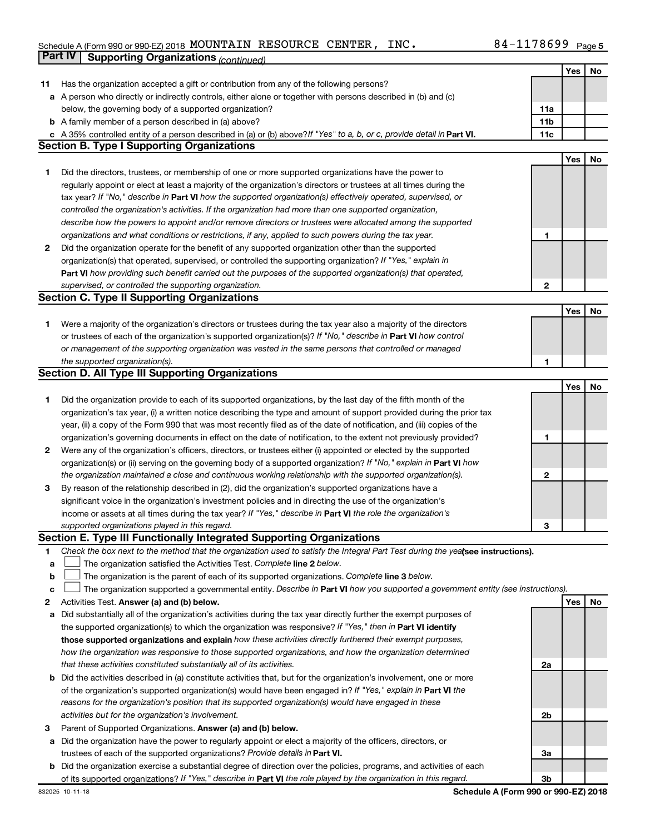#### Schedule A (Form 990 or 990-EZ) 2018 MOUNTAIN RESOURCE CENTER,INC。 84-1178699 Page MOUNTAIN RESOURCE CENTER, INC. 84-1178699

|              | Part IV<br><b>Supporting Organizations (continued)</b>                                                                          |                 |            |    |
|--------------|---------------------------------------------------------------------------------------------------------------------------------|-----------------|------------|----|
|              |                                                                                                                                 |                 | Yes        | No |
| 11           | Has the organization accepted a gift or contribution from any of the following persons?                                         |                 |            |    |
|              | a A person who directly or indirectly controls, either alone or together with persons described in (b) and (c)                  |                 |            |    |
|              | below, the governing body of a supported organization?                                                                          | 11a             |            |    |
|              | <b>b</b> A family member of a person described in (a) above?                                                                    | 11 <sub>b</sub> |            |    |
|              | c A 35% controlled entity of a person described in (a) or (b) above? If "Yes" to a, b, or c, provide detail in Part VI.         | 11c             |            |    |
|              | <b>Section B. Type I Supporting Organizations</b>                                                                               |                 |            |    |
|              |                                                                                                                                 |                 |            |    |
|              |                                                                                                                                 |                 | <b>Yes</b> | No |
| 1            | Did the directors, trustees, or membership of one or more supported organizations have the power to                             |                 |            |    |
|              | regularly appoint or elect at least a majority of the organization's directors or trustees at all times during the              |                 |            |    |
|              | tax year? If "No," describe in Part VI how the supported organization(s) effectively operated, supervised, or                   |                 |            |    |
|              | controlled the organization's activities. If the organization had more than one supported organization,                         |                 |            |    |
|              | describe how the powers to appoint and/or remove directors or trustees were allocated among the supported                       |                 |            |    |
|              | organizations and what conditions or restrictions, if any, applied to such powers during the tax year.                          | 1               |            |    |
| 2            | Did the organization operate for the benefit of any supported organization other than the supported                             |                 |            |    |
|              | organization(s) that operated, supervised, or controlled the supporting organization? If "Yes," explain in                      |                 |            |    |
|              | Part VI how providing such benefit carried out the purposes of the supported organization(s) that operated,                     |                 |            |    |
|              | supervised, or controlled the supporting organization.                                                                          | $\mathbf{2}$    |            |    |
|              | <b>Section C. Type II Supporting Organizations</b>                                                                              |                 |            |    |
|              |                                                                                                                                 |                 | Yes        | No |
| 1.           | Were a majority of the organization's directors or trustees during the tax year also a majority of the directors                |                 |            |    |
|              | or trustees of each of the organization's supported organization(s)? If "No," describe in Part VI how control                   |                 |            |    |
|              | or management of the supporting organization was vested in the same persons that controlled or managed                          |                 |            |    |
|              | the supported organization(s).                                                                                                  | 1               |            |    |
|              | <b>Section D. All Type III Supporting Organizations</b>                                                                         |                 |            |    |
|              |                                                                                                                                 |                 |            |    |
|              |                                                                                                                                 |                 | Yes        | No |
| 1            | Did the organization provide to each of its supported organizations, by the last day of the fifth month of the                  |                 |            |    |
|              | organization's tax year, (i) a written notice describing the type and amount of support provided during the prior tax           |                 |            |    |
|              | year, (ii) a copy of the Form 990 that was most recently filed as of the date of notification, and (iii) copies of the          |                 |            |    |
|              | organization's governing documents in effect on the date of notification, to the extent not previously provided?                | 1               |            |    |
| $\mathbf{2}$ | Were any of the organization's officers, directors, or trustees either (i) appointed or elected by the supported                |                 |            |    |
|              | organization(s) or (ii) serving on the governing body of a supported organization? If "No," explain in Part VI how              |                 |            |    |
|              | the organization maintained a close and continuous working relationship with the supported organization(s).                     | 2               |            |    |
| 3            | By reason of the relationship described in (2), did the organization's supported organizations have a                           |                 |            |    |
|              | significant voice in the organization's investment policies and in directing the use of the organization's                      |                 |            |    |
|              | income or assets at all times during the tax year? If "Yes," describe in Part VI the role the organization's                    |                 |            |    |
|              | supported organizations played in this regard.                                                                                  | 3               |            |    |
|              | Section E. Type III Functionally Integrated Supporting Organizations                                                            |                 |            |    |
| 1            | Check the box next to the method that the organization used to satisfy the Integral Part Test during the yealsee instructions). |                 |            |    |
| a            | The organization satisfied the Activities Test. Complete line 2 below.                                                          |                 |            |    |
| $\mathbf b$  | The organization is the parent of each of its supported organizations. Complete line 3 below.                                   |                 |            |    |
| c            | The organization supported a governmental entity. Describe in Part VI how you supported a government entity (see instructions). |                 |            |    |
| 2            | Activities Test. Answer (a) and (b) below.                                                                                      |                 | Yes        | No |
| а            | Did substantially all of the organization's activities during the tax year directly further the exempt purposes of              |                 |            |    |
|              | the supported organization(s) to which the organization was responsive? If "Yes," then in Part VI identify                      |                 |            |    |
|              | those supported organizations and explain how these activities directly furthered their exempt purposes,                        |                 |            |    |
|              | how the organization was responsive to those supported organizations, and how the organization determined                       |                 |            |    |
|              |                                                                                                                                 |                 |            |    |
|              | that these activities constituted substantially all of its activities.                                                          | 2a              |            |    |
|              | <b>b</b> Did the activities described in (a) constitute activities that, but for the organization's involvement, one or more    |                 |            |    |
|              | of the organization's supported organization(s) would have been engaged in? If "Yes," explain in Part VI the                    |                 |            |    |
|              | reasons for the organization's position that its supported organization(s) would have engaged in these                          |                 |            |    |
|              | activities but for the organization's involvement.                                                                              | 2b              |            |    |
| З            | Parent of Supported Organizations. Answer (a) and (b) below.                                                                    |                 |            |    |
| а            | Did the organization have the power to regularly appoint or elect a majority of the officers, directors, or                     |                 |            |    |
|              | trustees of each of the supported organizations? Provide details in Part VI.                                                    | За              |            |    |
|              | <b>b</b> Did the organization exercise a substantial degree of direction over the policies, programs, and activities of each    |                 |            |    |
|              | of its supported organizations? If "Yes," describe in Part VI the role played by the organization in this regard.               | 3b              |            |    |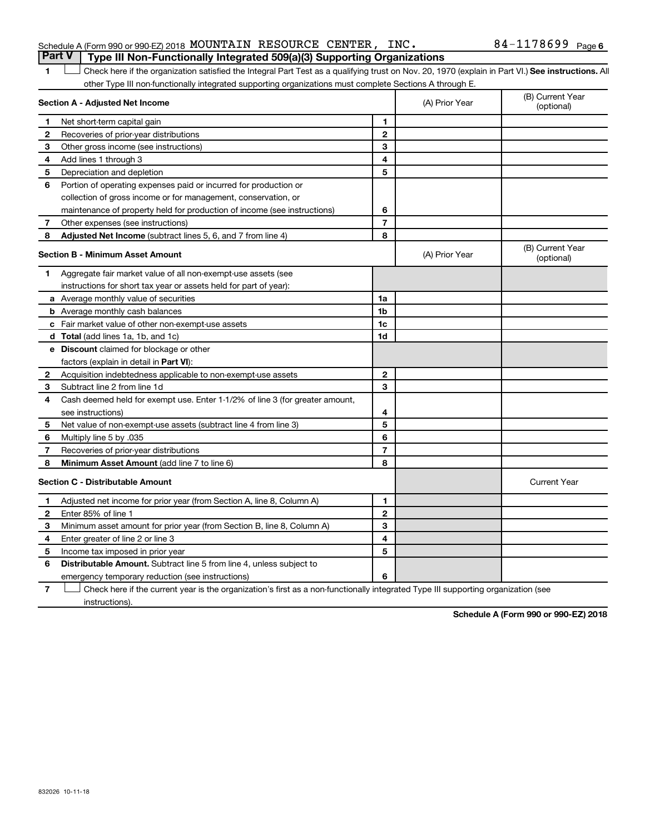### Schedule A (Form 990 or 990-EZ) 2018 MOUNTAIN RESOURCE CENTER, INC.  $84-1178699$   $_{\sf Page}$

## **Part V Type III Non-Functionally Integrated 509(a)(3) Supporting Organizations**

1 **Letter See instructions.** All Check here if the organization satisfied the Integral Part Test as a qualifying trust on Nov. 20, 1970 (explain in Part VI.) See instructions. All other Type III non-functionally integrated supporting organizations must complete Sections A through E.

| Section A - Adjusted Net Income |                                                                              |                | (A) Prior Year | (B) Current Year<br>(optional) |
|---------------------------------|------------------------------------------------------------------------------|----------------|----------------|--------------------------------|
| 1                               | Net short-term capital gain                                                  | 1              |                |                                |
| 2                               | Recoveries of prior-year distributions                                       | $\mathbf{2}$   |                |                                |
| З                               | Other gross income (see instructions)                                        | 3              |                |                                |
| 4                               | Add lines 1 through 3                                                        | 4              |                |                                |
| 5                               | Depreciation and depletion                                                   | 5              |                |                                |
| 6                               | Portion of operating expenses paid or incurred for production or             |                |                |                                |
|                                 | collection of gross income or for management, conservation, or               |                |                |                                |
|                                 | maintenance of property held for production of income (see instructions)     | 6              |                |                                |
| 7                               | Other expenses (see instructions)                                            | $\overline{7}$ |                |                                |
| 8                               | Adjusted Net Income (subtract lines 5, 6, and 7 from line 4)                 | 8              |                |                                |
|                                 | <b>Section B - Minimum Asset Amount</b>                                      |                | (A) Prior Year | (B) Current Year<br>(optional) |
| 1                               | Aggregate fair market value of all non-exempt-use assets (see                |                |                |                                |
|                                 | instructions for short tax year or assets held for part of year):            |                |                |                                |
|                                 | a Average monthly value of securities                                        | 1a             |                |                                |
|                                 | <b>b</b> Average monthly cash balances                                       | 1b             |                |                                |
|                                 | c Fair market value of other non-exempt-use assets                           | 1 <sub>c</sub> |                |                                |
|                                 | d Total (add lines 1a, 1b, and 1c)                                           | 1d             |                |                                |
|                                 | <b>e</b> Discount claimed for blockage or other                              |                |                |                                |
|                                 | factors (explain in detail in <b>Part VI</b> ):                              |                |                |                                |
| 2                               | Acquisition indebtedness applicable to non-exempt-use assets                 | $\mathbf{2}$   |                |                                |
| 3                               | Subtract line 2 from line 1d                                                 | 3              |                |                                |
| 4                               | Cash deemed held for exempt use. Enter 1-1/2% of line 3 (for greater amount, |                |                |                                |
|                                 | see instructions)                                                            | 4              |                |                                |
| 5                               | Net value of non-exempt-use assets (subtract line 4 from line 3)             | 5              |                |                                |
| 6                               | Multiply line 5 by .035                                                      | 6              |                |                                |
| 7                               | Recoveries of prior-year distributions                                       | $\overline{7}$ |                |                                |
| 8                               | Minimum Asset Amount (add line 7 to line 6)                                  | 8              |                |                                |
|                                 | <b>Section C - Distributable Amount</b>                                      |                |                | <b>Current Year</b>            |
| 1                               | Adjusted net income for prior year (from Section A, line 8, Column A)        | 1              |                |                                |
| $\mathbf{2}$                    | Enter 85% of line 1                                                          | $\mathbf{2}$   |                |                                |
| 3                               | Minimum asset amount for prior year (from Section B, line 8, Column A)       | 3              |                |                                |
| 4                               | Enter greater of line 2 or line 3                                            | 4              |                |                                |
| 5                               | Income tax imposed in prior year                                             | 5              |                |                                |
| 6                               | <b>Distributable Amount.</b> Subtract line 5 from line 4, unless subject to  |                |                |                                |
|                                 | emergency temporary reduction (see instructions)                             | 6              |                |                                |
|                                 |                                                                              |                |                |                                |

**7** Check here if the current year is the organization's first as a non-functionally integrated Type III supporting organization (see † instructions).

**Schedule A (Form 990 or 990-EZ) 2018**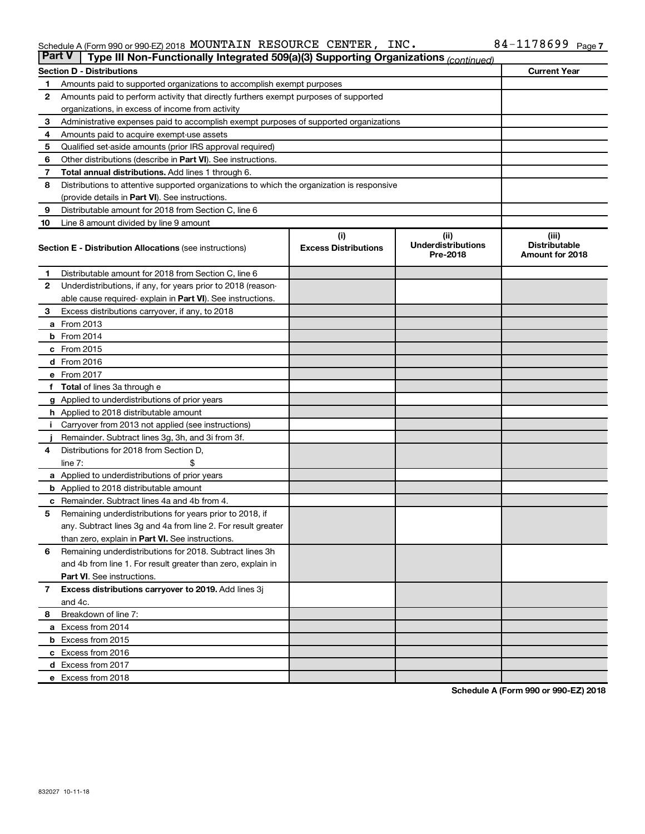#### Schedule A (Form 990 or 990-EZ) 2018 MOUNTAIN RESOURCE CENTER,INC。 84-1178699 Page MOUNTAIN RESOURCE CENTER, INC. 84-1178699

| <b>Part V</b><br>Type III Non-Functionally Integrated 509(a)(3) Supporting Organizations (continued) |                                                                                            |                                    |                                               |                                                  |  |  |
|------------------------------------------------------------------------------------------------------|--------------------------------------------------------------------------------------------|------------------------------------|-----------------------------------------------|--------------------------------------------------|--|--|
|                                                                                                      | <b>Current Year</b><br><b>Section D - Distributions</b>                                    |                                    |                                               |                                                  |  |  |
| 1                                                                                                    | Amounts paid to supported organizations to accomplish exempt purposes                      |                                    |                                               |                                                  |  |  |
| 2                                                                                                    | Amounts paid to perform activity that directly furthers exempt purposes of supported       |                                    |                                               |                                                  |  |  |
|                                                                                                      | organizations, in excess of income from activity                                           |                                    |                                               |                                                  |  |  |
| 3                                                                                                    | Administrative expenses paid to accomplish exempt purposes of supported organizations      |                                    |                                               |                                                  |  |  |
| 4                                                                                                    | Amounts paid to acquire exempt-use assets                                                  |                                    |                                               |                                                  |  |  |
| 5                                                                                                    | Qualified set-aside amounts (prior IRS approval required)                                  |                                    |                                               |                                                  |  |  |
| 6                                                                                                    | Other distributions (describe in Part VI). See instructions.                               |                                    |                                               |                                                  |  |  |
| 7                                                                                                    | Total annual distributions. Add lines 1 through 6.                                         |                                    |                                               |                                                  |  |  |
| 8                                                                                                    | Distributions to attentive supported organizations to which the organization is responsive |                                    |                                               |                                                  |  |  |
|                                                                                                      | (provide details in Part VI). See instructions.                                            |                                    |                                               |                                                  |  |  |
| 9                                                                                                    | Distributable amount for 2018 from Section C, line 6                                       |                                    |                                               |                                                  |  |  |
| 10                                                                                                   | Line 8 amount divided by line 9 amount                                                     |                                    |                                               |                                                  |  |  |
|                                                                                                      | <b>Section E - Distribution Allocations (see instructions)</b>                             | (i)<br><b>Excess Distributions</b> | (ii)<br><b>Underdistributions</b><br>Pre-2018 | (iii)<br><b>Distributable</b><br>Amount for 2018 |  |  |
| 1.                                                                                                   | Distributable amount for 2018 from Section C, line 6                                       |                                    |                                               |                                                  |  |  |
| $\mathbf{2}$                                                                                         | Underdistributions, if any, for years prior to 2018 (reason-                               |                                    |                                               |                                                  |  |  |
|                                                                                                      | able cause required- explain in Part VI). See instructions.                                |                                    |                                               |                                                  |  |  |
| 3                                                                                                    | Excess distributions carryover, if any, to 2018                                            |                                    |                                               |                                                  |  |  |
|                                                                                                      | a From 2013                                                                                |                                    |                                               |                                                  |  |  |
|                                                                                                      | <b>b</b> From 2014                                                                         |                                    |                                               |                                                  |  |  |
|                                                                                                      | c From 2015                                                                                |                                    |                                               |                                                  |  |  |
|                                                                                                      | d From 2016                                                                                |                                    |                                               |                                                  |  |  |
|                                                                                                      | e From 2017                                                                                |                                    |                                               |                                                  |  |  |
|                                                                                                      | f Total of lines 3a through e                                                              |                                    |                                               |                                                  |  |  |
|                                                                                                      | <b>g</b> Applied to underdistributions of prior years                                      |                                    |                                               |                                                  |  |  |
|                                                                                                      | <b>h</b> Applied to 2018 distributable amount                                              |                                    |                                               |                                                  |  |  |
|                                                                                                      | Carryover from 2013 not applied (see instructions)                                         |                                    |                                               |                                                  |  |  |
|                                                                                                      | Remainder. Subtract lines 3g, 3h, and 3i from 3f.                                          |                                    |                                               |                                                  |  |  |
| 4                                                                                                    | Distributions for 2018 from Section D,                                                     |                                    |                                               |                                                  |  |  |
|                                                                                                      | $line 7$ :                                                                                 |                                    |                                               |                                                  |  |  |
|                                                                                                      | a Applied to underdistributions of prior years                                             |                                    |                                               |                                                  |  |  |
|                                                                                                      | <b>b</b> Applied to 2018 distributable amount                                              |                                    |                                               |                                                  |  |  |
| с                                                                                                    | Remainder. Subtract lines 4a and 4b from 4.                                                |                                    |                                               |                                                  |  |  |
| 5                                                                                                    | Remaining underdistributions for years prior to 2018, if                                   |                                    |                                               |                                                  |  |  |
|                                                                                                      | any. Subtract lines 3g and 4a from line 2. For result greater                              |                                    |                                               |                                                  |  |  |
|                                                                                                      | than zero, explain in Part VI. See instructions.                                           |                                    |                                               |                                                  |  |  |
| 6                                                                                                    | Remaining underdistributions for 2018. Subtract lines 3h                                   |                                    |                                               |                                                  |  |  |
|                                                                                                      | and 4b from line 1. For result greater than zero, explain in                               |                                    |                                               |                                                  |  |  |
|                                                                                                      | <b>Part VI.</b> See instructions.                                                          |                                    |                                               |                                                  |  |  |
| $\mathbf{7}$                                                                                         | Excess distributions carryover to 2019. Add lines 3j                                       |                                    |                                               |                                                  |  |  |
|                                                                                                      | and 4c.                                                                                    |                                    |                                               |                                                  |  |  |
| 8                                                                                                    | Breakdown of line 7:                                                                       |                                    |                                               |                                                  |  |  |
|                                                                                                      | a Excess from 2014                                                                         |                                    |                                               |                                                  |  |  |
|                                                                                                      | <b>b</b> Excess from 2015                                                                  |                                    |                                               |                                                  |  |  |
|                                                                                                      | c Excess from 2016                                                                         |                                    |                                               |                                                  |  |  |
|                                                                                                      | d Excess from 2017                                                                         |                                    |                                               |                                                  |  |  |
|                                                                                                      | e Excess from 2018                                                                         |                                    |                                               |                                                  |  |  |

**Schedule A (Form 990 or 990-EZ) 2018**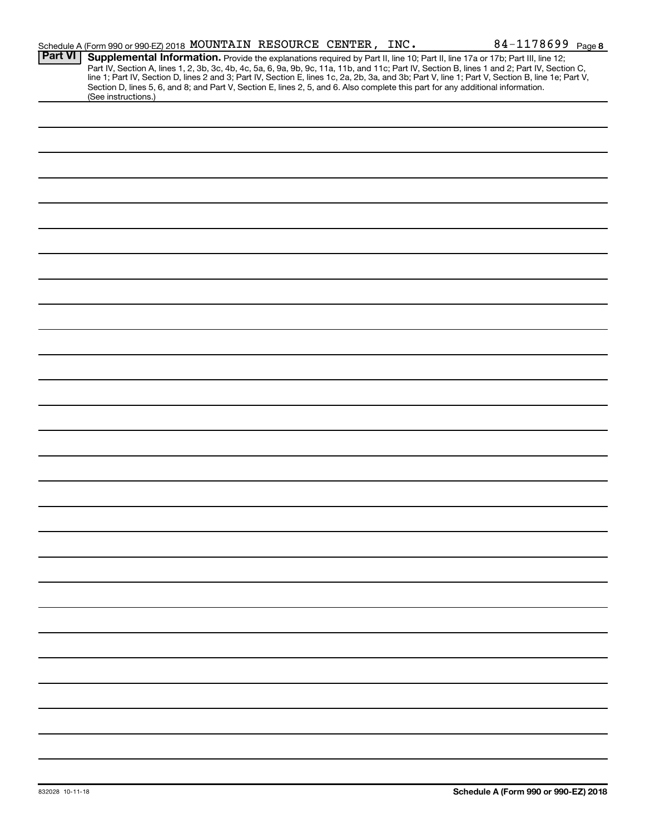|                | Schedule A (Form 990 or 990-EZ) 2018 MOUNTAIN RESOURCE CENTER, INC.                                                                                                                                                                                                                                                                                                                                                                                                                                                         |  | 84-1178699 Page 8 |
|----------------|-----------------------------------------------------------------------------------------------------------------------------------------------------------------------------------------------------------------------------------------------------------------------------------------------------------------------------------------------------------------------------------------------------------------------------------------------------------------------------------------------------------------------------|--|-------------------|
| <b>Part VI</b> | Supplemental Information. Provide the explanations required by Part II, line 10; Part II, line 17a or 17b; Part III, line 12;<br>Part IV, Section A, lines 1, 2, 3b, 3c, 4b, 4c, 5a, 6, 9a, 9b, 9c, 11a, 11b, and 11c; Part IV, Section B, lines 1 and 2; Part IV, Section C,<br>line 1; Part IV, Section D, lines 2 and 3; Part IV, Section E, lines 1c, 2a, 2b,<br>Section D, lines 5, 6, and 8; and Part V, Section E, lines 2, 5, and 6. Also complete this part for any additional information.<br>(See instructions.) |  |                   |
|                |                                                                                                                                                                                                                                                                                                                                                                                                                                                                                                                             |  |                   |
|                |                                                                                                                                                                                                                                                                                                                                                                                                                                                                                                                             |  |                   |
|                |                                                                                                                                                                                                                                                                                                                                                                                                                                                                                                                             |  |                   |
|                |                                                                                                                                                                                                                                                                                                                                                                                                                                                                                                                             |  |                   |
|                |                                                                                                                                                                                                                                                                                                                                                                                                                                                                                                                             |  |                   |
|                |                                                                                                                                                                                                                                                                                                                                                                                                                                                                                                                             |  |                   |
|                |                                                                                                                                                                                                                                                                                                                                                                                                                                                                                                                             |  |                   |
|                |                                                                                                                                                                                                                                                                                                                                                                                                                                                                                                                             |  |                   |
|                |                                                                                                                                                                                                                                                                                                                                                                                                                                                                                                                             |  |                   |
|                |                                                                                                                                                                                                                                                                                                                                                                                                                                                                                                                             |  |                   |
|                |                                                                                                                                                                                                                                                                                                                                                                                                                                                                                                                             |  |                   |
|                |                                                                                                                                                                                                                                                                                                                                                                                                                                                                                                                             |  |                   |
|                |                                                                                                                                                                                                                                                                                                                                                                                                                                                                                                                             |  |                   |
|                |                                                                                                                                                                                                                                                                                                                                                                                                                                                                                                                             |  |                   |
|                |                                                                                                                                                                                                                                                                                                                                                                                                                                                                                                                             |  |                   |
|                |                                                                                                                                                                                                                                                                                                                                                                                                                                                                                                                             |  |                   |
|                |                                                                                                                                                                                                                                                                                                                                                                                                                                                                                                                             |  |                   |
|                |                                                                                                                                                                                                                                                                                                                                                                                                                                                                                                                             |  |                   |
|                |                                                                                                                                                                                                                                                                                                                                                                                                                                                                                                                             |  |                   |
|                |                                                                                                                                                                                                                                                                                                                                                                                                                                                                                                                             |  |                   |
|                |                                                                                                                                                                                                                                                                                                                                                                                                                                                                                                                             |  |                   |
|                |                                                                                                                                                                                                                                                                                                                                                                                                                                                                                                                             |  |                   |
|                |                                                                                                                                                                                                                                                                                                                                                                                                                                                                                                                             |  |                   |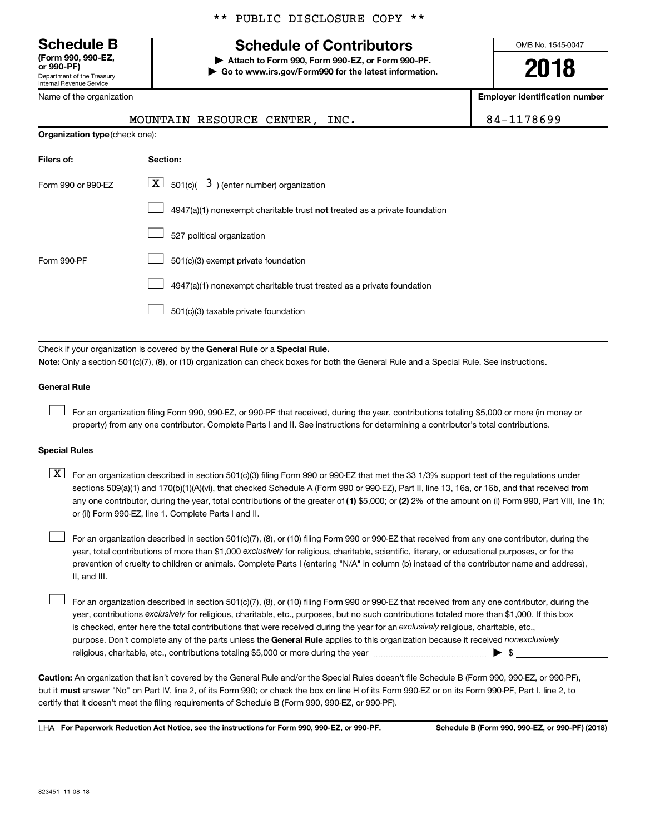# **(Form 990, 990-EZ,**

Department of the Treasury Internal Revenue Service

Name of the organization

### \*\* PUBLIC DISCLOSURE COPY \*\*

# **Schedule B Schedule of Contributors**

**or 990-PF) | Attach to Form 990, Form 990-EZ, or Form 990-PF. | Go to www.irs.gov/Form990 for the latest information.** OMB No. 1545-0047

**2018**

**Employer identification number**

|                                                                                              | 84-1178699                                                                                                                                |  |  |  |  |
|----------------------------------------------------------------------------------------------|-------------------------------------------------------------------------------------------------------------------------------------------|--|--|--|--|
|                                                                                              | Organization type (check one):                                                                                                            |  |  |  |  |
| Filers of:                                                                                   | Section:                                                                                                                                  |  |  |  |  |
| $\lfloor \underline{X} \rfloor$ 501(c)( 3) (enter number) organization<br>Form 990 or 990-EZ |                                                                                                                                           |  |  |  |  |
|                                                                                              | 4947(a)(1) nonexempt charitable trust not treated as a private foundation                                                                 |  |  |  |  |
|                                                                                              | 527 political organization                                                                                                                |  |  |  |  |
| Form 990-PF                                                                                  | 501(c)(3) exempt private foundation                                                                                                       |  |  |  |  |
|                                                                                              | 4947(a)(1) nonexempt charitable trust treated as a private foundation                                                                     |  |  |  |  |
|                                                                                              | 501(c)(3) taxable private foundation                                                                                                      |  |  |  |  |
|                                                                                              |                                                                                                                                           |  |  |  |  |
|                                                                                              | Check if your organization is covered by the General Rule or a Special Rule.                                                              |  |  |  |  |
|                                                                                              | Note: Only a section 501(c)(7), (8), or (10) organization can check boxes for both the General Rule and a Special Rule. See instructions. |  |  |  |  |
| <b>General Rule</b>                                                                          |                                                                                                                                           |  |  |  |  |

For an organization filing Form 990, 990-EZ, or 990-PF that received, during the year, contributions totaling \$5,000 or more (in money or property) from any one contributor. Complete Parts I and II. See instructions for determining a contributor's total contributions.

### **Special Rules**

 $\Box$ 

any one contributor, during the year, total contributions of the greater of (1) \$5,000; or (2) 2% of the amount on (i) Form 990, Part VIII, line 1h;  $\boxed{\text{X}}$  For an organization described in section 501(c)(3) filing Form 990 or 990-EZ that met the 33 1/3% support test of the regulations under sections 509(a)(1) and 170(b)(1)(A)(vi), that checked Schedule A (Form 990 or 990-EZ), Part II, line 13, 16a, or 16b, and that received from or (ii) Form 990-EZ, line 1. Complete Parts I and II.

year, total contributions of more than \$1,000 *exclusively* for religious, charitable, scientific, literary, or educational purposes, or for the For an organization described in section 501(c)(7), (8), or (10) filing Form 990 or 990-EZ that received from any one contributor, during the prevention of cruelty to children or animals. Complete Parts I (entering "N/A" in column (b) instead of the contributor name and address), II, and III.  $\Box$ 

purpose. Don't complete any of the parts unless the General Rule applies to this organization because it received nonexclusively year, contributions exclusively for religious, charitable, etc., purposes, but no such contributions totaled more than \$1,000. If this box is checked, enter here the total contributions that were received during the year for an exclusively religious, charitable, etc., For an organization described in section 501(c)(7), (8), or (10) filing Form 990 or 990-EZ that received from any one contributor, during the religious, charitable, etc., contributions totaling \$5,000 or more during the year  $\ldots$  $\ldots$  $\ldots$  $\ldots$  $\ldots$  $\ldots$  $\Box$ 

**Caution:**  An organization that isn't covered by the General Rule and/or the Special Rules doesn't file Schedule B (Form 990, 990-EZ, or 990-PF),  **must** but it answer "No" on Part IV, line 2, of its Form 990; or check the box on line H of its Form 990-EZ or on its Form 990-PF, Part I, line 2, to certify that it doesn't meet the filing requirements of Schedule B (Form 990, 990-EZ, or 990-PF).

**For Paperwork Reduction Act Notice, see the instructions for Form 990, 990-EZ, or 990-PF. Schedule B (Form 990, 990-EZ, or 990-PF) (2018)** LHA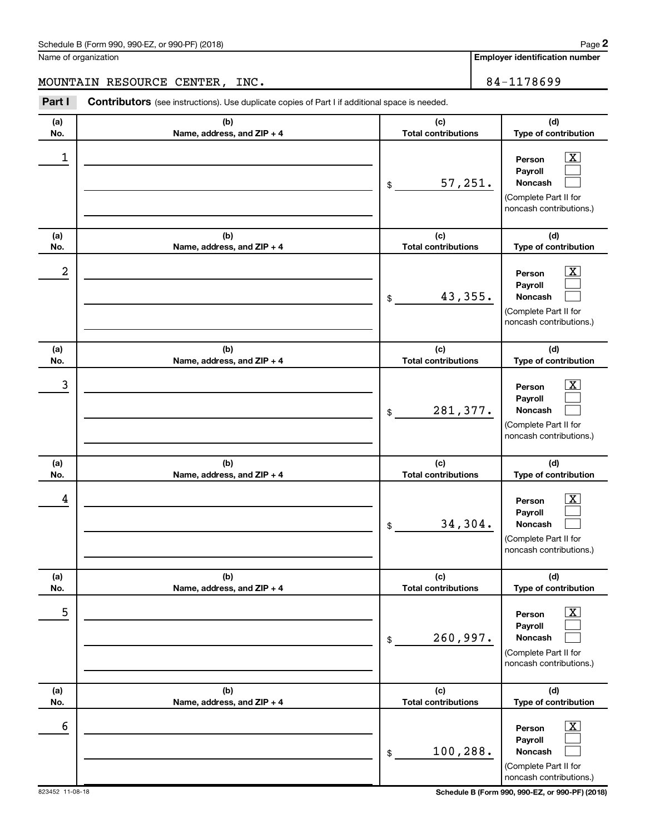Name of organization

**Employer identification number**

MOUNTAIN RESOURCE CENTER, INC. 84-1178699

| Part I     | Contributors (see instructions). Use duplicate copies of Part I if additional space is needed. |                                   |                                                                                                                  |
|------------|------------------------------------------------------------------------------------------------|-----------------------------------|------------------------------------------------------------------------------------------------------------------|
| (a)<br>No. | (b)<br>Name, address, and ZIP + 4                                                              | (c)<br><b>Total contributions</b> | (d)<br>Type of contribution                                                                                      |
| 1          |                                                                                                | 57,251.<br>\$                     | $\overline{\text{X}}$<br>Person<br>Payroll<br><b>Noncash</b><br>(Complete Part II for<br>noncash contributions.) |
| (a)<br>No. | (b)<br>Name, address, and ZIP + 4                                                              | (c)<br><b>Total contributions</b> | (d)<br>Type of contribution                                                                                      |
| 2          |                                                                                                | 43,355.<br>\$                     | $\overline{\text{X}}$<br>Person<br>Payroll<br>Noncash<br>(Complete Part II for<br>noncash contributions.)        |
| (a)<br>No. | (b)<br>Name, address, and ZIP + 4                                                              | (c)<br><b>Total contributions</b> | (d)<br>Type of contribution                                                                                      |
| 3          |                                                                                                | 281,377.<br>\$                    | $\overline{\textbf{X}}$<br>Person<br>Payroll<br>Noncash<br>(Complete Part II for<br>noncash contributions.)      |
| (a)<br>No. | (b)<br>Name, address, and ZIP + 4                                                              | (c)<br><b>Total contributions</b> | (d)<br>Type of contribution                                                                                      |
| 4          |                                                                                                | 34,304.<br>\$                     | $\overline{\text{X}}$<br>Person<br>Payroll<br>Noncash<br>(Complete Part II for<br>noncash contributions.)        |
| (a)<br>No. | (b)<br>Name, address, and ZIP + 4                                                              | (c)<br><b>Total contributions</b> | (d)<br>Type of contribution                                                                                      |
| 5          |                                                                                                | 260,997.<br>\$                    | $\overline{\textbf{x}}$<br>Person<br>Payroll<br>Noncash<br>(Complete Part II for<br>noncash contributions.)      |
| (a)<br>No. | (b)<br>Name, address, and ZIP + 4                                                              | (c)<br><b>Total contributions</b> | (d)<br>Type of contribution                                                                                      |
| 6          |                                                                                                | 100,288.<br>\$                    | $\overline{\text{X}}$<br>Person<br>Payroll<br>Noncash<br>(Complete Part II for<br>noncash contributions.)        |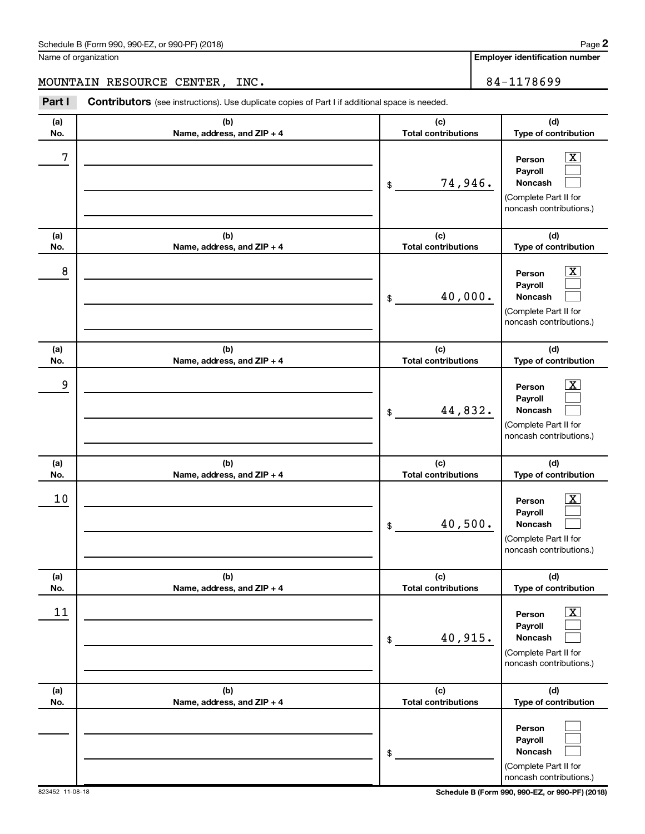Name of organization

**Employer identification number**

MOUNTAIN RESOURCE CENTER, INC. 84-1178699

| Part I     | <b>Contributors</b> (see instructions). Use duplicate copies of Part I if additional space is needed. |                                             |                                                                                                                                   |
|------------|-------------------------------------------------------------------------------------------------------|---------------------------------------------|-----------------------------------------------------------------------------------------------------------------------------------|
| (a)<br>No. | (b)<br>Name, address, and ZIP + 4                                                                     | (c)<br><b>Total contributions</b>           | (d)<br>Type of contribution                                                                                                       |
| 7          |                                                                                                       | 74,946.<br>\$                               | $\overline{\text{X}}$<br>Person<br>Payroll<br>Noncash<br>(Complete Part II for<br>noncash contributions.)                         |
| (a)<br>No. | (b)<br>Name, address, and ZIP + 4                                                                     | (c)<br><b>Total contributions</b>           | (d)<br>Type of contribution                                                                                                       |
| 8          |                                                                                                       | 40,000.<br>\$                               | $\overline{\text{X}}$<br>Person<br>Payroll<br>Noncash<br>(Complete Part II for<br>noncash contributions.)                         |
| (a)<br>No. | (b)<br>Name, address, and ZIP + 4                                                                     | (c)<br><b>Total contributions</b>           | (d)<br>Type of contribution                                                                                                       |
| 9          |                                                                                                       | 44,832.<br>\$                               | $\overline{\mathbf{X}}$<br>Person<br>Payroll<br>Noncash<br>(Complete Part II for<br>noncash contributions.)                       |
| (a)        | (b)                                                                                                   | (c)                                         | (d)                                                                                                                               |
| No.<br>10  | Name, address, and ZIP + 4                                                                            | <b>Total contributions</b><br>40,500.<br>\$ | Type of contribution<br>$\overline{\text{X}}$<br>Person<br>Payroll<br>Noncash<br>(Complete Part II for<br>noncash contributions.) |
| (a)<br>No. | (b)<br>Name, address, and ZIP + 4                                                                     | (c)<br><b>Total contributions</b>           | (d)<br>Type of contribution                                                                                                       |
| 11         |                                                                                                       | 40,915.<br>\$                               | $\overline{\textbf{X}}$<br>Person<br>Payroll<br><b>Noncash</b><br>(Complete Part II for<br>noncash contributions.)                |
| (a)<br>No. | (b)<br>Name, address, and ZIP + 4                                                                     | (c)<br><b>Total contributions</b>           | (d)<br>Type of contribution                                                                                                       |
|            |                                                                                                       | \$                                          | Person<br>Payroll<br>Noncash<br>(Complete Part II for<br>noncash contributions.)                                                  |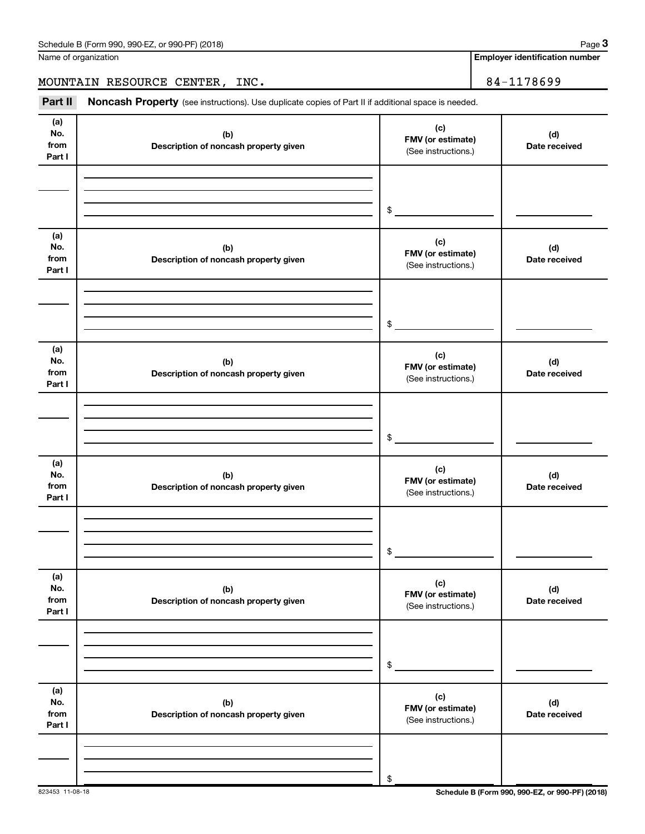| Schedule B (Form 990, 990-EZ, or 990-PF) (2018)<br>$\sqrt{2}$ , $\sqrt{2}$ , $\sqrt{2}$ , $\sqrt{2}$ , $\sqrt{2}$ | Page |
|-------------------------------------------------------------------------------------------------------------------|------|
|-------------------------------------------------------------------------------------------------------------------|------|

Name of organization

**Employer identification number**

MOUNTAIN RESOURCE CENTER, INC. 2012 2022 2023

Part II Noncash Property (see instructions). Use duplicate copies of Part II if additional space is needed.

| (a)<br>No.<br>from<br>Part I | (b)<br>Description of noncash property given | (c)<br>FMV (or estimate)<br>(See instructions.) | (d)<br>Date received |
|------------------------------|----------------------------------------------|-------------------------------------------------|----------------------|
|                              |                                              |                                                 |                      |
|                              |                                              | \$                                              |                      |
| (a)<br>No.<br>from<br>Part I | (b)<br>Description of noncash property given | (c)<br>FMV (or estimate)<br>(See instructions.) | (d)<br>Date received |
|                              |                                              |                                                 |                      |
|                              |                                              | \$                                              |                      |
| (a)<br>No.<br>from<br>Part I | (b)<br>Description of noncash property given | (c)<br>FMV (or estimate)<br>(See instructions.) | (d)<br>Date received |
|                              |                                              |                                                 |                      |
|                              |                                              | \$                                              |                      |
| (a)<br>No.<br>from<br>Part I | (b)<br>Description of noncash property given | (c)<br>FMV (or estimate)<br>(See instructions.) | (d)<br>Date received |
|                              |                                              |                                                 |                      |
|                              |                                              | \$                                              |                      |
| (a)<br>No.<br>from<br>Part I | (b)<br>Description of noncash property given | (c)<br>FMV (or estimate)<br>(See instructions.) | (d)<br>Date received |
|                              |                                              |                                                 |                      |
|                              |                                              | \$                                              |                      |
| (a)<br>No.<br>from<br>Part I | (b)<br>Description of noncash property given | (c)<br>FMV (or estimate)<br>(See instructions.) | (d)<br>Date received |
|                              |                                              |                                                 |                      |
|                              |                                              | \$                                              |                      |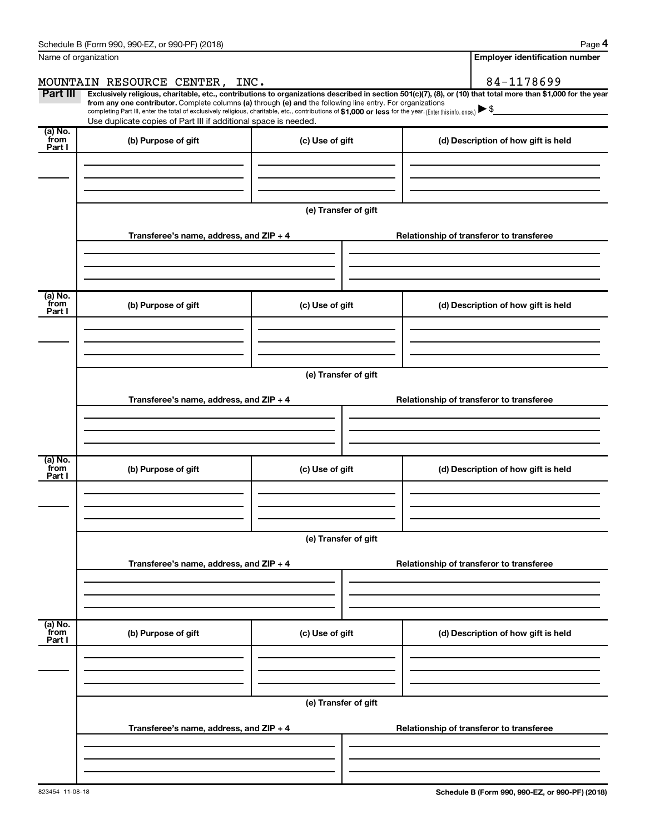|                           | Schedule B (Form 990, 990-EZ, or 990-PF) (2018)                                                                                                                                                                                                                        |                                       | Page 4                                                                                                                                                         |  |  |  |
|---------------------------|------------------------------------------------------------------------------------------------------------------------------------------------------------------------------------------------------------------------------------------------------------------------|---------------------------------------|----------------------------------------------------------------------------------------------------------------------------------------------------------------|--|--|--|
|                           | Name of organization                                                                                                                                                                                                                                                   | <b>Employer identification number</b> |                                                                                                                                                                |  |  |  |
|                           | MOUNTAIN RESOURCE CENTER, INC.                                                                                                                                                                                                                                         |                                       | 84-1178699                                                                                                                                                     |  |  |  |
| Part III                  | from any one contributor. Complete columns (a) through (e) and the following line entry. For organizations<br>completing Part III, enter the total of exclusively religious, charitable, etc., contributions of \$1,000 or less for the year. (Enter this info. once.) |                                       | Exclusively religious, charitable, etc., contributions to organizations described in section 501(c)(7), (8), or (10) that total more than \$1,000 for the year |  |  |  |
|                           | Use duplicate copies of Part III if additional space is needed.                                                                                                                                                                                                        |                                       |                                                                                                                                                                |  |  |  |
| (a) No.<br>from<br>Part I | (b) Purpose of gift                                                                                                                                                                                                                                                    | (c) Use of gift                       | (d) Description of how gift is held                                                                                                                            |  |  |  |
|                           |                                                                                                                                                                                                                                                                        |                                       |                                                                                                                                                                |  |  |  |
|                           |                                                                                                                                                                                                                                                                        | (e) Transfer of gift                  |                                                                                                                                                                |  |  |  |
|                           | Transferee's name, address, and ZIP + 4                                                                                                                                                                                                                                |                                       | Relationship of transferor to transferee                                                                                                                       |  |  |  |
|                           |                                                                                                                                                                                                                                                                        |                                       |                                                                                                                                                                |  |  |  |
| (a) No.<br>from<br>Part I | (b) Purpose of gift                                                                                                                                                                                                                                                    | (c) Use of gift                       | (d) Description of how gift is held                                                                                                                            |  |  |  |
|                           |                                                                                                                                                                                                                                                                        |                                       |                                                                                                                                                                |  |  |  |
|                           | (e) Transfer of gift                                                                                                                                                                                                                                                   |                                       |                                                                                                                                                                |  |  |  |
|                           | Transferee's name, address, and ZIP + 4                                                                                                                                                                                                                                |                                       | Relationship of transferor to transferee                                                                                                                       |  |  |  |
|                           |                                                                                                                                                                                                                                                                        |                                       |                                                                                                                                                                |  |  |  |
| (a) No.<br>from<br>Part I | (b) Purpose of gift                                                                                                                                                                                                                                                    | (c) Use of gift                       | (d) Description of how gift is held                                                                                                                            |  |  |  |
|                           |                                                                                                                                                                                                                                                                        |                                       |                                                                                                                                                                |  |  |  |
|                           | (e) Transfer of gift                                                                                                                                                                                                                                                   |                                       |                                                                                                                                                                |  |  |  |
|                           | Transferee's name, address, and ZIP + 4                                                                                                                                                                                                                                |                                       | Relationship of transferor to transferee                                                                                                                       |  |  |  |
|                           |                                                                                                                                                                                                                                                                        |                                       |                                                                                                                                                                |  |  |  |
| (a) No.<br>from<br>Part I | (b) Purpose of gift                                                                                                                                                                                                                                                    | (c) Use of gift                       | (d) Description of how gift is held                                                                                                                            |  |  |  |
|                           |                                                                                                                                                                                                                                                                        |                                       |                                                                                                                                                                |  |  |  |
|                           | (e) Transfer of gift                                                                                                                                                                                                                                                   |                                       |                                                                                                                                                                |  |  |  |
|                           | Transferee's name, address, and ZIP + 4                                                                                                                                                                                                                                |                                       | Relationship of transferor to transferee                                                                                                                       |  |  |  |
|                           |                                                                                                                                                                                                                                                                        |                                       |                                                                                                                                                                |  |  |  |
|                           |                                                                                                                                                                                                                                                                        |                                       |                                                                                                                                                                |  |  |  |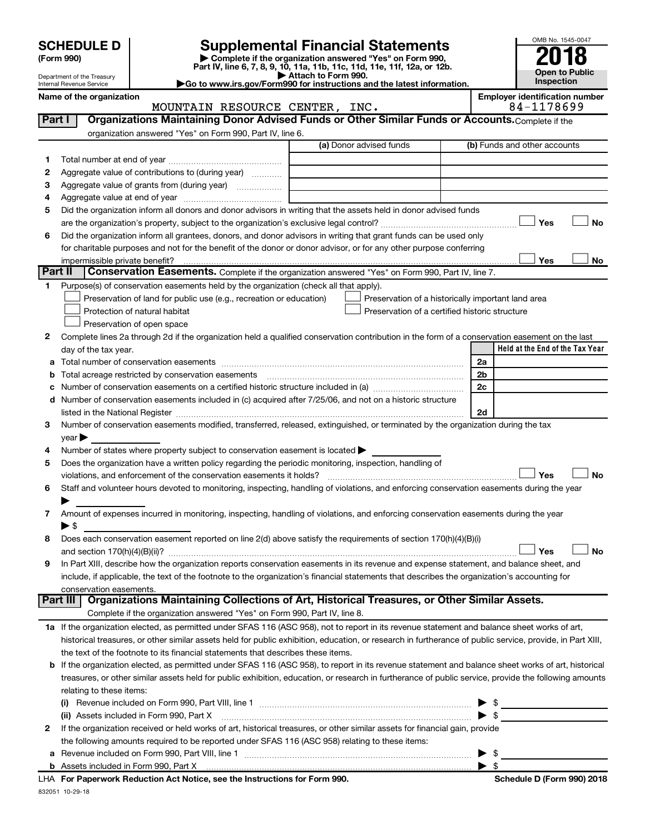| <b>SCHEDULE D</b> |  |
|-------------------|--|
|-------------------|--|

# **SCHEDULE D Supplemental Financial Statements**<br> **Form 990 2018**<br> **Part IV** line 6.7.8.9.10, 11a, 11b, 11d, 11d, 11d, 11d, 11d, 12a, 0r, 12b

**(Form 990) | Complete if the organization answered "Yes" on Form 990, Part IV, line 6, 7, 8, 9, 10, 11a, 11b, 11c, 11d, 11e, 11f, 12a, or 12b.**

**| Attach to Form 990. |Go to www.irs.gov/Form990 for instructions and the latest information.**



Department of the Treasury Internal Revenue Service

Name of the organization<br>**MOUNTAIN RESOURCE CENTER, INC. Employer identification number**<br>84-1178699 MOUNTAIN RESOURCE CENTER, INC.

| organization answered "Yes" on Form 990, Part IV, line 6.<br>(a) Donor advised funds<br>(b) Funds and other accounts<br>1<br>Aggregate value of contributions to (during year)<br>2<br>Aggregate value of grants from (during year)<br>З<br>4<br>Did the organization inform all donors and donor advisors in writing that the assets held in donor advised funds<br>5<br>Yes<br>No<br>Did the organization inform all grantees, donors, and donor advisors in writing that grant funds can be used only<br>6<br>for charitable purposes and not for the benefit of the donor or donor advisor, or for any other purpose conferring<br>Yes<br>impermissible private benefit?<br>No<br><b>Part II</b><br>Conservation Easements. Complete if the organization answered "Yes" on Form 990, Part IV, line 7.<br>Purpose(s) of conservation easements held by the organization (check all that apply).<br>1<br>Preservation of land for public use (e.g., recreation or education)<br>Preservation of a historically important land area<br>Protection of natural habitat<br>Preservation of a certified historic structure<br>Preservation of open space<br>Complete lines 2a through 2d if the organization held a qualified conservation contribution in the form of a conservation easement on the last<br>2<br>Held at the End of the Tax Year<br>day of the tax year.<br>2a<br>2 <sub>b</sub><br>Total acreage restricted by conservation easements<br>2c<br>Number of conservation easements included in (c) acquired after 7/25/06, and not on a historic structure<br>2d<br>listed in the National Register [111] increases the National Property of the National Register [11] increases<br>Number of conservation easements modified, transferred, released, extinguished, or terminated by the organization during the tax<br>З<br>year<br>Number of states where property subject to conservation easement is located ><br>4<br>Does the organization have a written policy regarding the periodic monitoring, inspection, handling of<br>5<br>Yes<br>violations, and enforcement of the conservation easements it holds?<br>No<br>Staff and volunteer hours devoted to monitoring, inspecting, handling of violations, and enforcing conservation easements during the year<br>6<br>Amount of expenses incurred in monitoring, inspecting, handling of violations, and enforcing conservation easements during the year<br>7.<br>► \$<br>Does each conservation easement reported on line 2(d) above satisfy the requirements of section 170(h)(4)(B)(i)<br>8<br>No<br>Yes<br>In Part XIII, describe how the organization reports conservation easements in its revenue and expense statement, and balance sheet, and<br>9<br>include, if applicable, the text of the footnote to the organization's financial statements that describes the organization's accounting for<br>conservation easements.<br>Organizations Maintaining Collections of Art, Historical Treasures, or Other Similar Assets.<br>  Part III <br>Complete if the organization answered "Yes" on Form 990, Part IV, line 8.<br>1a If the organization elected, as permitted under SFAS 116 (ASC 958), not to report in its revenue statement and balance sheet works of art,<br>historical treasures, or other similar assets held for public exhibition, education, or research in furtherance of public service, provide, in Part XIII,<br>the text of the footnote to its financial statements that describes these items.<br>If the organization elected, as permitted under SFAS 116 (ASC 958), to report in its revenue statement and balance sheet works of art, historical<br>b<br>treasures, or other similar assets held for public exhibition, education, or research in furtherance of public service, provide the following amounts<br>relating to these items:<br>$\frac{1}{2}$<br>▶<br>$\blacktriangleright$ \$<br>(ii) Assets included in Form 990, Part X<br>If the organization received or held works of art, historical treasures, or other similar assets for financial gain, provide<br>2<br>the following amounts required to be reported under SFAS 116 (ASC 958) relating to these items:<br>\$<br>▶<br>а<br>$\blacktriangleright$ s | Part I | Organizations Maintaining Donor Advised Funds or Other Similar Funds or Accounts. Complete if the |  |
|-----------------------------------------------------------------------------------------------------------------------------------------------------------------------------------------------------------------------------------------------------------------------------------------------------------------------------------------------------------------------------------------------------------------------------------------------------------------------------------------------------------------------------------------------------------------------------------------------------------------------------------------------------------------------------------------------------------------------------------------------------------------------------------------------------------------------------------------------------------------------------------------------------------------------------------------------------------------------------------------------------------------------------------------------------------------------------------------------------------------------------------------------------------------------------------------------------------------------------------------------------------------------------------------------------------------------------------------------------------------------------------------------------------------------------------------------------------------------------------------------------------------------------------------------------------------------------------------------------------------------------------------------------------------------------------------------------------------------------------------------------------------------------------------------------------------------------------------------------------------------------------------------------------------------------------------------------------------------------------------------------------------------------------------------------------------------------------------------------------------------------------------------------------------------------------------------------------------------------------------------------------------------------------------------------------------------------------------------------------------------------------------------------------------------------------------------------------------------------------------------------------------------------------------------------------------------------------------------------------------------------------------------------------------------------------------------------------------------------------------------------------------------------------------------------------------------------------------------------------------------------------------------------------------------------------------------------------------------------------------------------------------------------------------------------------------------------------------------------------------------------------------------------------------------------------------------------------------------------------------------------------------------------------------------------------------------------------------------------------------------------------------------------------------------------------------------------------------------------------------------------------------------------------------------------------------------------------------------------------------------------------------------------------------------------------------------------------------------------------------------------------------------------------------------------------------------------------------------------------------------------------------------------------------------------------------------------------------------------------------------------------------------------------------------------------------------------------------------------------------------------------------------------------------------------------------------------------------------------------------------|--------|---------------------------------------------------------------------------------------------------|--|
|                                                                                                                                                                                                                                                                                                                                                                                                                                                                                                                                                                                                                                                                                                                                                                                                                                                                                                                                                                                                                                                                                                                                                                                                                                                                                                                                                                                                                                                                                                                                                                                                                                                                                                                                                                                                                                                                                                                                                                                                                                                                                                                                                                                                                                                                                                                                                                                                                                                                                                                                                                                                                                                                                                                                                                                                                                                                                                                                                                                                                                                                                                                                                                                                                                                                                                                                                                                                                                                                                                                                                                                                                                                                                                                                                                                                                                                                                                                                                                                                                                                                                                                                                                                                                                               |        |                                                                                                   |  |
|                                                                                                                                                                                                                                                                                                                                                                                                                                                                                                                                                                                                                                                                                                                                                                                                                                                                                                                                                                                                                                                                                                                                                                                                                                                                                                                                                                                                                                                                                                                                                                                                                                                                                                                                                                                                                                                                                                                                                                                                                                                                                                                                                                                                                                                                                                                                                                                                                                                                                                                                                                                                                                                                                                                                                                                                                                                                                                                                                                                                                                                                                                                                                                                                                                                                                                                                                                                                                                                                                                                                                                                                                                                                                                                                                                                                                                                                                                                                                                                                                                                                                                                                                                                                                                               |        |                                                                                                   |  |
|                                                                                                                                                                                                                                                                                                                                                                                                                                                                                                                                                                                                                                                                                                                                                                                                                                                                                                                                                                                                                                                                                                                                                                                                                                                                                                                                                                                                                                                                                                                                                                                                                                                                                                                                                                                                                                                                                                                                                                                                                                                                                                                                                                                                                                                                                                                                                                                                                                                                                                                                                                                                                                                                                                                                                                                                                                                                                                                                                                                                                                                                                                                                                                                                                                                                                                                                                                                                                                                                                                                                                                                                                                                                                                                                                                                                                                                                                                                                                                                                                                                                                                                                                                                                                                               |        |                                                                                                   |  |
|                                                                                                                                                                                                                                                                                                                                                                                                                                                                                                                                                                                                                                                                                                                                                                                                                                                                                                                                                                                                                                                                                                                                                                                                                                                                                                                                                                                                                                                                                                                                                                                                                                                                                                                                                                                                                                                                                                                                                                                                                                                                                                                                                                                                                                                                                                                                                                                                                                                                                                                                                                                                                                                                                                                                                                                                                                                                                                                                                                                                                                                                                                                                                                                                                                                                                                                                                                                                                                                                                                                                                                                                                                                                                                                                                                                                                                                                                                                                                                                                                                                                                                                                                                                                                                               |        |                                                                                                   |  |
|                                                                                                                                                                                                                                                                                                                                                                                                                                                                                                                                                                                                                                                                                                                                                                                                                                                                                                                                                                                                                                                                                                                                                                                                                                                                                                                                                                                                                                                                                                                                                                                                                                                                                                                                                                                                                                                                                                                                                                                                                                                                                                                                                                                                                                                                                                                                                                                                                                                                                                                                                                                                                                                                                                                                                                                                                                                                                                                                                                                                                                                                                                                                                                                                                                                                                                                                                                                                                                                                                                                                                                                                                                                                                                                                                                                                                                                                                                                                                                                                                                                                                                                                                                                                                                               |        |                                                                                                   |  |
|                                                                                                                                                                                                                                                                                                                                                                                                                                                                                                                                                                                                                                                                                                                                                                                                                                                                                                                                                                                                                                                                                                                                                                                                                                                                                                                                                                                                                                                                                                                                                                                                                                                                                                                                                                                                                                                                                                                                                                                                                                                                                                                                                                                                                                                                                                                                                                                                                                                                                                                                                                                                                                                                                                                                                                                                                                                                                                                                                                                                                                                                                                                                                                                                                                                                                                                                                                                                                                                                                                                                                                                                                                                                                                                                                                                                                                                                                                                                                                                                                                                                                                                                                                                                                                               |        |                                                                                                   |  |
|                                                                                                                                                                                                                                                                                                                                                                                                                                                                                                                                                                                                                                                                                                                                                                                                                                                                                                                                                                                                                                                                                                                                                                                                                                                                                                                                                                                                                                                                                                                                                                                                                                                                                                                                                                                                                                                                                                                                                                                                                                                                                                                                                                                                                                                                                                                                                                                                                                                                                                                                                                                                                                                                                                                                                                                                                                                                                                                                                                                                                                                                                                                                                                                                                                                                                                                                                                                                                                                                                                                                                                                                                                                                                                                                                                                                                                                                                                                                                                                                                                                                                                                                                                                                                                               |        |                                                                                                   |  |
|                                                                                                                                                                                                                                                                                                                                                                                                                                                                                                                                                                                                                                                                                                                                                                                                                                                                                                                                                                                                                                                                                                                                                                                                                                                                                                                                                                                                                                                                                                                                                                                                                                                                                                                                                                                                                                                                                                                                                                                                                                                                                                                                                                                                                                                                                                                                                                                                                                                                                                                                                                                                                                                                                                                                                                                                                                                                                                                                                                                                                                                                                                                                                                                                                                                                                                                                                                                                                                                                                                                                                                                                                                                                                                                                                                                                                                                                                                                                                                                                                                                                                                                                                                                                                                               |        |                                                                                                   |  |
|                                                                                                                                                                                                                                                                                                                                                                                                                                                                                                                                                                                                                                                                                                                                                                                                                                                                                                                                                                                                                                                                                                                                                                                                                                                                                                                                                                                                                                                                                                                                                                                                                                                                                                                                                                                                                                                                                                                                                                                                                                                                                                                                                                                                                                                                                                                                                                                                                                                                                                                                                                                                                                                                                                                                                                                                                                                                                                                                                                                                                                                                                                                                                                                                                                                                                                                                                                                                                                                                                                                                                                                                                                                                                                                                                                                                                                                                                                                                                                                                                                                                                                                                                                                                                                               |        |                                                                                                   |  |
|                                                                                                                                                                                                                                                                                                                                                                                                                                                                                                                                                                                                                                                                                                                                                                                                                                                                                                                                                                                                                                                                                                                                                                                                                                                                                                                                                                                                                                                                                                                                                                                                                                                                                                                                                                                                                                                                                                                                                                                                                                                                                                                                                                                                                                                                                                                                                                                                                                                                                                                                                                                                                                                                                                                                                                                                                                                                                                                                                                                                                                                                                                                                                                                                                                                                                                                                                                                                                                                                                                                                                                                                                                                                                                                                                                                                                                                                                                                                                                                                                                                                                                                                                                                                                                               |        |                                                                                                   |  |
|                                                                                                                                                                                                                                                                                                                                                                                                                                                                                                                                                                                                                                                                                                                                                                                                                                                                                                                                                                                                                                                                                                                                                                                                                                                                                                                                                                                                                                                                                                                                                                                                                                                                                                                                                                                                                                                                                                                                                                                                                                                                                                                                                                                                                                                                                                                                                                                                                                                                                                                                                                                                                                                                                                                                                                                                                                                                                                                                                                                                                                                                                                                                                                                                                                                                                                                                                                                                                                                                                                                                                                                                                                                                                                                                                                                                                                                                                                                                                                                                                                                                                                                                                                                                                                               |        |                                                                                                   |  |
|                                                                                                                                                                                                                                                                                                                                                                                                                                                                                                                                                                                                                                                                                                                                                                                                                                                                                                                                                                                                                                                                                                                                                                                                                                                                                                                                                                                                                                                                                                                                                                                                                                                                                                                                                                                                                                                                                                                                                                                                                                                                                                                                                                                                                                                                                                                                                                                                                                                                                                                                                                                                                                                                                                                                                                                                                                                                                                                                                                                                                                                                                                                                                                                                                                                                                                                                                                                                                                                                                                                                                                                                                                                                                                                                                                                                                                                                                                                                                                                                                                                                                                                                                                                                                                               |        |                                                                                                   |  |
|                                                                                                                                                                                                                                                                                                                                                                                                                                                                                                                                                                                                                                                                                                                                                                                                                                                                                                                                                                                                                                                                                                                                                                                                                                                                                                                                                                                                                                                                                                                                                                                                                                                                                                                                                                                                                                                                                                                                                                                                                                                                                                                                                                                                                                                                                                                                                                                                                                                                                                                                                                                                                                                                                                                                                                                                                                                                                                                                                                                                                                                                                                                                                                                                                                                                                                                                                                                                                                                                                                                                                                                                                                                                                                                                                                                                                                                                                                                                                                                                                                                                                                                                                                                                                                               |        |                                                                                                   |  |
|                                                                                                                                                                                                                                                                                                                                                                                                                                                                                                                                                                                                                                                                                                                                                                                                                                                                                                                                                                                                                                                                                                                                                                                                                                                                                                                                                                                                                                                                                                                                                                                                                                                                                                                                                                                                                                                                                                                                                                                                                                                                                                                                                                                                                                                                                                                                                                                                                                                                                                                                                                                                                                                                                                                                                                                                                                                                                                                                                                                                                                                                                                                                                                                                                                                                                                                                                                                                                                                                                                                                                                                                                                                                                                                                                                                                                                                                                                                                                                                                                                                                                                                                                                                                                                               |        |                                                                                                   |  |
|                                                                                                                                                                                                                                                                                                                                                                                                                                                                                                                                                                                                                                                                                                                                                                                                                                                                                                                                                                                                                                                                                                                                                                                                                                                                                                                                                                                                                                                                                                                                                                                                                                                                                                                                                                                                                                                                                                                                                                                                                                                                                                                                                                                                                                                                                                                                                                                                                                                                                                                                                                                                                                                                                                                                                                                                                                                                                                                                                                                                                                                                                                                                                                                                                                                                                                                                                                                                                                                                                                                                                                                                                                                                                                                                                                                                                                                                                                                                                                                                                                                                                                                                                                                                                                               |        |                                                                                                   |  |
|                                                                                                                                                                                                                                                                                                                                                                                                                                                                                                                                                                                                                                                                                                                                                                                                                                                                                                                                                                                                                                                                                                                                                                                                                                                                                                                                                                                                                                                                                                                                                                                                                                                                                                                                                                                                                                                                                                                                                                                                                                                                                                                                                                                                                                                                                                                                                                                                                                                                                                                                                                                                                                                                                                                                                                                                                                                                                                                                                                                                                                                                                                                                                                                                                                                                                                                                                                                                                                                                                                                                                                                                                                                                                                                                                                                                                                                                                                                                                                                                                                                                                                                                                                                                                                               |        |                                                                                                   |  |
|                                                                                                                                                                                                                                                                                                                                                                                                                                                                                                                                                                                                                                                                                                                                                                                                                                                                                                                                                                                                                                                                                                                                                                                                                                                                                                                                                                                                                                                                                                                                                                                                                                                                                                                                                                                                                                                                                                                                                                                                                                                                                                                                                                                                                                                                                                                                                                                                                                                                                                                                                                                                                                                                                                                                                                                                                                                                                                                                                                                                                                                                                                                                                                                                                                                                                                                                                                                                                                                                                                                                                                                                                                                                                                                                                                                                                                                                                                                                                                                                                                                                                                                                                                                                                                               |        |                                                                                                   |  |
|                                                                                                                                                                                                                                                                                                                                                                                                                                                                                                                                                                                                                                                                                                                                                                                                                                                                                                                                                                                                                                                                                                                                                                                                                                                                                                                                                                                                                                                                                                                                                                                                                                                                                                                                                                                                                                                                                                                                                                                                                                                                                                                                                                                                                                                                                                                                                                                                                                                                                                                                                                                                                                                                                                                                                                                                                                                                                                                                                                                                                                                                                                                                                                                                                                                                                                                                                                                                                                                                                                                                                                                                                                                                                                                                                                                                                                                                                                                                                                                                                                                                                                                                                                                                                                               |        |                                                                                                   |  |
|                                                                                                                                                                                                                                                                                                                                                                                                                                                                                                                                                                                                                                                                                                                                                                                                                                                                                                                                                                                                                                                                                                                                                                                                                                                                                                                                                                                                                                                                                                                                                                                                                                                                                                                                                                                                                                                                                                                                                                                                                                                                                                                                                                                                                                                                                                                                                                                                                                                                                                                                                                                                                                                                                                                                                                                                                                                                                                                                                                                                                                                                                                                                                                                                                                                                                                                                                                                                                                                                                                                                                                                                                                                                                                                                                                                                                                                                                                                                                                                                                                                                                                                                                                                                                                               |        |                                                                                                   |  |
|                                                                                                                                                                                                                                                                                                                                                                                                                                                                                                                                                                                                                                                                                                                                                                                                                                                                                                                                                                                                                                                                                                                                                                                                                                                                                                                                                                                                                                                                                                                                                                                                                                                                                                                                                                                                                                                                                                                                                                                                                                                                                                                                                                                                                                                                                                                                                                                                                                                                                                                                                                                                                                                                                                                                                                                                                                                                                                                                                                                                                                                                                                                                                                                                                                                                                                                                                                                                                                                                                                                                                                                                                                                                                                                                                                                                                                                                                                                                                                                                                                                                                                                                                                                                                                               |        |                                                                                                   |  |
|                                                                                                                                                                                                                                                                                                                                                                                                                                                                                                                                                                                                                                                                                                                                                                                                                                                                                                                                                                                                                                                                                                                                                                                                                                                                                                                                                                                                                                                                                                                                                                                                                                                                                                                                                                                                                                                                                                                                                                                                                                                                                                                                                                                                                                                                                                                                                                                                                                                                                                                                                                                                                                                                                                                                                                                                                                                                                                                                                                                                                                                                                                                                                                                                                                                                                                                                                                                                                                                                                                                                                                                                                                                                                                                                                                                                                                                                                                                                                                                                                                                                                                                                                                                                                                               |        |                                                                                                   |  |
|                                                                                                                                                                                                                                                                                                                                                                                                                                                                                                                                                                                                                                                                                                                                                                                                                                                                                                                                                                                                                                                                                                                                                                                                                                                                                                                                                                                                                                                                                                                                                                                                                                                                                                                                                                                                                                                                                                                                                                                                                                                                                                                                                                                                                                                                                                                                                                                                                                                                                                                                                                                                                                                                                                                                                                                                                                                                                                                                                                                                                                                                                                                                                                                                                                                                                                                                                                                                                                                                                                                                                                                                                                                                                                                                                                                                                                                                                                                                                                                                                                                                                                                                                                                                                                               |        |                                                                                                   |  |
|                                                                                                                                                                                                                                                                                                                                                                                                                                                                                                                                                                                                                                                                                                                                                                                                                                                                                                                                                                                                                                                                                                                                                                                                                                                                                                                                                                                                                                                                                                                                                                                                                                                                                                                                                                                                                                                                                                                                                                                                                                                                                                                                                                                                                                                                                                                                                                                                                                                                                                                                                                                                                                                                                                                                                                                                                                                                                                                                                                                                                                                                                                                                                                                                                                                                                                                                                                                                                                                                                                                                                                                                                                                                                                                                                                                                                                                                                                                                                                                                                                                                                                                                                                                                                                               |        |                                                                                                   |  |
|                                                                                                                                                                                                                                                                                                                                                                                                                                                                                                                                                                                                                                                                                                                                                                                                                                                                                                                                                                                                                                                                                                                                                                                                                                                                                                                                                                                                                                                                                                                                                                                                                                                                                                                                                                                                                                                                                                                                                                                                                                                                                                                                                                                                                                                                                                                                                                                                                                                                                                                                                                                                                                                                                                                                                                                                                                                                                                                                                                                                                                                                                                                                                                                                                                                                                                                                                                                                                                                                                                                                                                                                                                                                                                                                                                                                                                                                                                                                                                                                                                                                                                                                                                                                                                               |        |                                                                                                   |  |
|                                                                                                                                                                                                                                                                                                                                                                                                                                                                                                                                                                                                                                                                                                                                                                                                                                                                                                                                                                                                                                                                                                                                                                                                                                                                                                                                                                                                                                                                                                                                                                                                                                                                                                                                                                                                                                                                                                                                                                                                                                                                                                                                                                                                                                                                                                                                                                                                                                                                                                                                                                                                                                                                                                                                                                                                                                                                                                                                                                                                                                                                                                                                                                                                                                                                                                                                                                                                                                                                                                                                                                                                                                                                                                                                                                                                                                                                                                                                                                                                                                                                                                                                                                                                                                               |        |                                                                                                   |  |
|                                                                                                                                                                                                                                                                                                                                                                                                                                                                                                                                                                                                                                                                                                                                                                                                                                                                                                                                                                                                                                                                                                                                                                                                                                                                                                                                                                                                                                                                                                                                                                                                                                                                                                                                                                                                                                                                                                                                                                                                                                                                                                                                                                                                                                                                                                                                                                                                                                                                                                                                                                                                                                                                                                                                                                                                                                                                                                                                                                                                                                                                                                                                                                                                                                                                                                                                                                                                                                                                                                                                                                                                                                                                                                                                                                                                                                                                                                                                                                                                                                                                                                                                                                                                                                               |        |                                                                                                   |  |
|                                                                                                                                                                                                                                                                                                                                                                                                                                                                                                                                                                                                                                                                                                                                                                                                                                                                                                                                                                                                                                                                                                                                                                                                                                                                                                                                                                                                                                                                                                                                                                                                                                                                                                                                                                                                                                                                                                                                                                                                                                                                                                                                                                                                                                                                                                                                                                                                                                                                                                                                                                                                                                                                                                                                                                                                                                                                                                                                                                                                                                                                                                                                                                                                                                                                                                                                                                                                                                                                                                                                                                                                                                                                                                                                                                                                                                                                                                                                                                                                                                                                                                                                                                                                                                               |        |                                                                                                   |  |
|                                                                                                                                                                                                                                                                                                                                                                                                                                                                                                                                                                                                                                                                                                                                                                                                                                                                                                                                                                                                                                                                                                                                                                                                                                                                                                                                                                                                                                                                                                                                                                                                                                                                                                                                                                                                                                                                                                                                                                                                                                                                                                                                                                                                                                                                                                                                                                                                                                                                                                                                                                                                                                                                                                                                                                                                                                                                                                                                                                                                                                                                                                                                                                                                                                                                                                                                                                                                                                                                                                                                                                                                                                                                                                                                                                                                                                                                                                                                                                                                                                                                                                                                                                                                                                               |        |                                                                                                   |  |
|                                                                                                                                                                                                                                                                                                                                                                                                                                                                                                                                                                                                                                                                                                                                                                                                                                                                                                                                                                                                                                                                                                                                                                                                                                                                                                                                                                                                                                                                                                                                                                                                                                                                                                                                                                                                                                                                                                                                                                                                                                                                                                                                                                                                                                                                                                                                                                                                                                                                                                                                                                                                                                                                                                                                                                                                                                                                                                                                                                                                                                                                                                                                                                                                                                                                                                                                                                                                                                                                                                                                                                                                                                                                                                                                                                                                                                                                                                                                                                                                                                                                                                                                                                                                                                               |        |                                                                                                   |  |
|                                                                                                                                                                                                                                                                                                                                                                                                                                                                                                                                                                                                                                                                                                                                                                                                                                                                                                                                                                                                                                                                                                                                                                                                                                                                                                                                                                                                                                                                                                                                                                                                                                                                                                                                                                                                                                                                                                                                                                                                                                                                                                                                                                                                                                                                                                                                                                                                                                                                                                                                                                                                                                                                                                                                                                                                                                                                                                                                                                                                                                                                                                                                                                                                                                                                                                                                                                                                                                                                                                                                                                                                                                                                                                                                                                                                                                                                                                                                                                                                                                                                                                                                                                                                                                               |        |                                                                                                   |  |
|                                                                                                                                                                                                                                                                                                                                                                                                                                                                                                                                                                                                                                                                                                                                                                                                                                                                                                                                                                                                                                                                                                                                                                                                                                                                                                                                                                                                                                                                                                                                                                                                                                                                                                                                                                                                                                                                                                                                                                                                                                                                                                                                                                                                                                                                                                                                                                                                                                                                                                                                                                                                                                                                                                                                                                                                                                                                                                                                                                                                                                                                                                                                                                                                                                                                                                                                                                                                                                                                                                                                                                                                                                                                                                                                                                                                                                                                                                                                                                                                                                                                                                                                                                                                                                               |        |                                                                                                   |  |
|                                                                                                                                                                                                                                                                                                                                                                                                                                                                                                                                                                                                                                                                                                                                                                                                                                                                                                                                                                                                                                                                                                                                                                                                                                                                                                                                                                                                                                                                                                                                                                                                                                                                                                                                                                                                                                                                                                                                                                                                                                                                                                                                                                                                                                                                                                                                                                                                                                                                                                                                                                                                                                                                                                                                                                                                                                                                                                                                                                                                                                                                                                                                                                                                                                                                                                                                                                                                                                                                                                                                                                                                                                                                                                                                                                                                                                                                                                                                                                                                                                                                                                                                                                                                                                               |        |                                                                                                   |  |
|                                                                                                                                                                                                                                                                                                                                                                                                                                                                                                                                                                                                                                                                                                                                                                                                                                                                                                                                                                                                                                                                                                                                                                                                                                                                                                                                                                                                                                                                                                                                                                                                                                                                                                                                                                                                                                                                                                                                                                                                                                                                                                                                                                                                                                                                                                                                                                                                                                                                                                                                                                                                                                                                                                                                                                                                                                                                                                                                                                                                                                                                                                                                                                                                                                                                                                                                                                                                                                                                                                                                                                                                                                                                                                                                                                                                                                                                                                                                                                                                                                                                                                                                                                                                                                               |        |                                                                                                   |  |
|                                                                                                                                                                                                                                                                                                                                                                                                                                                                                                                                                                                                                                                                                                                                                                                                                                                                                                                                                                                                                                                                                                                                                                                                                                                                                                                                                                                                                                                                                                                                                                                                                                                                                                                                                                                                                                                                                                                                                                                                                                                                                                                                                                                                                                                                                                                                                                                                                                                                                                                                                                                                                                                                                                                                                                                                                                                                                                                                                                                                                                                                                                                                                                                                                                                                                                                                                                                                                                                                                                                                                                                                                                                                                                                                                                                                                                                                                                                                                                                                                                                                                                                                                                                                                                               |        |                                                                                                   |  |
|                                                                                                                                                                                                                                                                                                                                                                                                                                                                                                                                                                                                                                                                                                                                                                                                                                                                                                                                                                                                                                                                                                                                                                                                                                                                                                                                                                                                                                                                                                                                                                                                                                                                                                                                                                                                                                                                                                                                                                                                                                                                                                                                                                                                                                                                                                                                                                                                                                                                                                                                                                                                                                                                                                                                                                                                                                                                                                                                                                                                                                                                                                                                                                                                                                                                                                                                                                                                                                                                                                                                                                                                                                                                                                                                                                                                                                                                                                                                                                                                                                                                                                                                                                                                                                               |        |                                                                                                   |  |
|                                                                                                                                                                                                                                                                                                                                                                                                                                                                                                                                                                                                                                                                                                                                                                                                                                                                                                                                                                                                                                                                                                                                                                                                                                                                                                                                                                                                                                                                                                                                                                                                                                                                                                                                                                                                                                                                                                                                                                                                                                                                                                                                                                                                                                                                                                                                                                                                                                                                                                                                                                                                                                                                                                                                                                                                                                                                                                                                                                                                                                                                                                                                                                                                                                                                                                                                                                                                                                                                                                                                                                                                                                                                                                                                                                                                                                                                                                                                                                                                                                                                                                                                                                                                                                               |        |                                                                                                   |  |
|                                                                                                                                                                                                                                                                                                                                                                                                                                                                                                                                                                                                                                                                                                                                                                                                                                                                                                                                                                                                                                                                                                                                                                                                                                                                                                                                                                                                                                                                                                                                                                                                                                                                                                                                                                                                                                                                                                                                                                                                                                                                                                                                                                                                                                                                                                                                                                                                                                                                                                                                                                                                                                                                                                                                                                                                                                                                                                                                                                                                                                                                                                                                                                                                                                                                                                                                                                                                                                                                                                                                                                                                                                                                                                                                                                                                                                                                                                                                                                                                                                                                                                                                                                                                                                               |        |                                                                                                   |  |
|                                                                                                                                                                                                                                                                                                                                                                                                                                                                                                                                                                                                                                                                                                                                                                                                                                                                                                                                                                                                                                                                                                                                                                                                                                                                                                                                                                                                                                                                                                                                                                                                                                                                                                                                                                                                                                                                                                                                                                                                                                                                                                                                                                                                                                                                                                                                                                                                                                                                                                                                                                                                                                                                                                                                                                                                                                                                                                                                                                                                                                                                                                                                                                                                                                                                                                                                                                                                                                                                                                                                                                                                                                                                                                                                                                                                                                                                                                                                                                                                                                                                                                                                                                                                                                               |        |                                                                                                   |  |
|                                                                                                                                                                                                                                                                                                                                                                                                                                                                                                                                                                                                                                                                                                                                                                                                                                                                                                                                                                                                                                                                                                                                                                                                                                                                                                                                                                                                                                                                                                                                                                                                                                                                                                                                                                                                                                                                                                                                                                                                                                                                                                                                                                                                                                                                                                                                                                                                                                                                                                                                                                                                                                                                                                                                                                                                                                                                                                                                                                                                                                                                                                                                                                                                                                                                                                                                                                                                                                                                                                                                                                                                                                                                                                                                                                                                                                                                                                                                                                                                                                                                                                                                                                                                                                               |        |                                                                                                   |  |
|                                                                                                                                                                                                                                                                                                                                                                                                                                                                                                                                                                                                                                                                                                                                                                                                                                                                                                                                                                                                                                                                                                                                                                                                                                                                                                                                                                                                                                                                                                                                                                                                                                                                                                                                                                                                                                                                                                                                                                                                                                                                                                                                                                                                                                                                                                                                                                                                                                                                                                                                                                                                                                                                                                                                                                                                                                                                                                                                                                                                                                                                                                                                                                                                                                                                                                                                                                                                                                                                                                                                                                                                                                                                                                                                                                                                                                                                                                                                                                                                                                                                                                                                                                                                                                               |        |                                                                                                   |  |
|                                                                                                                                                                                                                                                                                                                                                                                                                                                                                                                                                                                                                                                                                                                                                                                                                                                                                                                                                                                                                                                                                                                                                                                                                                                                                                                                                                                                                                                                                                                                                                                                                                                                                                                                                                                                                                                                                                                                                                                                                                                                                                                                                                                                                                                                                                                                                                                                                                                                                                                                                                                                                                                                                                                                                                                                                                                                                                                                                                                                                                                                                                                                                                                                                                                                                                                                                                                                                                                                                                                                                                                                                                                                                                                                                                                                                                                                                                                                                                                                                                                                                                                                                                                                                                               |        |                                                                                                   |  |
|                                                                                                                                                                                                                                                                                                                                                                                                                                                                                                                                                                                                                                                                                                                                                                                                                                                                                                                                                                                                                                                                                                                                                                                                                                                                                                                                                                                                                                                                                                                                                                                                                                                                                                                                                                                                                                                                                                                                                                                                                                                                                                                                                                                                                                                                                                                                                                                                                                                                                                                                                                                                                                                                                                                                                                                                                                                                                                                                                                                                                                                                                                                                                                                                                                                                                                                                                                                                                                                                                                                                                                                                                                                                                                                                                                                                                                                                                                                                                                                                                                                                                                                                                                                                                                               |        |                                                                                                   |  |
|                                                                                                                                                                                                                                                                                                                                                                                                                                                                                                                                                                                                                                                                                                                                                                                                                                                                                                                                                                                                                                                                                                                                                                                                                                                                                                                                                                                                                                                                                                                                                                                                                                                                                                                                                                                                                                                                                                                                                                                                                                                                                                                                                                                                                                                                                                                                                                                                                                                                                                                                                                                                                                                                                                                                                                                                                                                                                                                                                                                                                                                                                                                                                                                                                                                                                                                                                                                                                                                                                                                                                                                                                                                                                                                                                                                                                                                                                                                                                                                                                                                                                                                                                                                                                                               |        |                                                                                                   |  |
|                                                                                                                                                                                                                                                                                                                                                                                                                                                                                                                                                                                                                                                                                                                                                                                                                                                                                                                                                                                                                                                                                                                                                                                                                                                                                                                                                                                                                                                                                                                                                                                                                                                                                                                                                                                                                                                                                                                                                                                                                                                                                                                                                                                                                                                                                                                                                                                                                                                                                                                                                                                                                                                                                                                                                                                                                                                                                                                                                                                                                                                                                                                                                                                                                                                                                                                                                                                                                                                                                                                                                                                                                                                                                                                                                                                                                                                                                                                                                                                                                                                                                                                                                                                                                                               |        |                                                                                                   |  |
|                                                                                                                                                                                                                                                                                                                                                                                                                                                                                                                                                                                                                                                                                                                                                                                                                                                                                                                                                                                                                                                                                                                                                                                                                                                                                                                                                                                                                                                                                                                                                                                                                                                                                                                                                                                                                                                                                                                                                                                                                                                                                                                                                                                                                                                                                                                                                                                                                                                                                                                                                                                                                                                                                                                                                                                                                                                                                                                                                                                                                                                                                                                                                                                                                                                                                                                                                                                                                                                                                                                                                                                                                                                                                                                                                                                                                                                                                                                                                                                                                                                                                                                                                                                                                                               |        |                                                                                                   |  |
|                                                                                                                                                                                                                                                                                                                                                                                                                                                                                                                                                                                                                                                                                                                                                                                                                                                                                                                                                                                                                                                                                                                                                                                                                                                                                                                                                                                                                                                                                                                                                                                                                                                                                                                                                                                                                                                                                                                                                                                                                                                                                                                                                                                                                                                                                                                                                                                                                                                                                                                                                                                                                                                                                                                                                                                                                                                                                                                                                                                                                                                                                                                                                                                                                                                                                                                                                                                                                                                                                                                                                                                                                                                                                                                                                                                                                                                                                                                                                                                                                                                                                                                                                                                                                                               |        |                                                                                                   |  |
|                                                                                                                                                                                                                                                                                                                                                                                                                                                                                                                                                                                                                                                                                                                                                                                                                                                                                                                                                                                                                                                                                                                                                                                                                                                                                                                                                                                                                                                                                                                                                                                                                                                                                                                                                                                                                                                                                                                                                                                                                                                                                                                                                                                                                                                                                                                                                                                                                                                                                                                                                                                                                                                                                                                                                                                                                                                                                                                                                                                                                                                                                                                                                                                                                                                                                                                                                                                                                                                                                                                                                                                                                                                                                                                                                                                                                                                                                                                                                                                                                                                                                                                                                                                                                                               |        |                                                                                                   |  |
|                                                                                                                                                                                                                                                                                                                                                                                                                                                                                                                                                                                                                                                                                                                                                                                                                                                                                                                                                                                                                                                                                                                                                                                                                                                                                                                                                                                                                                                                                                                                                                                                                                                                                                                                                                                                                                                                                                                                                                                                                                                                                                                                                                                                                                                                                                                                                                                                                                                                                                                                                                                                                                                                                                                                                                                                                                                                                                                                                                                                                                                                                                                                                                                                                                                                                                                                                                                                                                                                                                                                                                                                                                                                                                                                                                                                                                                                                                                                                                                                                                                                                                                                                                                                                                               |        |                                                                                                   |  |
|                                                                                                                                                                                                                                                                                                                                                                                                                                                                                                                                                                                                                                                                                                                                                                                                                                                                                                                                                                                                                                                                                                                                                                                                                                                                                                                                                                                                                                                                                                                                                                                                                                                                                                                                                                                                                                                                                                                                                                                                                                                                                                                                                                                                                                                                                                                                                                                                                                                                                                                                                                                                                                                                                                                                                                                                                                                                                                                                                                                                                                                                                                                                                                                                                                                                                                                                                                                                                                                                                                                                                                                                                                                                                                                                                                                                                                                                                                                                                                                                                                                                                                                                                                                                                                               |        |                                                                                                   |  |
|                                                                                                                                                                                                                                                                                                                                                                                                                                                                                                                                                                                                                                                                                                                                                                                                                                                                                                                                                                                                                                                                                                                                                                                                                                                                                                                                                                                                                                                                                                                                                                                                                                                                                                                                                                                                                                                                                                                                                                                                                                                                                                                                                                                                                                                                                                                                                                                                                                                                                                                                                                                                                                                                                                                                                                                                                                                                                                                                                                                                                                                                                                                                                                                                                                                                                                                                                                                                                                                                                                                                                                                                                                                                                                                                                                                                                                                                                                                                                                                                                                                                                                                                                                                                                                               |        |                                                                                                   |  |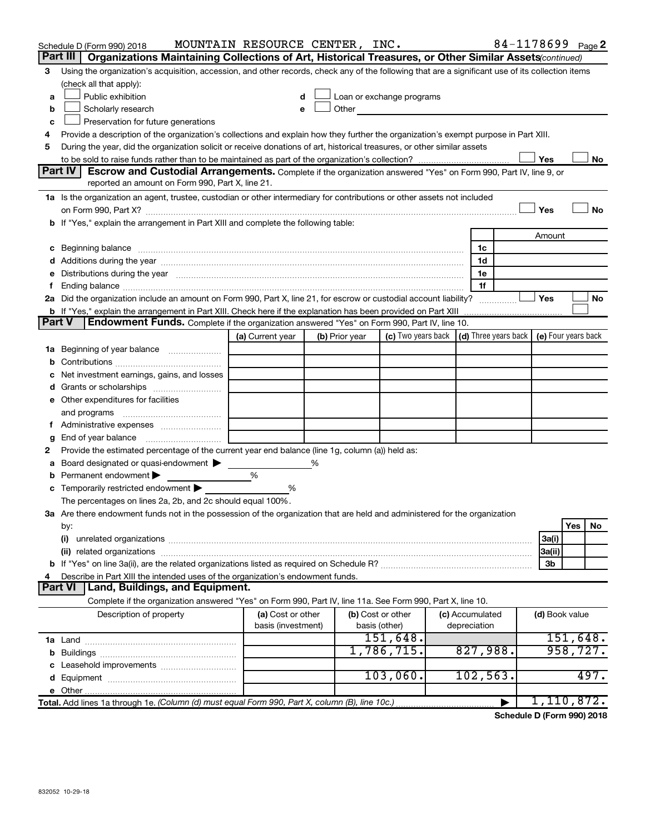|   | Schedule D (Form 990) 2018                                                                                                                                                                                                           | MOUNTAIN RESOURCE CENTER, INC. |   |                   |                                                                                                                                                                                                                               |                       |                | 84-1178699 <sub>Page</sub> 2 |
|---|--------------------------------------------------------------------------------------------------------------------------------------------------------------------------------------------------------------------------------------|--------------------------------|---|-------------------|-------------------------------------------------------------------------------------------------------------------------------------------------------------------------------------------------------------------------------|-----------------------|----------------|------------------------------|
|   | Part III   Organizations Maintaining Collections of Art, Historical Treasures, or Other Similar Assets continued)                                                                                                                    |                                |   |                   |                                                                                                                                                                                                                               |                       |                |                              |
| З | Using the organization's acquisition, accession, and other records, check any of the following that are a significant use of its collection items                                                                                    |                                |   |                   |                                                                                                                                                                                                                               |                       |                |                              |
|   | (check all that apply):                                                                                                                                                                                                              |                                |   |                   |                                                                                                                                                                                                                               |                       |                |                              |
| a | Public exhibition                                                                                                                                                                                                                    |                                |   |                   | Loan or exchange programs                                                                                                                                                                                                     |                       |                |                              |
| b | Scholarly research                                                                                                                                                                                                                   | e                              |   |                   | Other and the contract of the contract of the contract of the contract of the contract of the contract of the contract of the contract of the contract of the contract of the contract of the contract of the contract of the |                       |                |                              |
| c | Preservation for future generations                                                                                                                                                                                                  |                                |   |                   |                                                                                                                                                                                                                               |                       |                |                              |
| 4 | Provide a description of the organization's collections and explain how they further the organization's exempt purpose in Part XIII.                                                                                                 |                                |   |                   |                                                                                                                                                                                                                               |                       |                |                              |
| 5 | During the year, did the organization solicit or receive donations of art, historical treasures, or other similar assets                                                                                                             |                                |   |                   |                                                                                                                                                                                                                               |                       |                |                              |
|   |                                                                                                                                                                                                                                      |                                |   |                   |                                                                                                                                                                                                                               |                       | Yes            | No                           |
|   | Part IV<br>Escrow and Custodial Arrangements. Complete if the organization answered "Yes" on Form 990, Part IV, line 9, or                                                                                                           |                                |   |                   |                                                                                                                                                                                                                               |                       |                |                              |
|   | reported an amount on Form 990, Part X, line 21.                                                                                                                                                                                     |                                |   |                   |                                                                                                                                                                                                                               |                       |                |                              |
|   | 1a Is the organization an agent, trustee, custodian or other intermediary for contributions or other assets not included                                                                                                             |                                |   |                   |                                                                                                                                                                                                                               |                       |                |                              |
|   |                                                                                                                                                                                                                                      |                                |   |                   |                                                                                                                                                                                                                               |                       | Yes            | <b>No</b>                    |
|   | b If "Yes," explain the arrangement in Part XIII and complete the following table:                                                                                                                                                   |                                |   |                   |                                                                                                                                                                                                                               |                       |                |                              |
|   |                                                                                                                                                                                                                                      |                                |   |                   |                                                                                                                                                                                                                               |                       | Amount         |                              |
|   | c Beginning balance <b>contract to the contract of the contract of the contract of the contract of the contract of the contract of the contract of the contract of the contract of the contract of the contract of the contract </b> |                                |   |                   |                                                                                                                                                                                                                               | 1c                    |                |                              |
|   |                                                                                                                                                                                                                                      |                                |   |                   |                                                                                                                                                                                                                               | 1d                    |                |                              |
|   | e Distributions during the year manufactured and continuum and contact the year manufactured and contact the year manufactured and contact the year manufactured and contact the year manufactured and contact the year manufa       |                                |   |                   |                                                                                                                                                                                                                               | 1е                    |                |                              |
| f |                                                                                                                                                                                                                                      |                                |   |                   |                                                                                                                                                                                                                               | 1f                    |                |                              |
|   | 2a Did the organization include an amount on Form 990, Part X, line 21, for escrow or custodial account liability?                                                                                                                   |                                |   |                   |                                                                                                                                                                                                                               |                       | Yes            | No                           |
|   | b If "Yes," explain the arrangement in Part XIII. Check here if the explanation has been provided on Part XIII                                                                                                                       |                                |   |                   |                                                                                                                                                                                                                               |                       |                |                              |
|   | <b>Endowment Funds.</b> Complete if the organization answered "Yes" on Form 990, Part IV, line 10.<br><b>Part V</b>                                                                                                                  |                                |   |                   |                                                                                                                                                                                                                               |                       |                |                              |
|   |                                                                                                                                                                                                                                      | (a) Current year               |   | (b) Prior year    | (c) Two years back                                                                                                                                                                                                            | (d) Three years back  |                | (e) Four years back          |
|   | 1a Beginning of year balance                                                                                                                                                                                                         |                                |   |                   |                                                                                                                                                                                                                               |                       |                |                              |
|   |                                                                                                                                                                                                                                      |                                |   |                   |                                                                                                                                                                                                                               |                       |                |                              |
|   | c Net investment earnings, gains, and losses                                                                                                                                                                                         |                                |   |                   |                                                                                                                                                                                                                               |                       |                |                              |
|   |                                                                                                                                                                                                                                      |                                |   |                   |                                                                                                                                                                                                                               |                       |                |                              |
|   | e Other expenditures for facilities                                                                                                                                                                                                  |                                |   |                   |                                                                                                                                                                                                                               |                       |                |                              |
|   | and programs                                                                                                                                                                                                                         |                                |   |                   |                                                                                                                                                                                                                               |                       |                |                              |
|   |                                                                                                                                                                                                                                      |                                |   |                   |                                                                                                                                                                                                                               |                       |                |                              |
| g |                                                                                                                                                                                                                                      |                                |   |                   |                                                                                                                                                                                                                               |                       |                |                              |
| 2 | Provide the estimated percentage of the current year end balance (line 1g, column (a)) held as:                                                                                                                                      |                                |   |                   |                                                                                                                                                                                                                               |                       |                |                              |
| a | Board designated or quasi-endowment                                                                                                                                                                                                  |                                | % |                   |                                                                                                                                                                                                                               |                       |                |                              |
|   | <b>b</b> Permanent endowment $\blacktriangleright$                                                                                                                                                                                   | %                              |   |                   |                                                                                                                                                                                                                               |                       |                |                              |
|   | c Temporarily restricted endowment $\blacktriangleright$                                                                                                                                                                             | %                              |   |                   |                                                                                                                                                                                                                               |                       |                |                              |
|   | The percentages on lines 2a, 2b, and 2c should equal 100%.                                                                                                                                                                           |                                |   |                   |                                                                                                                                                                                                                               |                       |                |                              |
|   | 3a Are there endowment funds not in the possession of the organization that are held and administered for the organization                                                                                                           |                                |   |                   |                                                                                                                                                                                                                               |                       |                |                              |
|   | by:                                                                                                                                                                                                                                  |                                |   |                   |                                                                                                                                                                                                                               |                       |                | Yes<br>No                    |
|   | (i)                                                                                                                                                                                                                                  |                                |   |                   |                                                                                                                                                                                                                               |                       | 3a(i)          |                              |
|   |                                                                                                                                                                                                                                      |                                |   |                   |                                                                                                                                                                                                                               |                       | 3a(ii)         |                              |
|   |                                                                                                                                                                                                                                      |                                |   |                   |                                                                                                                                                                                                                               |                       | 3b             |                              |
| 4 | Describe in Part XIII the intended uses of the organization's endowment funds.                                                                                                                                                       |                                |   |                   |                                                                                                                                                                                                                               |                       |                |                              |
|   | Part VI   Land, Buildings, and Equipment.                                                                                                                                                                                            |                                |   |                   |                                                                                                                                                                                                                               |                       |                |                              |
|   | Complete if the organization answered "Yes" on Form 990, Part IV, line 11a. See Form 990, Part X, line 10.                                                                                                                           |                                |   |                   |                                                                                                                                                                                                                               |                       |                |                              |
|   | Description of property                                                                                                                                                                                                              | (a) Cost or other              |   | (b) Cost or other |                                                                                                                                                                                                                               | (c) Accumulated       | (d) Book value |                              |
|   |                                                                                                                                                                                                                                      | basis (investment)             |   | basis (other)     |                                                                                                                                                                                                                               | depreciation          |                |                              |
|   |                                                                                                                                                                                                                                      |                                |   |                   | 151,648.                                                                                                                                                                                                                      |                       |                | 151,648.                     |
|   |                                                                                                                                                                                                                                      |                                |   |                   | 1,786,715.                                                                                                                                                                                                                    | 827,988.              |                | 958, 727.                    |
|   |                                                                                                                                                                                                                                      |                                |   |                   |                                                                                                                                                                                                                               |                       |                |                              |
|   |                                                                                                                                                                                                                                      |                                |   |                   | 103,060.                                                                                                                                                                                                                      | 102, 563.             |                | 497.                         |
|   |                                                                                                                                                                                                                                      |                                |   |                   |                                                                                                                                                                                                                               |                       |                |                              |
|   |                                                                                                                                                                                                                                      |                                |   |                   |                                                                                                                                                                                                                               | $\blacktriangleright$ |                | 1,110,872.                   |

**Schedule D (Form 990) 2018**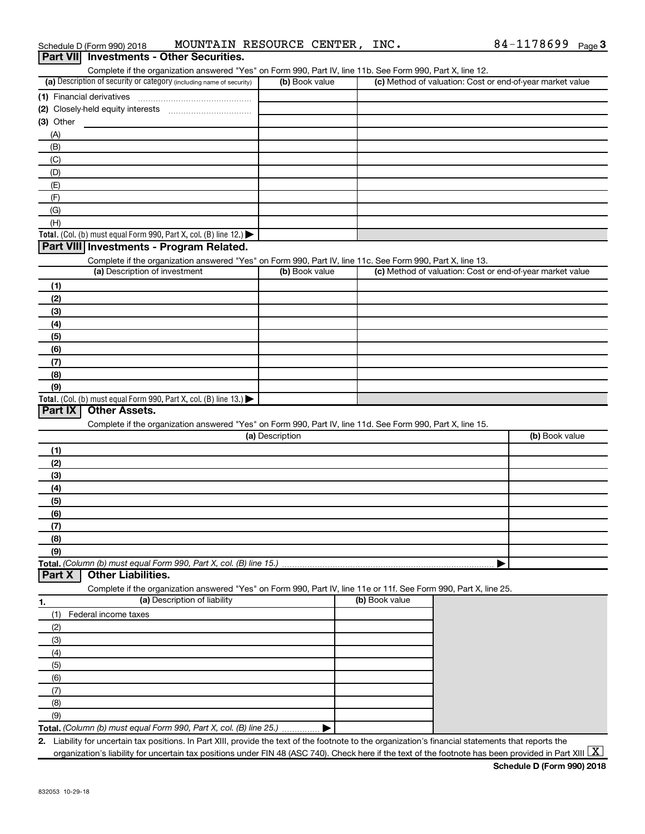| Part VII Investments - Other Securities.<br>Complete if the organization answered "Yes" on Form 990, Part IV, line 11b. See Form 990, Part X, line 12. |                 |                |                                                           |
|--------------------------------------------------------------------------------------------------------------------------------------------------------|-----------------|----------------|-----------------------------------------------------------|
| (a) Description of security or category (including name of security)                                                                                   | (b) Book value  |                | (c) Method of valuation: Cost or end-of-year market value |
| (1) Financial derivatives                                                                                                                              |                 |                |                                                           |
|                                                                                                                                                        |                 |                |                                                           |
| $(3)$ Other                                                                                                                                            |                 |                |                                                           |
| (A)                                                                                                                                                    |                 |                |                                                           |
| (B)                                                                                                                                                    |                 |                |                                                           |
| (C)                                                                                                                                                    |                 |                |                                                           |
| (D)                                                                                                                                                    |                 |                |                                                           |
| (E)                                                                                                                                                    |                 |                |                                                           |
| (F)                                                                                                                                                    |                 |                |                                                           |
| (G)                                                                                                                                                    |                 |                |                                                           |
| (H)                                                                                                                                                    |                 |                |                                                           |
| Total. (Col. (b) must equal Form 990, Part X, col. (B) line 12.) $\blacktriangleright$                                                                 |                 |                |                                                           |
| Part VIII Investments - Program Related.                                                                                                               |                 |                |                                                           |
| Complete if the organization answered "Yes" on Form 990, Part IV, line 11c. See Form 990, Part X, line 13.                                             |                 |                |                                                           |
| (a) Description of investment                                                                                                                          | (b) Book value  |                | (c) Method of valuation: Cost or end-of-year market value |
| (1)                                                                                                                                                    |                 |                |                                                           |
| (2)                                                                                                                                                    |                 |                |                                                           |
| (3)                                                                                                                                                    |                 |                |                                                           |
| (4)                                                                                                                                                    |                 |                |                                                           |
| (5)                                                                                                                                                    |                 |                |                                                           |
| (6)                                                                                                                                                    |                 |                |                                                           |
| (7)                                                                                                                                                    |                 |                |                                                           |
| (8)                                                                                                                                                    |                 |                |                                                           |
| (9)                                                                                                                                                    |                 |                |                                                           |
| Total. (Col. (b) must equal Form 990, Part X, col. (B) line $13.$ )<br>Part IX<br><b>Other Assets.</b>                                                 |                 |                |                                                           |
| Complete if the organization answered "Yes" on Form 990, Part IV, line 11d. See Form 990, Part X, line 15.                                             |                 |                |                                                           |
|                                                                                                                                                        | (a) Description |                | (b) Book value                                            |
| (1)                                                                                                                                                    |                 |                |                                                           |
| (2)                                                                                                                                                    |                 |                |                                                           |
| (3)                                                                                                                                                    |                 |                |                                                           |
| (4)                                                                                                                                                    |                 |                |                                                           |
| (5)                                                                                                                                                    |                 |                |                                                           |
| (6)                                                                                                                                                    |                 |                |                                                           |
| (7)                                                                                                                                                    |                 |                |                                                           |
| (8)                                                                                                                                                    |                 |                |                                                           |
| (9)                                                                                                                                                    |                 |                |                                                           |
| Total. (Column (b) must equal Form 990, Part X, col. (B) line 15.)                                                                                     |                 |                |                                                           |
| <b>Other Liabilities.</b><br>Part X                                                                                                                    |                 |                |                                                           |
| Complete if the organization answered "Yes" on Form 990, Part IV, line 11e or 11f. See Form 990, Part X, line 25.                                      |                 |                |                                                           |
| (a) Description of liability<br>1.                                                                                                                     |                 | (b) Book value |                                                           |
| (1)<br>Federal income taxes                                                                                                                            |                 |                |                                                           |
| (2)                                                                                                                                                    |                 |                |                                                           |
| (3)                                                                                                                                                    |                 |                |                                                           |
| (4)                                                                                                                                                    |                 |                |                                                           |
| (5)                                                                                                                                                    |                 |                |                                                           |
| (6)                                                                                                                                                    |                 |                |                                                           |
| (7)                                                                                                                                                    |                 |                |                                                           |
| (8)                                                                                                                                                    |                 |                |                                                           |
| (9)                                                                                                                                                    |                 |                |                                                           |
| Total. (Column (b) must equal Form 990, Part X, col. (B) line 25.)                                                                                     |                 |                |                                                           |
| 2. Liability for uncertain tax positions. In Part XIII, provide the text of the footnote to the organization's financial statements that reports the   |                 |                | $\overline{1}$                                            |

Schedule D (Form 990) 2018 MOUNTAIN RESOURCE CENTER, INC.  $84-1178699$  Page

organization's liability for uncertain tax positions under FIN 48 (ASC 740). Check here if the text of the footnote has been provided in Part XIII  $\boxed{\text{X}}$ 

84-1178699 Page 3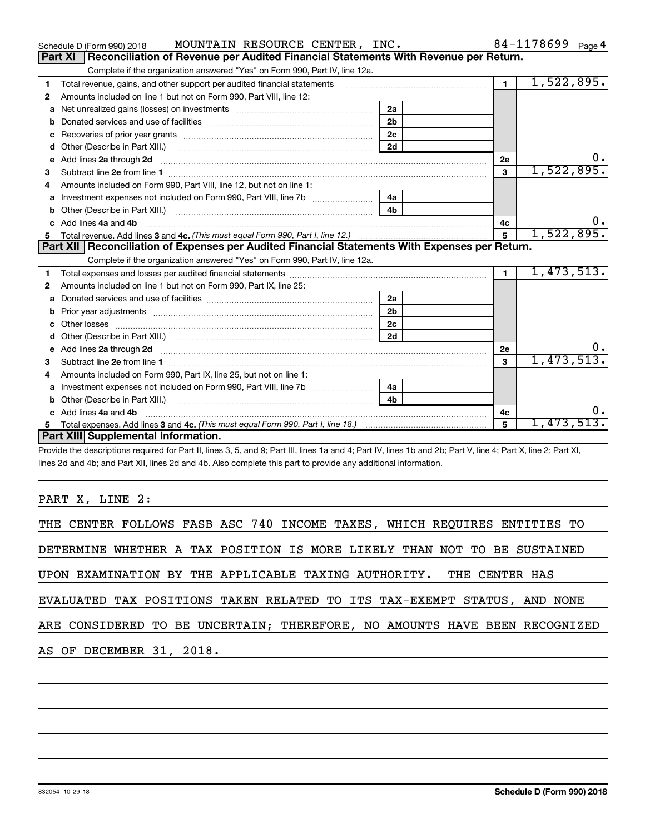|    | MOUNTAIN RESOURCE CENTER, INC.<br>Schedule D (Form 990) 2018                                                                                                                                                                       |                |                | 84-1178699 Page 4 |
|----|------------------------------------------------------------------------------------------------------------------------------------------------------------------------------------------------------------------------------------|----------------|----------------|-------------------|
|    | <b>Part XI</b><br>Reconciliation of Revenue per Audited Financial Statements With Revenue per Return.                                                                                                                              |                |                |                   |
|    | Complete if the organization answered "Yes" on Form 990, Part IV, line 12a.                                                                                                                                                        |                |                |                   |
| 1  | Total revenue, gains, and other support per audited financial statements                                                                                                                                                           |                | $\blacksquare$ | 1,522,895.        |
| 2  | Amounts included on line 1 but not on Form 990, Part VIII, line 12:                                                                                                                                                                |                |                |                   |
| a  |                                                                                                                                                                                                                                    | 2a             |                |                   |
| b  |                                                                                                                                                                                                                                    | 2 <sub>b</sub> |                |                   |
| C  |                                                                                                                                                                                                                                    |                |                |                   |
| d  |                                                                                                                                                                                                                                    | 2d             |                |                   |
| e  | Add lines 2a through 2d                                                                                                                                                                                                            |                | 2e             | υ.                |
| 3  |                                                                                                                                                                                                                                    |                | 3              | 1,522,895.        |
| 4  | Amounts included on Form 990, Part VIII, line 12, but not on line 1:                                                                                                                                                               |                |                |                   |
|    |                                                                                                                                                                                                                                    |                |                |                   |
| b  |                                                                                                                                                                                                                                    | 4 <sub>b</sub> |                |                   |
| c. | Add lines 4a and 4b                                                                                                                                                                                                                |                | 4с             |                   |
|    |                                                                                                                                                                                                                                    |                | 5              | 1,522,895.        |
| 5  |                                                                                                                                                                                                                                    |                |                |                   |
|    | Part XII   Reconciliation of Expenses per Audited Financial Statements With Expenses per Return.                                                                                                                                   |                |                |                   |
|    | Complete if the organization answered "Yes" on Form 990, Part IV, line 12a.                                                                                                                                                        |                |                |                   |
| 1  |                                                                                                                                                                                                                                    |                | $\blacksquare$ | 1,473,513.        |
| 2  | Amounts included on line 1 but not on Form 990, Part IX, line 25:                                                                                                                                                                  |                |                |                   |
| a  |                                                                                                                                                                                                                                    | 2a             |                |                   |
| b  |                                                                                                                                                                                                                                    | 2 <sub>b</sub> |                |                   |
| C  |                                                                                                                                                                                                                                    | 2c             |                |                   |
| d  |                                                                                                                                                                                                                                    | 2d             |                |                   |
|    | Add lines 2a through 2d <b>manufactures</b> in the contract of the contract of the contract of the contract of the contract of the contract of the contract of the contract of the contract of the contract of the contract of the |                | 2e             |                   |
| З  |                                                                                                                                                                                                                                    |                | 3              | 1,473,513.        |
| 4  | Amounts included on Form 990, Part IX, line 25, but not on line 1:                                                                                                                                                                 |                |                |                   |
| a  | Investment expenses not included on Form 990, Part VIII, line 7b   4a                                                                                                                                                              |                |                |                   |
| b  |                                                                                                                                                                                                                                    | 4 <sub>b</sub> |                |                   |
|    | Add lines 4a and 4b                                                                                                                                                                                                                |                | 4с             |                   |
|    | <b>Part XIII</b> Supplemental Information.                                                                                                                                                                                         |                | 5              | 1,473,513.        |

Provide the descriptions required for Part II, lines 3, 5, and 9; Part III, lines 1a and 4; Part IV, lines 1b and 2b; Part V, line 4; Part X, line 2; Part XI, lines 2d and 4b; and Part XII, lines 2d and 4b. Also complete this part to provide any additional information.

## PART X, LINE 2:

| THE CENTER FOLLOWS FASB ASC 740 INCOME TAXES, WHICH REQUIRES ENTITIES TO   |
|----------------------------------------------------------------------------|
| DETERMINE WHETHER A TAX POSITION IS MORE LIKELY THAN NOT TO BE SUSTAINED   |
| UPON EXAMINATION BY THE APPLICABLE TAXING AUTHORITY. THE CENTER HAS        |
| EVALUATED TAX POSITIONS TAKEN RELATED TO ITS TAX-EXEMPT STATUS, AND NONE   |
| ARE CONSIDERED TO BE UNCERTAIN; THEREFORE, NO AMOUNTS HAVE BEEN RECOGNIZED |
| AS OF DECEMBER 31, 2018.                                                   |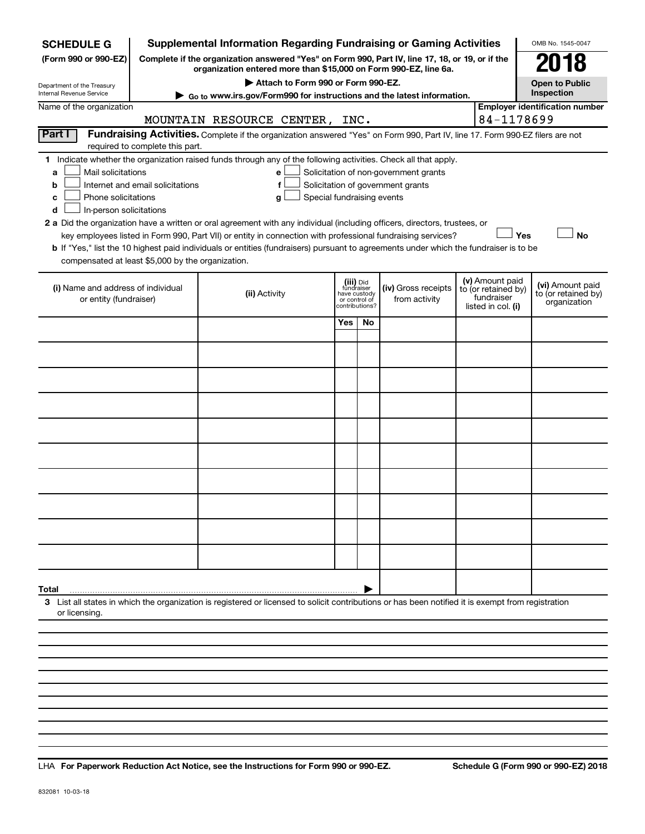| <b>SCHEDULE G</b>                                                                                                                                                                                                                                                                                                                                                                                                                                                                                                                                                                                                                                                                                                                                                                    |  | <b>Supplemental Information Regarding Fundraising or Gaming Activities</b>                                                                                          |     |                                                                            |                                      |  |                                                                            | OMB No. 1545-0047                                       |  |  |  |
|--------------------------------------------------------------------------------------------------------------------------------------------------------------------------------------------------------------------------------------------------------------------------------------------------------------------------------------------------------------------------------------------------------------------------------------------------------------------------------------------------------------------------------------------------------------------------------------------------------------------------------------------------------------------------------------------------------------------------------------------------------------------------------------|--|---------------------------------------------------------------------------------------------------------------------------------------------------------------------|-----|----------------------------------------------------------------------------|--------------------------------------|--|----------------------------------------------------------------------------|---------------------------------------------------------|--|--|--|
| (Form 990 or 990-EZ)                                                                                                                                                                                                                                                                                                                                                                                                                                                                                                                                                                                                                                                                                                                                                                 |  | Complete if the organization answered "Yes" on Form 990, Part IV, line 17, 18, or 19, or if the<br>organization entered more than \$15,000 on Form 990-EZ, line 6a. |     |                                                                            |                                      |  |                                                                            | 018                                                     |  |  |  |
| Department of the Treasury<br>Internal Revenue Service                                                                                                                                                                                                                                                                                                                                                                                                                                                                                                                                                                                                                                                                                                                               |  | Attach to Form 990 or Form 990-EZ.                                                                                                                                  |     |                                                                            |                                      |  |                                                                            | <b>Open to Public</b><br>Inspection                     |  |  |  |
| Name of the organization                                                                                                                                                                                                                                                                                                                                                                                                                                                                                                                                                                                                                                                                                                                                                             |  | Go to www.irs.gov/Form990 for instructions and the latest information.                                                                                              |     |                                                                            |                                      |  |                                                                            | <b>Employer identification number</b>                   |  |  |  |
|                                                                                                                                                                                                                                                                                                                                                                                                                                                                                                                                                                                                                                                                                                                                                                                      |  | MOUNTAIN RESOURCE CENTER, INC.                                                                                                                                      |     |                                                                            |                                      |  | 84-1178699                                                                 |                                                         |  |  |  |
| Part I<br>Fundraising Activities. Complete if the organization answered "Yes" on Form 990, Part IV, line 17. Form 990-EZ filers are not<br>required to complete this part.                                                                                                                                                                                                                                                                                                                                                                                                                                                                                                                                                                                                           |  |                                                                                                                                                                     |     |                                                                            |                                      |  |                                                                            |                                                         |  |  |  |
| 1 Indicate whether the organization raised funds through any of the following activities. Check all that apply.<br>Mail solicitations<br>Solicitation of non-government grants<br>a<br>e<br>f<br>Solicitation of government grants<br>Internet and email solicitations<br>b<br>Phone solicitations<br>Special fundraising events<br>c<br>g<br>In-person solicitations<br>d<br>2 a Did the organization have a written or oral agreement with any individual (including officers, directors, trustees, or<br>Yes<br><b>No</b><br>key employees listed in Form 990, Part VII) or entity in connection with professional fundraising services?<br>b If "Yes," list the 10 highest paid individuals or entities (fundraisers) pursuant to agreements under which the fundraiser is to be |  |                                                                                                                                                                     |     |                                                                            |                                      |  |                                                                            |                                                         |  |  |  |
| compensated at least \$5,000 by the organization.                                                                                                                                                                                                                                                                                                                                                                                                                                                                                                                                                                                                                                                                                                                                    |  |                                                                                                                                                                     |     |                                                                            |                                      |  |                                                                            |                                                         |  |  |  |
| (i) Name and address of individual<br>or entity (fundraiser)                                                                                                                                                                                                                                                                                                                                                                                                                                                                                                                                                                                                                                                                                                                         |  | (ii) Activity                                                                                                                                                       |     | (iii) Did<br>fundraiser<br>have custody<br>or control of<br>contributions? | (iv) Gross receipts<br>from activity |  | (v) Amount paid<br>to (or retained by)<br>fundraiser<br>listed in col. (i) | (vi) Amount paid<br>to (or retained by)<br>organization |  |  |  |
|                                                                                                                                                                                                                                                                                                                                                                                                                                                                                                                                                                                                                                                                                                                                                                                      |  |                                                                                                                                                                     | Yes | No.                                                                        |                                      |  |                                                                            |                                                         |  |  |  |
|                                                                                                                                                                                                                                                                                                                                                                                                                                                                                                                                                                                                                                                                                                                                                                                      |  |                                                                                                                                                                     |     |                                                                            |                                      |  |                                                                            |                                                         |  |  |  |
|                                                                                                                                                                                                                                                                                                                                                                                                                                                                                                                                                                                                                                                                                                                                                                                      |  |                                                                                                                                                                     |     |                                                                            |                                      |  |                                                                            |                                                         |  |  |  |
|                                                                                                                                                                                                                                                                                                                                                                                                                                                                                                                                                                                                                                                                                                                                                                                      |  |                                                                                                                                                                     |     |                                                                            |                                      |  |                                                                            |                                                         |  |  |  |
|                                                                                                                                                                                                                                                                                                                                                                                                                                                                                                                                                                                                                                                                                                                                                                                      |  |                                                                                                                                                                     |     |                                                                            |                                      |  |                                                                            |                                                         |  |  |  |
|                                                                                                                                                                                                                                                                                                                                                                                                                                                                                                                                                                                                                                                                                                                                                                                      |  |                                                                                                                                                                     |     |                                                                            |                                      |  |                                                                            |                                                         |  |  |  |
|                                                                                                                                                                                                                                                                                                                                                                                                                                                                                                                                                                                                                                                                                                                                                                                      |  |                                                                                                                                                                     |     |                                                                            |                                      |  |                                                                            |                                                         |  |  |  |
|                                                                                                                                                                                                                                                                                                                                                                                                                                                                                                                                                                                                                                                                                                                                                                                      |  |                                                                                                                                                                     |     |                                                                            |                                      |  |                                                                            |                                                         |  |  |  |
|                                                                                                                                                                                                                                                                                                                                                                                                                                                                                                                                                                                                                                                                                                                                                                                      |  |                                                                                                                                                                     |     |                                                                            |                                      |  |                                                                            |                                                         |  |  |  |
|                                                                                                                                                                                                                                                                                                                                                                                                                                                                                                                                                                                                                                                                                                                                                                                      |  |                                                                                                                                                                     |     |                                                                            |                                      |  |                                                                            |                                                         |  |  |  |
| Total                                                                                                                                                                                                                                                                                                                                                                                                                                                                                                                                                                                                                                                                                                                                                                                |  |                                                                                                                                                                     |     |                                                                            |                                      |  |                                                                            |                                                         |  |  |  |
| or licensing.                                                                                                                                                                                                                                                                                                                                                                                                                                                                                                                                                                                                                                                                                                                                                                        |  | 3 List all states in which the organization is registered or licensed to solicit contributions or has been notified it is exempt from registration                  |     |                                                                            |                                      |  |                                                                            |                                                         |  |  |  |
|                                                                                                                                                                                                                                                                                                                                                                                                                                                                                                                                                                                                                                                                                                                                                                                      |  |                                                                                                                                                                     |     |                                                                            |                                      |  |                                                                            |                                                         |  |  |  |
|                                                                                                                                                                                                                                                                                                                                                                                                                                                                                                                                                                                                                                                                                                                                                                                      |  |                                                                                                                                                                     |     |                                                                            |                                      |  |                                                                            |                                                         |  |  |  |
|                                                                                                                                                                                                                                                                                                                                                                                                                                                                                                                                                                                                                                                                                                                                                                                      |  |                                                                                                                                                                     |     |                                                                            |                                      |  |                                                                            |                                                         |  |  |  |

**For Paperwork Reduction Act Notice, see the Instructions for Form 990 or 990-EZ. Schedule G (Form 990 or 990-EZ) 2018** LHA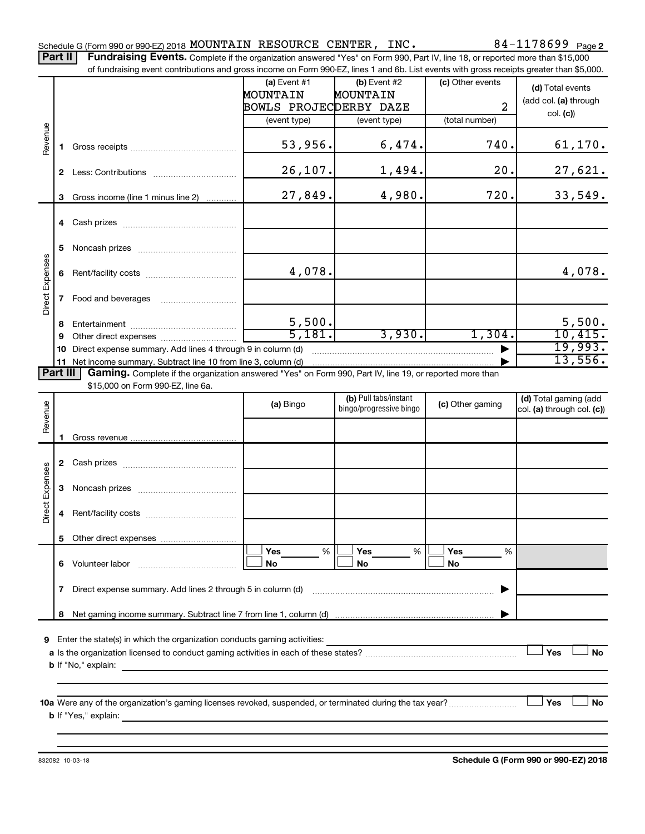Part II | Fundraising Events. Complete if the organization answered "Yes" on Form 990, Part IV, line 18, or reported more than \$15,000 of fundraising event contributions and gross income on Form 990-EZ, lines 1 and 6b. List events with gross receipts greater than \$5,000.

|                        |        | OFfundraising event continuutions and gross income on Form 990-EZ, illies T and OD. Elst events with gross receipts greater than \$0,000. |                        |                                                  |                  |                            |
|------------------------|--------|-------------------------------------------------------------------------------------------------------------------------------------------|------------------------|--------------------------------------------------|------------------|----------------------------|
|                        |        |                                                                                                                                           | (a) Event $#1$         | $(b)$ Event #2                                   | (c) Other events | (d) Total events           |
|                        |        |                                                                                                                                           | MOUNTAIN               | MOUNTAIN                                         |                  | (add col. (a) through      |
|                        |        |                                                                                                                                           | BOWLS PROJECDERBY DAZE |                                                  | $\overline{2}$   | col. (c)                   |
|                        |        |                                                                                                                                           | (event type)           | (event type)                                     | (total number)   |                            |
| Revenue                | 1.     |                                                                                                                                           | 53,956.                | 6,474.                                           | 740.             | 61, 170.                   |
|                        |        |                                                                                                                                           | 26, 107.               | 1,494.                                           | 20.              | 27,621.                    |
|                        | 3      | Gross income (line 1 minus line 2)                                                                                                        | 27,849.                | 4,980.                                           | 720.             | 33,549.                    |
|                        |        |                                                                                                                                           |                        |                                                  |                  |                            |
|                        | 5      |                                                                                                                                           |                        |                                                  |                  |                            |
|                        |        |                                                                                                                                           | 4,078.                 |                                                  |                  | 4,078.                     |
| Direct Expenses        |        |                                                                                                                                           |                        |                                                  |                  |                            |
|                        |        |                                                                                                                                           |                        |                                                  |                  | 5,500.                     |
|                        | 8<br>9 |                                                                                                                                           | $\frac{5,500}{5,181}$  | 3,930.                                           | 1,304.           | 10,415.                    |
|                        |        | 10 Direct expense summary. Add lines 4 through 9 in column (d)                                                                            |                        |                                                  |                  | 19,993.                    |
|                        |        | 11 Net income summary. Subtract line 10 from line 3, column (d)                                                                           |                        |                                                  |                  | 13,556.                    |
| Part III               |        | Gaming. Complete if the organization answered "Yes" on Form 990, Part IV, line 19, or reported more than                                  |                        |                                                  |                  |                            |
|                        |        | \$15,000 on Form 990-EZ, line 6a.                                                                                                         |                        |                                                  |                  |                            |
|                        |        |                                                                                                                                           | (a) Bingo              | (b) Pull tabs/instant<br>bingo/progressive bingo | (c) Other gaming | (d) Total gaming (add      |
| Revenue                |        |                                                                                                                                           |                        |                                                  |                  | col. (a) through col. (c)) |
|                        |        |                                                                                                                                           |                        |                                                  |                  |                            |
|                        | 1      |                                                                                                                                           |                        |                                                  |                  |                            |
|                        |        |                                                                                                                                           |                        |                                                  |                  |                            |
| <b>Direct Expenses</b> |        |                                                                                                                                           |                        |                                                  |                  |                            |
|                        | 4      |                                                                                                                                           |                        |                                                  |                  |                            |
|                        |        |                                                                                                                                           |                        |                                                  |                  |                            |
|                        |        | 6 Volunteer labor                                                                                                                         | Yes<br>%<br>No         | Yes<br>%<br>No                                   | Yes<br>%<br>No   |                            |
|                        | 7      | Direct expense summary. Add lines 2 through 5 in column (d)                                                                               |                        |                                                  |                  |                            |
|                        | 8      |                                                                                                                                           |                        |                                                  |                  |                            |
|                        |        |                                                                                                                                           |                        |                                                  |                  |                            |
| 9                      |        | Enter the state(s) in which the organization conducts gaming activities:                                                                  |                        |                                                  |                  |                            |
|                        |        |                                                                                                                                           |                        |                                                  |                  | Yes<br>No                  |
|                        |        | <b>b</b> If "No," explain:                                                                                                                |                        |                                                  |                  |                            |
|                        |        |                                                                                                                                           |                        |                                                  |                  |                            |
|                        |        | 10a Were any of the organization's gaming licenses revoked, suspended, or terminated during the tax year?                                 |                        |                                                  |                  | Yes<br>No                  |
|                        |        | <b>b</b> If "Yes," explain:                                                                                                               |                        |                                                  |                  |                            |
|                        |        |                                                                                                                                           |                        |                                                  |                  |                            |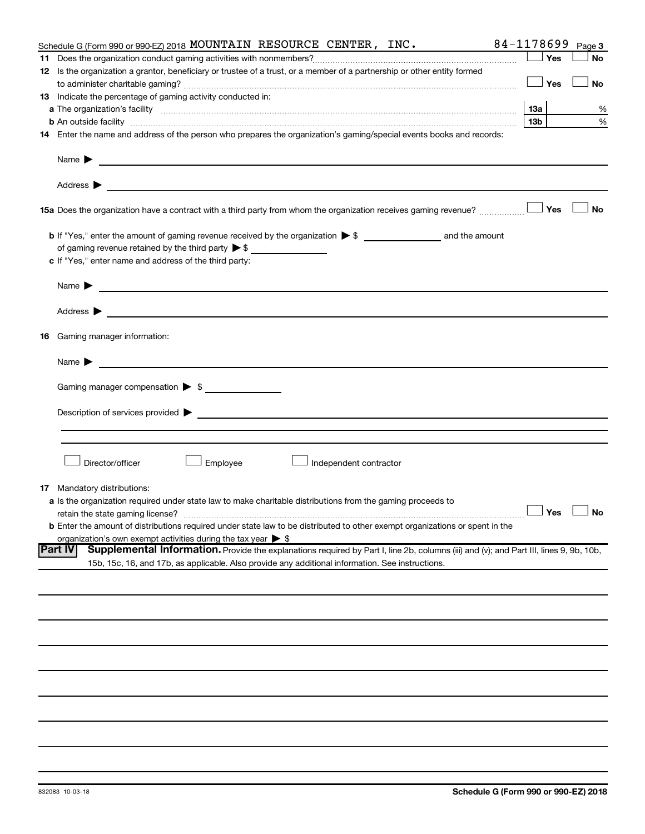|    | Schedule G (Form 990 or 990-EZ) 2018 MOUNTAIN RESOURCE CENTER, INC.                                                                                                                                                                       | 84-1178699 |     | Page 3               |
|----|-------------------------------------------------------------------------------------------------------------------------------------------------------------------------------------------------------------------------------------------|------------|-----|----------------------|
|    |                                                                                                                                                                                                                                           |            | Yes | <b>No</b>            |
|    | 12 Is the organization a grantor, beneficiary or trustee of a trust, or a member of a partnership or other entity formed                                                                                                                  |            |     |                      |
|    |                                                                                                                                                                                                                                           |            | Yes | No                   |
|    | 13 Indicate the percentage of gaming activity conducted in:                                                                                                                                                                               |            |     |                      |
|    | a The organization's facility <i>measurement assemble to the companion of the companisation</i> in the state of the companion of the companion of the companion of the companion of the companion of the companion of the companion       |            |     | %                    |
|    | <b>b</b> An outside facility <i>www.communically.communically.communically.communically.communically.communically.communically.communically.communically.communically.communically.communically.communically.communically.communicall</i> | 13b l      |     | %                    |
|    | 14 Enter the name and address of the person who prepares the organization's gaming/special events books and records:                                                                                                                      |            |     |                      |
|    | Name $\blacktriangleright$<br><u> 1989 - Johann Barbara, marka a shekara tsa 1989 - An tsa 1989 - An tsa 1989 - An tsa 1989 - An tsa 1989 - An</u>                                                                                        |            |     |                      |
|    |                                                                                                                                                                                                                                           |            |     |                      |
|    |                                                                                                                                                                                                                                           |            |     | ∣ No                 |
|    |                                                                                                                                                                                                                                           |            |     |                      |
|    | of gaming revenue retained by the third party $\triangleright$ \$                                                                                                                                                                         |            |     |                      |
|    | c If "Yes," enter name and address of the third party:                                                                                                                                                                                    |            |     |                      |
|    | Name $\blacktriangleright$<br><u> 1989 - Johann Barbara, martin amerikan basal dan berasal dan berasal dan berasal dari berasal dan berasal dan</u>                                                                                       |            |     |                      |
|    |                                                                                                                                                                                                                                           |            |     |                      |
| 16 | Gaming manager information:                                                                                                                                                                                                               |            |     |                      |
|    |                                                                                                                                                                                                                                           |            |     |                      |
|    | Gaming manager compensation > \$                                                                                                                                                                                                          |            |     |                      |
|    |                                                                                                                                                                                                                                           |            |     |                      |
|    |                                                                                                                                                                                                                                           |            |     |                      |
|    |                                                                                                                                                                                                                                           |            |     |                      |
|    | Employee<br>Director/officer<br>Independent contractor                                                                                                                                                                                    |            |     |                      |
| 17 | Mandatory distributions:                                                                                                                                                                                                                  |            |     |                      |
|    | <b>a</b> Is the organization required under state law to make charitable distributions from the gaming proceeds to                                                                                                                        |            |     |                      |
|    | retain the state gaming license?                                                                                                                                                                                                          |            |     | $\Box$ Yes $\Box$ No |
|    | <b>b</b> Enter the amount of distributions required under state law to be distributed to other exempt organizations or spent in the                                                                                                       |            |     |                      |
|    | organization's own exempt activities during the tax year $\triangleright$ \$                                                                                                                                                              |            |     |                      |
|    | Supplemental Information. Provide the explanations required by Part I, line 2b, columns (iii) and (v); and Part III, lines 9, 9b, 10b,<br><b>IPart IV</b>                                                                                 |            |     |                      |
|    | 15b, 15c, 16, and 17b, as applicable. Also provide any additional information. See instructions.                                                                                                                                          |            |     |                      |
|    |                                                                                                                                                                                                                                           |            |     |                      |
|    |                                                                                                                                                                                                                                           |            |     |                      |
|    |                                                                                                                                                                                                                                           |            |     |                      |
|    |                                                                                                                                                                                                                                           |            |     |                      |
|    |                                                                                                                                                                                                                                           |            |     |                      |
|    |                                                                                                                                                                                                                                           |            |     |                      |
|    |                                                                                                                                                                                                                                           |            |     |                      |
|    |                                                                                                                                                                                                                                           |            |     |                      |
|    |                                                                                                                                                                                                                                           |            |     |                      |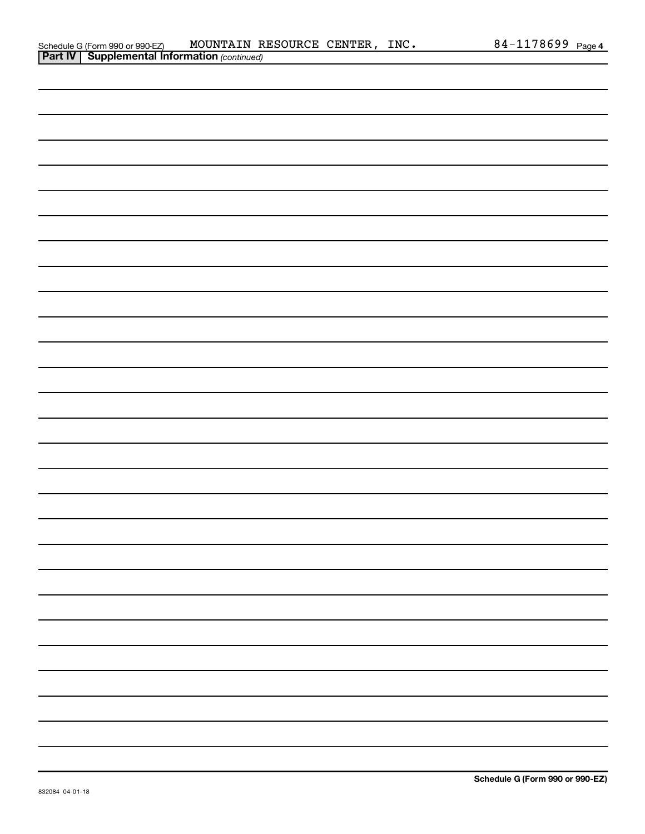|  | Schedule G (Form 990 or 990-EZ)         | <b>MOUN</b> |
|--|-----------------------------------------|-------------|
|  | <b>Part IV Supplemental Information</b> |             |

| <u>.</u> |  |  |  |  |
|----------|--|--|--|--|
|          |  |  |  |  |
|          |  |  |  |  |
|          |  |  |  |  |
|          |  |  |  |  |
|          |  |  |  |  |
|          |  |  |  |  |
|          |  |  |  |  |
|          |  |  |  |  |
|          |  |  |  |  |
|          |  |  |  |  |
|          |  |  |  |  |
|          |  |  |  |  |
|          |  |  |  |  |
|          |  |  |  |  |
|          |  |  |  |  |
|          |  |  |  |  |
|          |  |  |  |  |
|          |  |  |  |  |
|          |  |  |  |  |
|          |  |  |  |  |
|          |  |  |  |  |
|          |  |  |  |  |
|          |  |  |  |  |
|          |  |  |  |  |
|          |  |  |  |  |
|          |  |  |  |  |
|          |  |  |  |  |
|          |  |  |  |  |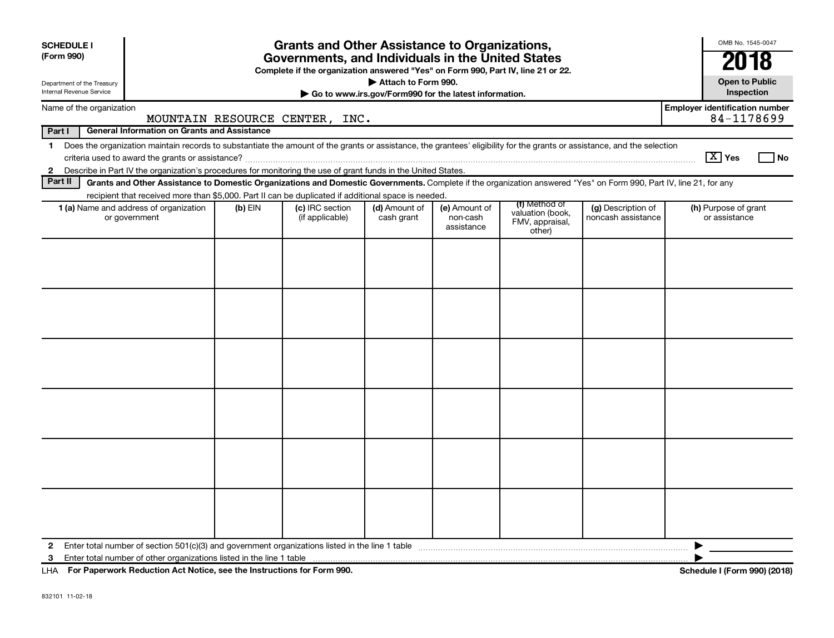| <b>SCHEDULE I</b><br>(Form 990)<br>Department of the Treasury                                   | <b>Grants and Other Assistance to Organizations,</b><br>Governments, and Individuals in the United States<br>Complete if the organization answered "Yes" on Form 990, Part IV, line 21 or 22.<br>Attach to Form 990.                                                                      |           |                                    |                             |                                         |                                                                |                                          |                                                     |  |  |  |  |
|-------------------------------------------------------------------------------------------------|-------------------------------------------------------------------------------------------------------------------------------------------------------------------------------------------------------------------------------------------------------------------------------------------|-----------|------------------------------------|-----------------------------|-----------------------------------------|----------------------------------------------------------------|------------------------------------------|-----------------------------------------------------|--|--|--|--|
| Internal Revenue Service<br>Inspection<br>Go to www.irs.gov/Form990 for the latest information. |                                                                                                                                                                                                                                                                                           |           |                                    |                             |                                         |                                                                |                                          |                                                     |  |  |  |  |
| Name of the organization                                                                        |                                                                                                                                                                                                                                                                                           |           | MOUNTAIN RESOURCE CENTER, INC.     |                             |                                         |                                                                |                                          | <b>Employer identification number</b><br>84-1178699 |  |  |  |  |
| Part I                                                                                          | <b>General Information on Grants and Assistance</b>                                                                                                                                                                                                                                       |           |                                    |                             |                                         |                                                                |                                          |                                                     |  |  |  |  |
| $\mathbf 1$                                                                                     | Does the organization maintain records to substantiate the amount of the grants or assistance, the grantees' eligibility for the grants or assistance, and the selection<br>Describe in Part IV the organization's procedures for monitoring the use of grant funds in the United States. |           |                                    |                             |                                         |                                                                |                                          | $ \mathrm{X} $ Yes<br>l No                          |  |  |  |  |
| $\mathbf{2}$<br>Part II                                                                         | Grants and Other Assistance to Domestic Organizations and Domestic Governments. Complete if the organization answered "Yes" on Form 990, Part IV, line 21, for any                                                                                                                        |           |                                    |                             |                                         |                                                                |                                          |                                                     |  |  |  |  |
|                                                                                                 | recipient that received more than \$5,000. Part II can be duplicated if additional space is needed.                                                                                                                                                                                       |           |                                    |                             |                                         |                                                                |                                          |                                                     |  |  |  |  |
|                                                                                                 | <b>1 (a)</b> Name and address of organization<br>or government                                                                                                                                                                                                                            | $(b)$ EIN | (c) IRC section<br>(if applicable) | (d) Amount of<br>cash grant | (e) Amount of<br>non-cash<br>assistance | (f) Method of<br>valuation (book,<br>FMV, appraisal,<br>other) | (g) Description of<br>noncash assistance | (h) Purpose of grant<br>or assistance               |  |  |  |  |
|                                                                                                 |                                                                                                                                                                                                                                                                                           |           |                                    |                             |                                         |                                                                |                                          |                                                     |  |  |  |  |
|                                                                                                 |                                                                                                                                                                                                                                                                                           |           |                                    |                             |                                         |                                                                |                                          |                                                     |  |  |  |  |
|                                                                                                 |                                                                                                                                                                                                                                                                                           |           |                                    |                             |                                         |                                                                |                                          |                                                     |  |  |  |  |
|                                                                                                 |                                                                                                                                                                                                                                                                                           |           |                                    |                             |                                         |                                                                |                                          |                                                     |  |  |  |  |
|                                                                                                 |                                                                                                                                                                                                                                                                                           |           |                                    |                             |                                         |                                                                |                                          |                                                     |  |  |  |  |
|                                                                                                 |                                                                                                                                                                                                                                                                                           |           |                                    |                             |                                         |                                                                |                                          |                                                     |  |  |  |  |
| 2                                                                                               | Enter total number of section $501(c)(3)$ and government organizations listed in the line 1 table                                                                                                                                                                                         |           |                                    |                             |                                         |                                                                |                                          |                                                     |  |  |  |  |
| 3                                                                                               |                                                                                                                                                                                                                                                                                           |           |                                    |                             |                                         |                                                                |                                          |                                                     |  |  |  |  |
| LHA For Paperwork Reduction Act Notice, see the Instructions for Form 990.                      |                                                                                                                                                                                                                                                                                           |           |                                    |                             |                                         |                                                                |                                          | Schedule I (Form 990) (2018)                        |  |  |  |  |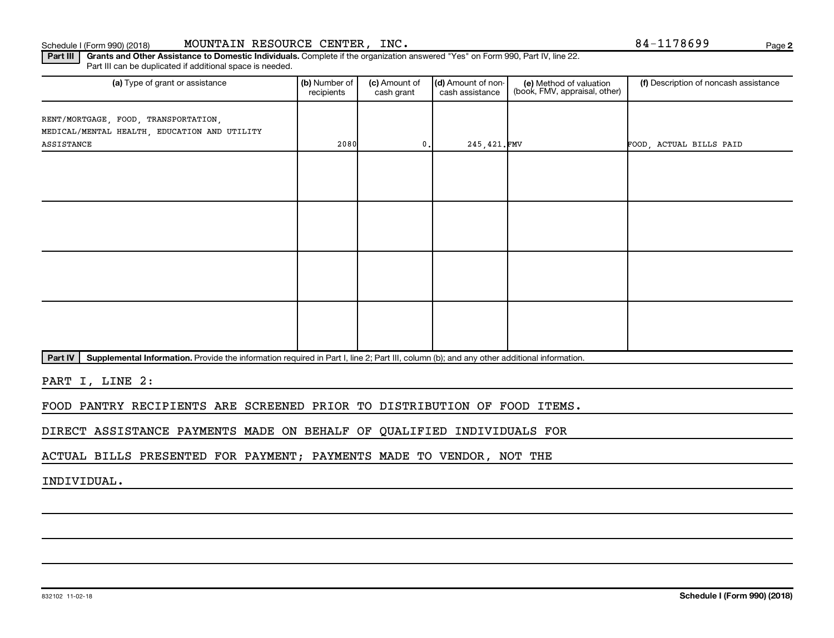### Schedule I (Form 990) (2018) MOUNTAIN RESOURCE CENTER, INC.  $84-1178699$  Page

**2**

Part III | Grants and Other Assistance to Domestic Individuals. Complete if the organization answered "Yes" on Form 990, Part IV, line 22. Part III can be duplicated if additional space is needed.

| (a) Type of grant or assistance                                                      | (b) Number of<br>recipients | (c) Amount of<br>cash grant | (d) Amount of non-<br>cash assistance | (e) Method of valuation<br>(book, FMV, appraisal, other) | (f) Description of noncash assistance |
|--------------------------------------------------------------------------------------|-----------------------------|-----------------------------|---------------------------------------|----------------------------------------------------------|---------------------------------------|
| RENT/MORTGAGE, FOOD, TRANSPORTATION,<br>MEDICAL/MENTAL HEALTH, EDUCATION AND UTILITY |                             |                             |                                       |                                                          |                                       |
| ASSISTANCE                                                                           | 2080                        | $0$ .                       | 245,421.FMV                           |                                                          | FOOD, ACTUAL BILLS PAID               |
|                                                                                      |                             |                             |                                       |                                                          |                                       |
|                                                                                      |                             |                             |                                       |                                                          |                                       |
|                                                                                      |                             |                             |                                       |                                                          |                                       |
|                                                                                      |                             |                             |                                       |                                                          |                                       |
|                                                                                      |                             |                             |                                       |                                                          |                                       |
|                                                                                      |                             |                             |                                       |                                                          |                                       |
|                                                                                      |                             |                             |                                       |                                                          |                                       |
|                                                                                      |                             |                             |                                       |                                                          |                                       |

Part IV | Supplemental Information. Provide the information required in Part I, line 2; Part III, column (b); and any other additional information.

PART I, LINE 2:

FOOD PANTRY RECIPIENTS ARE SCREENED PRIOR TO DISTRIBUTION OF FOOD ITEMS.

DIRECT ASSISTANCE PAYMENTS MADE ON BEHALF OF QUALIFIED INDIVIDUALS FOR

ACTUAL BILLS PRESENTED FOR PAYMENT; PAYMENTS MADE TO VENDOR, NOT THE

INDIVIDUAL.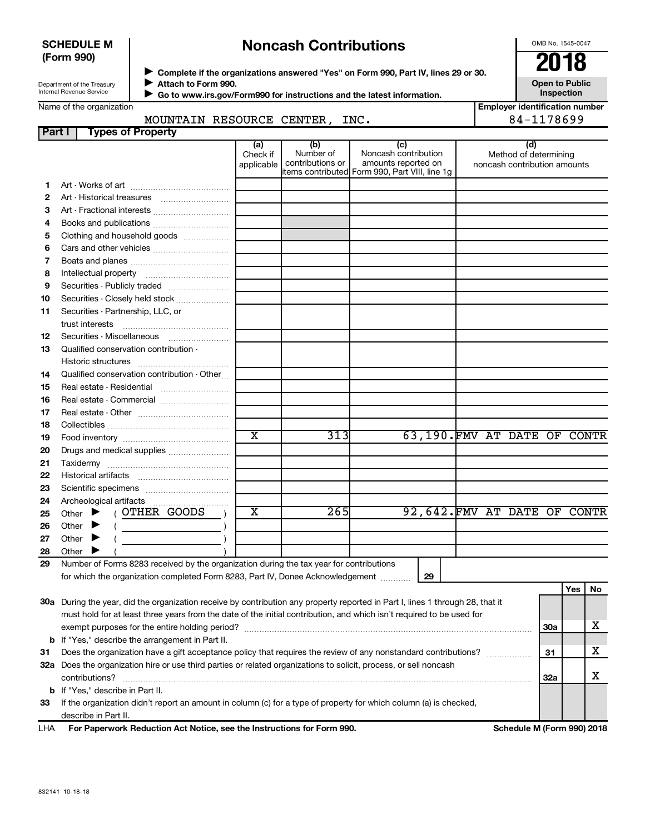### **SCHEDULE M (Form 990)**

# **Noncash Contributions**

OMB No. 1545-0047

**Open to Public Inspection**

Department of the Treasury Internal Revenue Service

◆ Complete if the organizations answered "Yes" on Form 990, Part IV, lines 29 or 30.<br>▶ Complete if the organizations answered "Yes" on Form 990, Part IV, lines 29 or 30. **Attach to Form 990.**  $\blacktriangleright$ 

 $\blacktriangleright$ 

 **Go to www.irs.gov/Form990 for instructions and the latest information.**

**Employer identification number (a) (b) (c) (d) 1 2 3 4 5 6 7 8 9 10 11 12 13 14 15 16 17 18 19 20 21 22 23 24 25 26 27 28 29 29 Yes No 30 a** During the year, did the organization receive by contribution any property reported in Part I, lines 1 through 28, that it **31 32 a** Does the organization hire or use third parties or related organizations to solicit, process, or sell noncash **b** If "Yes," describe the arrangement in Part II. **30a 31 32a** Name of the organization Check if applicable Number of contributions or items contributed Form 990, Part VIII, line 1g Noncash contribution amounts reported on Method of determining noncash contribution amounts Art - Works of art ~~~~~~~~~~~~~ Art - Historical treasures ~~~~~~~~~ Art - Fractional interests ~~~~~~~~~~ Books and publications .............................. Clothing and household goods ................. Cars and other vehicles .............................. Boats and planes ~~~~~~~~~~~~~ Intellectual property ~~~~~~~~~~~ Securities - Publicly traded ....................... Securities - Closely held stock .................... Securities - Partnership, LLC, or trust interests ~~~~~~~~~~~~~~ Securities - Miscellaneous [ ....................... Qualified conservation contribution - Historic structures ~~~~~~~~~~~~ Qualified conservation contribution - Other... Real estate - Residential ~~~~~~~~~ Real estate - Commercial ........................... Real estate - Other ~~~~~~~~~~~~ Collectibles ~~~~~~~~~~~~~~~~ Food inventory ~~~~~~~~~~~~~~ Drugs and medical supplies ....................... Taxidermy ~~~~~~~~~~~~~~~~ Historical artifacts ~~~~~~~~~~~~ Scientific specimens ................................. Archeological artifacts ………………………………  $($  OTHER GOODS Other  $\blacktriangleright$  ( ) **Other Other** Number of Forms 8283 received by the organization during the tax year for contributions for which the organization completed Form 8283, Part IV, Donee Acknowledgement ............ must hold for at least three years from the date of the initial contribution, and which isn't required to be used for exempt purposes for the entire holding period? ~~~~~~~~~~~~~~~~~~~~~~~~~~~~~~~~~~~~~~ Does the organization have a gift acceptance policy that requires the review of any nonstandard contributions?  $\ldots$ contributions? ~~~~~~~~~~~~~~~~~~~~~~~~~~~~~~~~~~~~~~~~~~~~~~~~~~~~~~ **Part I Types of Property** Other  $\blacktriangleright$  $\ddot{\phantom{1}}$  $\blacktriangleright$ MOUNTAIN RESOURCE CENTER, INC. 84-1178699 X 313 63,190. FMV AT DATE OF CONTR  $X$  265 92,642.FMV AT DATE OF CONTR X X X

**33** If the organization didn't report an amount in column (c) for a type of property for which column (a) is checked, describe in Part II.

**For Paperwork Reduction Act Notice, see the Instructions for Form 990. Schedule M (Form 990) 2018** LHA

**b** If "Yes," describe in Part II.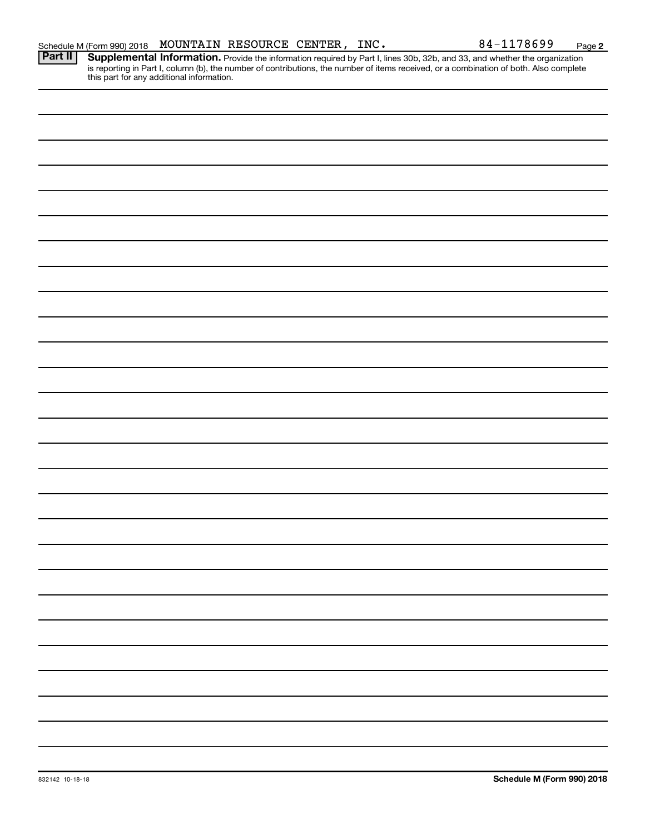**2**

Provide the information required by Part I, lines 30b, 32b, and 33, and whether the organization is reporting in Part I, column (b), the number of contributions, the number of items received, or a combination of both. Also complete this part for any additional information. **Part II Supplemental Information.**